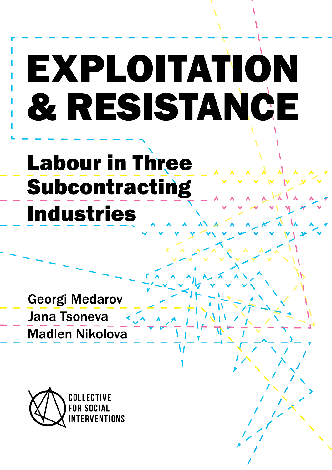# EXPLOITATION & RESISTANCE

# **Labour in Three** Subcontracting **Industries**

**Georgi Medarov Jana Tsoneva Madlen Nikolova** 

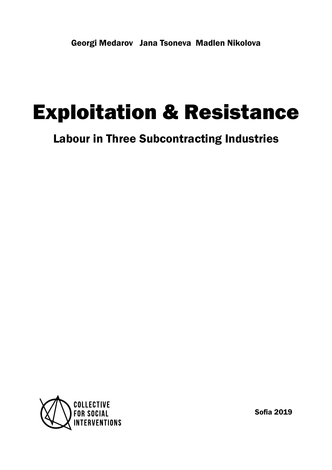Georgi Medarov Jana Tsoneva Madlen Nikolova

## Exploitation & Resistance

Labour in Three Subcontracting Industries



Sofia 2019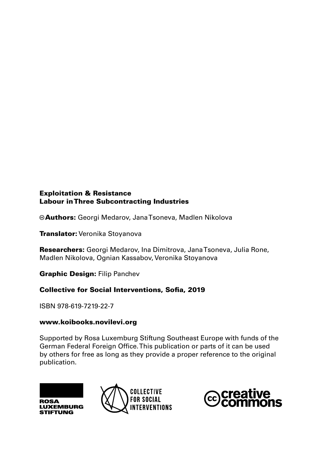Authors: Georgi Medarov, Jana Tsoneva, Madlen Nikolova

**Translator:** Veronika Stoyanova

Researchers: Georgi Medarov, Ina Dimitrova, Jana Tsoneva, Julia Rone, Madlen Nikolova, Ognian Kassabov, Veronika Stoyanova

Graphic Design: Filip Panchev

### Collective for Social Interventions, Sofia, 2019

ISBN 978-619-7219-22-7

### www.koibooks.novilevi.org

Supported by Rosa Luxemburg Stiftung Southeast Europe with funds of the German Federal Foreign Office. This publication or parts of it can be used by others for free as long as they provide a proper reference to the original publication.





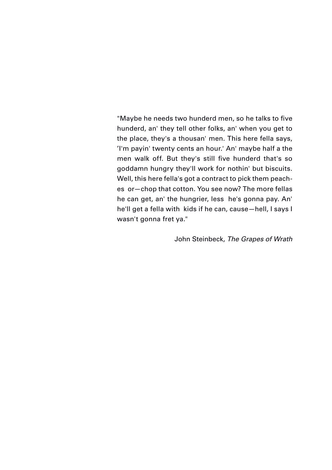"Maybe he needs two hunderd men, so he talks to five hunderd, an' they tell other folks, an' when you get to the place, they's a thousan' men. This here fella says, 'I'm payin' twenty cents an hour.' An' maybe half a the men walk off. But they's still five hunderd that's so goddamn hungry they'll work for nothin' but biscuits. Well, this here fella's got a contract to pick them peaches or—chop that cotton. You see now? The more fellas he can get, an' the hungrier, less he's gonna pay. An' he'll get a fella with kids if he can, cause—hell, I says I wasn't gonna fret ya."

John Steinbeck, *The Grapes of Wrath*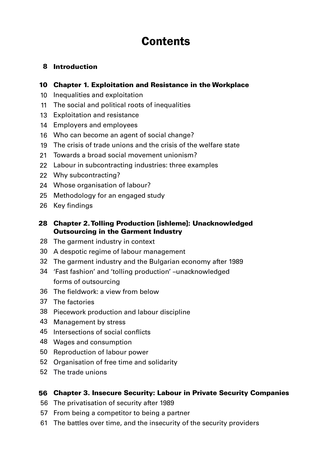### **Contents**

### Introduction

### Chapter 1. Exploitation and Resistance in the Workplace

- Inequalities and exploitation
- The social and political roots of inequalities
- Exploitation and resistance
- Employers and employees
- Who can become an agent of social change?
- The crisis of trade unions and the crisis of the welfare state
- Towards a broad social movement unionism?
- Labour in subcontracting industries: three examples
- Why subcontracting?
- Whose organisation of labour?
- Methodology for an engaged study
- Key findings

### Chapter 2. Tolling Production [ishleme]: Unacknowledged Outsourcing in the Garment Industry

- The garment industry in context
- A despotic regime of labour management
- The garment industry and the Bulgarian economy after 1989
- 'Fast fashion' and 'tolling production' –unacknowledged forms of outsourcing
- The fieldwork: a view from below
- The factories
- Piecework production and labour discipline
- Management by stress
- Intersections of social conflicts
- Wages and consumption
- Reproduction of labour power
- Organisation of free time and solidarity
- The trade unions

### Chapter 3. Insecure Security: Labour in Private Security Companies

- The privatisation of security after 1989
- From being a competitor to being a partner
- The battles over time, and the insecurity of the security providers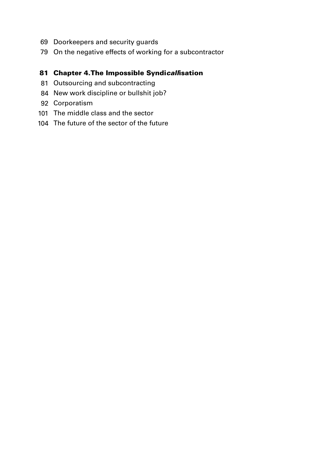- Doorkeepers and security guards
- On the negative effects of working for a subcontractor

### Chapter 4.The Impossible Syndi*call*isation

- Outsourcing and subcontracting
- New work discipline or bullshit job?
- Corporatism
- The middle class and the sector
- The future of the sector of the future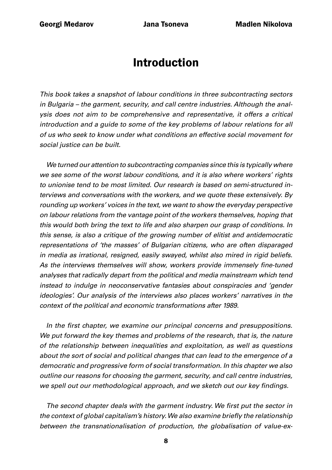### Introduction

<span id="page-7-0"></span>*This book takes a snapshot of labour conditions in three subcontracting sectors in Bulgaria – the garment, security, and call centre industries. Although the analysis does not aim to be comprehensive and representative, it offers a critical introduction and a guide to some of the key problems of labour relations for all of us who seek to know under what conditions an effective social movement for social justice can be built.* 

*We turned our attention to subcontracting companies since this is typically where we see some of the worst labour conditions, and it is also where workers' rights to unionise tend to be most limited. Our research is based on semi-structured interviews and conversations with the workers, and we quote these extensively. By rounding up workers' voices in the text, we want to show the everyday perspective on labour relations from the vantage point of the workers themselves, hoping that this would both bring the text to life and also sharpen our grasp of conditions. In this sense, is also a critique of the growing number of elitist and antidemocratic representations of 'the masses' of Bulgarian citizens, who are often disparaged in media as irrational, resigned, easily swayed, whilst also mired in rigid beliefs.*  As the interviews themselves will show, workers provide immensely fine-tuned *analyses that radically depart from the political and media mainstream which tend instead to indulge in neoconservative fantasies about conspiracies and 'gender ideologies'. Our analysis of the interviews also places workers' narratives in the context of the political and economic transformations after 1989.* 

In the first chapter, we examine our principal concerns and presuppositions. *We put forward the key themes and problems of the research, that is, the nature of the relationship between inequalities and exploitation, as well as questions about the sort of social and political changes that can lead to the emergence of a democratic and progressive form of social transformation. In this chapter we also outline our reasons for choosing the garment, security, and call centre industries,*  we spell out our methodological approach, and we sketch out our key findings.

The second chapter deals with the garment industry. We first put the sector in the context of global capitalism's history. We also examine briefly the relationship *between the transnationalisation of production, the globalisation of value-ex-*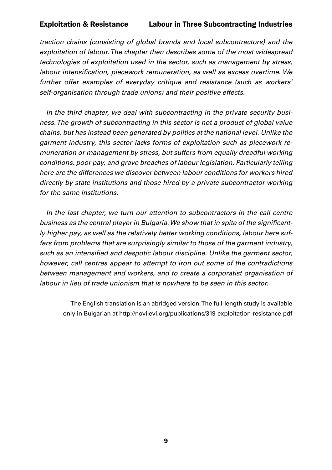*traction chains (consisting of global brands and local subcontractors) and the exploitation of labour. The chapter then describes some of the most widespread technologies of exploitation used in the sector, such as management by stress,*  labour intensification, piecework remuneration, as well as excess overtime. We *further offer examples of everyday critique and resistance (such as workers' self-organisation through trade unions) and their positive effects.*

*In the third chapter, we deal with subcontracting in the private security business. The growth of subcontracting in this sector is not a product of global value chains, but has instead been generated by politics at the national level. Unlike the garment industry, this sector lacks forms of exploitation such as piecework remuneration or management by stress, but suffers from equally dreadful working conditions, poor pay, and grave breaches of labour legislation. Particularly telling here are the differences we discover between labour conditions for workers hired directly by state institutions and those hired by a private subcontractor working for the same institutions.* 

In the last chapter, we turn our attention to subcontractors in the call centre business as the central player in Bulgaria. We show that in spite of the significant*ly higher pay, as well as the relatively better working conditions, labour here suffers from problems that are surprisingly similar to those of the garment industry,*  such as an intensified and despotic labour discipline. Unlike the garment sector, *however, call centres appear to attempt to iron out some of the contradictions between management and workers, and to create a corporatist organisation of labour in lieu of trade unionism that is nowhere to be seen in this sector.* 

The English translation is an abridged version. The full-length study is available only in Bulgarian at http://novilevi.org/publications/319-exploitation-resistance-pdf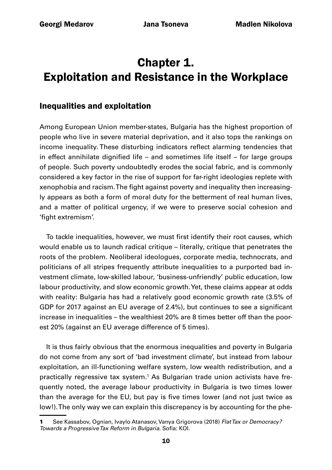### <span id="page-9-0"></span>Chapter 1. Exploitation and Resistance in the Workplace

### Inequalities and exploitation

Among European Union member-states, Bulgaria has the highest proportion of people who live in severe material deprivation, and it also tops the rankings on income inequality. These disturbing indicators reflect alarming tendencies that in effect annihilate dignified life – and sometimes life itself – for large groups of people. Such poverty undoubtedly erodes the social fabric, and is commonly considered a key factor in the rise of support for far-right ideologies replete with xenophobia and racism. The fight against poverty and inequality then increasingly appears as both a form of moral duty for the betterment of real human lives, and a matter of political urgency, if we were to preserve social cohesion and 'fight extremism'.

To tackle inequalities, however, we must first identify their root causes, which would enable us to launch radical critique – literally, critique that penetrates the roots of the problem. Neoliberal ideologues, corporate media, technocrats, and politicians of all stripes frequently attribute inequalities to a purported bad investment climate, low-skilled labour, 'business-unfriendly' public education, low labour productivity, and slow economic growth. Yet, these claims appear at odds with reality: Bulgaria has had a relatively good economic growth rate (3.5% of GDP for 2017 against an EU average of 2.4%), but continues to see a significant increase in inequalities – the wealthiest 20% are 8 times better off than the poorest 20% (against an EU average difference of 5 times).

It is thus fairly obvious that the enormous inequalities and poverty in Bulgaria do not come from any sort of 'bad investment climate', but instead from labour exploitation, an ill-functioning welfare system, low wealth redistribution, and a practically regressive tax system.<sup>1</sup> As Bulgarian trade union activists have frequently noted, the average labour productivity in Bulgaria is two times lower than the average for the EU, but pay is five times lower (and not just twice as low!). The only way we can explain this discrepancy is by accounting for the phe-

<sup>1</sup> See Kassabov, Ognian, Ivaylo Atanasov, Vanya Grigorova (2018) *Flat Tax or Democracy? Towards a Progressive Tax Reform in Bulgaria*. Sofia: KOI.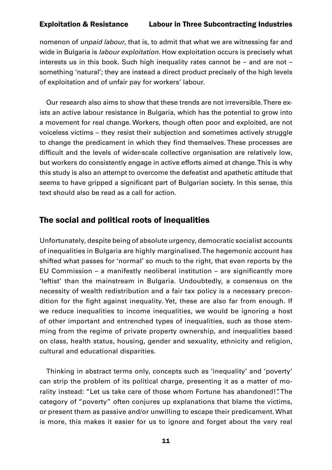<span id="page-10-0"></span>nomenon of *unpaid labour*, that is, to admit that what we are witnessing far and wide in Bulgaria is *labour exploitation*. How exploitation occurs is precisely what interests us in this book. Such high inequality rates cannot be – and are not – something 'natural'; they are instead a direct product precisely of the high levels of exploitation and of unfair pay for workers' labour.

Our research also aims to show that these trends are not irreversible. There exists an active labour resistance in Bulgaria, which has the potential to grow into a movement for real change. Workers, though often poor and exploited, are not voiceless victims – they resist their subjection and sometimes actively struggle to change the predicament in which they find themselves. These processes are difficult and the levels of wider-scale collective organisation are relatively low, but workers do consistently engage in active efforts aimed at change. This is why this study is also an attempt to overcome the defeatist and apathetic attitude that seems to have gripped a significant part of Bulgarian society. In this sense, this text should also be read as a call for action.

### The social and political roots of inequalities

Unfortunately, despite being of absolute urgency, democratic socialist accounts of inequalities in Bulgaria are highly marginalised. The hegemonic account has shifted what passes for 'normal' so much to the right, that even reports by the EU Commission – a manifestly neoliberal institution – are significantly more 'leftist' than the mainstream in Bulgaria. Undoubtedly, a consensus on the necessity of wealth redistribution and a fair tax policy is a necessary precondition for the fight against inequality. Yet, these are also far from enough. If we reduce inequalities to income inequalities, we would be ignoring a host of other important and entrenched types of inequalities, such as those stemming from the regime of private property ownership, and inequalities based on class, health status, housing, gender and sexuality, ethnicity and religion, cultural and educational disparities.

Thinking in abstract terms only, concepts such as 'inequality' and 'poverty' can strip the problem of its political charge, presenting it as a matter of morality instead: "Let us take care of those whom Fortune has abandoned!". The category of "poverty" often conjures up explanations that blame the victims, or present them as passive and/or unwilling to escape their predicament. What is more, this makes it easier for us to ignore and forget about the very real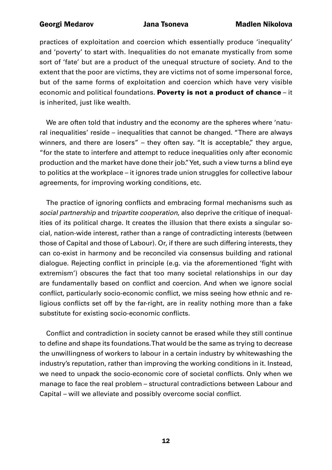practices of exploitation and coercion which essentially produce 'inequality' and 'poverty' to start with. Inequalities do not emanate mystically from some sort of 'fate' but are a product of the unequal structure of society. And to the extent that the poor are victims, they are victims not of some impersonal force, but of the same forms of exploitation and coercion which have very visible economic and political foundations. Poverty is not a product of chance - it is inherited, just like wealth.

We are often told that industry and the economy are the spheres where 'natural inequalities' reside – inequalities that cannot be changed. "There are always winners, and there are losers" – they often say. "It is acceptable," they argue, "for the state to interfere and attempt to reduce inequalities only after economic production and the market have done their job." Yet, such a view turns a blind eye to politics at the workplace – it ignores trade union struggles for collective labour agreements, for improving working conditions, etc.

The practice of ignoring conflicts and embracing formal mechanisms such as *social partnership* and *tripartite cooperation*, also deprive the critique of inequalities of its political charge. It creates the illusion that there exists a singular social, nation-wide interest, rather than a range of contradicting interests (between those of Capital and those of Labour). Or, if there are such differing interests, they can co-exist in harmony and be reconciled via consensus building and rational dialogue. Rejecting conflict in principle (e.g. via the aforementioned 'fight with extremism') obscures the fact that too many societal relationships in our day are fundamentally based on conflict and coercion. And when we ignore social conflict, particularly socio-economic conflict, we miss seeing how ethnic and religious conflicts set off by the far-right, are in reality nothing more than a fake substitute for existing socio-economic conflicts.

Conflict and contradiction in society cannot be erased while they still continue to define and shape its foundations. That would be the same as trying to decrease the unwillingness of workers to labour in a certain industry by whitewashing the industry's reputation, rather than improving the working conditions in it. Instead, we need to unpack the socio-economic core of societal conflicts. Only when we manage to face the real problem – structural contradictions between Labour and Capital – will we alleviate and possibly overcome social conflict.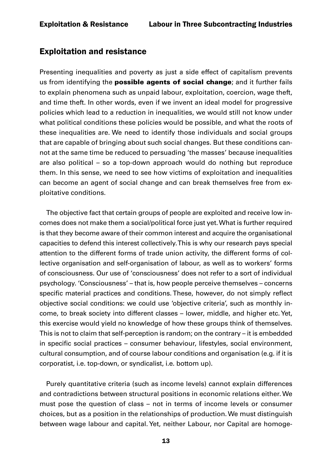### <span id="page-12-0"></span>Exploitation and resistance

Presenting inequalities and poverty as just a side effect of capitalism prevents us from identifying the **possible agents of social change**; and it further fails to explain phenomena such as unpaid labour, exploitation, coercion, wage theft, and time theft. In other words, even if we invent an ideal model for progressive policies which lead to a reduction in inequalities, we would still not know under what political conditions these policies would be possible, and what the roots of these inequalities are. We need to identify those individuals and social groups that are capable of bringing about such social changes. But these conditions cannot at the same time be reduced to persuading 'the masses' because inequalities are also political – so a top-down approach would do nothing but reproduce them. In this sense, we need to see how victims of exploitation and inequalities can become an agent of social change and can break themselves free from exploitative conditions.

The objective fact that certain groups of people are exploited and receive low incomes does not make them a social/political force just yet. What is further required is that they become aware of their common interest and acquire the organisational capacities to defend this interest collectively. This is why our research pays special attention to the different forms of trade union activity, the different forms of collective organisation and self-organisation of labour, as well as to workers' forms of consciousness. Our use of 'consciousness' does not refer to a sort of individual psychology. 'Consciousness' – that is, how people perceive themselves – concerns specific material practices and conditions. These, however, do not simply reflect objective social conditions: we could use 'objective criteria', such as monthly income, to break society into different classes – lower, middle, and higher etc. Yet, this exercise would yield no knowledge of how these groups think of themselves. This is not to claim that self-perception is random; on the contrary – it is embedded in specific social practices – consumer behaviour, lifestyles, social environment, cultural consumption, and of course labour conditions and organisation (e.g. if it is corporatist, i.e. top-down, or syndicalist, i.e. bottom up).

Purely quantitative criteria (such as income levels) cannot explain differences and contradictions between structural positions in economic relations either. We must pose the question of class – not in terms of income levels or consumer choices, but as a position in the relationships of production. We must distinguish between wage labour and capital. Yet, neither Labour, nor Capital are homoge-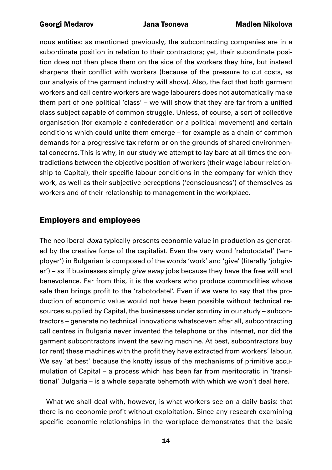<span id="page-13-0"></span>nous entities: as mentioned previously, the subcontracting companies are in a subordinate position in relation to their contractors; yet, their subordinate position does not then place them on the side of the workers they hire, but instead sharpens their conflict with workers (because of the pressure to cut costs, as our analysis of the garment industry will show). Also, the fact that both garment workers and call centre workers are wage labourers does not automatically make them part of one political 'class' – we will show that they are far from a unified class subject capable of common struggle. Unless, of course, a sort of collective organisation (for example a confederation or a political movement) and certain conditions which could unite them emerge – for example as a chain of common demands for a progressive tax reform or on the grounds of shared environmental concerns. This is why, in our study we attempt to lay bare at all times the contradictions between the objective position of workers (their wage labour relationship to Capital), their specific labour conditions in the company for which they work, as well as their subjective perceptions ('consciousness') of themselves as workers and of their relationship to management in the workplace.

### Employers and employees

The neoliberal *doxa* typically presents economic value in production as generated by the creative force of the capitalist. Even the very word 'rabotodatel' ('employer') in Bulgarian is composed of the words 'work' and 'give' (literally 'jobgiver') – as if businesses simply *give away* jobs because they have the free will and benevolence. Far from this, it is the workers who produce commodities whose sale then brings profit to the 'rabotodatel'. Even if we were to say that the production of economic value would not have been possible without technical resources supplied by Capital, the businesses under scrutiny in our study – subcontractors – generate no technical innovations whatsoever: after all, subcontracting call centres in Bulgaria never invented the telephone or the internet, nor did the garment subcontractors invent the sewing machine. At best, subcontractors buy (or rent) these machines with the profit they have extracted from workers' labour. We say 'at best' because the knotty issue of the mechanisms of primitive accumulation of Capital – a process which has been far from meritocratic in 'transitional' Bulgaria – is a whole separate behemoth with which we won't deal here.

What we shall deal with, however, is what workers see on a daily basis: that there is no economic profit without exploitation. Since any research examining specific economic relationships in the workplace demonstrates that the basic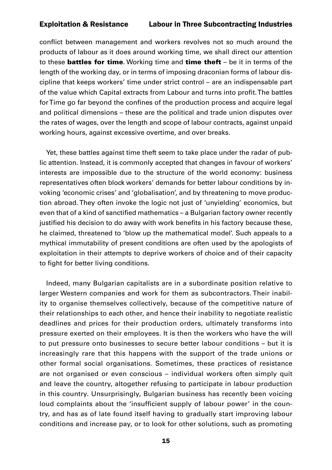conflict between management and workers revolves not so much around the products of labour as it does around working time, we shall direct our attention to these **battles for time**. Working time and **time theft**  $-$  be it in terms of the length of the working day, or in terms of imposing draconian forms of labour discipline that keeps workers' time under strict control – are an indispensable part of the value which Capital extracts from Labour and turns into profit. The battles for Time go far beyond the confines of the production process and acquire legal and political dimensions – these are the political and trade union disputes over the rates of wages, over the length and scope of labour contracts, against unpaid working hours, against excessive overtime, and over breaks.

Yet, these battles against time theft seem to take place under the radar of public attention. Instead, it is commonly accepted that changes in favour of workers' interests are impossible due to the structure of the world economy: business representatives often block workers' demands for better labour conditions by invoking 'economic crises' and 'globalisation', and by threatening to move production abroad. They often invoke the logic not just of 'unyielding' economics, but even that of a kind of sanctified mathematics – a Bulgarian factory owner recently justified his decision to do away with work benefits in his factory because these, he claimed, threatened to 'blow up the mathematical model'. Such appeals to a mythical immutability of present conditions are often used by the apologists of exploitation in their attempts to deprive workers of choice and of their capacity to fight for better living conditions.

Indeed, many Bulgarian capitalists are in a subordinate position relative to larger Western companies and work for them as subcontractors. Their inability to organise themselves collectively, because of the competitive nature of their relationships to each other, and hence their inability to negotiate realistic deadlines and prices for their production orders, ultimately transforms into pressure exerted on their employees. It is then the workers who have the will to put pressure onto businesses to secure better labour conditions – but it is increasingly rare that this happens with the support of the trade unions or other formal social organisations. Sometimes, these practices of resistance are not organised or even conscious – individual workers often simply quit and leave the country, altogether refusing to participate in labour production in this country. Unsurprisingly, Bulgarian business has recently been voicing loud complaints about the 'insufficient supply of labour power' in the country, and has as of late found itself having to gradually start improving labour conditions and increase pay, or to look for other solutions, such as promoting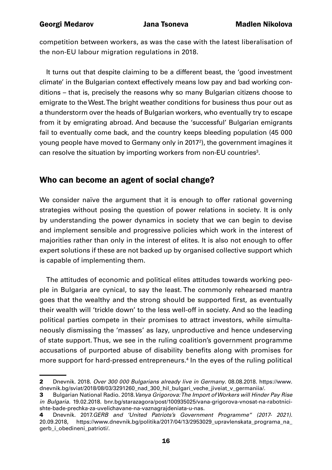<span id="page-15-0"></span>competition between workers, as was the case with the latest liberalisation of the non-EU labour migration regulations in 2018.

It turns out that despite claiming to be a different beast, the 'good investment climate' in the Bulgarian context effectively means low pay and bad working conditions – that is, precisely the reasons why so many Bulgarian citizens choose to emigrate to the West. The bright weather conditions for business thus pour out as a thunderstorm over the heads of Bulgarian workers, who eventually try to escape from it by emigrating abroad. And because the 'successful' Bulgarian emigrants fail to eventually come back, and the country keeps bleeding population (45 000 young people have moved to Germany only in 20172 ), the government imagines it can resolve the situation by importing workers from non-EU countries<sup>3</sup>.

### Who can become an agent of social change?

We consider naïve the argument that it is enough to offer rational governing strategies without posing the question of power relations in society. It is only by understanding the power dynamics in society that we can begin to devise and implement sensible and progressive policies which work in the interest of majorities rather than only in the interest of elites. It is also not enough to offer expert solutions if these are not backed up by organised collective support which is capable of implementing them.

The attitudes of economic and political elites attitudes towards working people in Bulgaria are cynical, to say the least. The commonly rehearsed mantra goes that the wealthy and the strong should be supported first, as eventually their wealth will 'trickle down' to the less well-off in society. And so the leading political parties compete in their promises to attract investors, while simultaneously dismissing the 'masses' as lazy, unproductive and hence undeserving of state support. Thus, we see in the ruling coalition's government programme accusations of purported abuse of disability benefits along with promises for more support for hard-pressed entrepreneurs.<sup>4</sup> In the eyes of the ruling political

<sup>2</sup> Dnevnik. 2018. *Over 300 000 Bulgarians already live in Germany*. 08.08.2018. [https://www.](https://www.dnevnik.bg/sviat/2018/08/03/3291260_nad_300_hil_bulgari_veche_jiveiat_v_germaniia/) dnevnik.bg/sviat/2018/08/03/3291260\_nad\_300\_hil\_bulgari\_veche\_ijveiat\_v\_germaniia/.

<sup>3</sup> Bulgarian National Radio. 2018.*Vanya Grigorova: The Import of Workers will Hinder Pay Rise in Bulgaria.* 19.02.2018. [bnr.bg/starazagora/post/100935025/vana-grigorova-vnosat-na-rabotnici](http://bnr.bg/starazagora/post/100935025/vana-grigorova-vnosat-na-rabotnici-shte-bade-prechka-za-uvelichavane-na-vaznagrajdeniata-u-nas.)[shte-bade-prechka-za-uvelichavane-na-vaznagrajdeniata-u-nas.](http://bnr.bg/starazagora/post/100935025/vana-grigorova-vnosat-na-rabotnici-shte-bade-prechka-za-uvelichavane-na-vaznagrajdeniata-u-nas.)

<sup>4</sup> Dnevnik. 2017.*GERB and 'United Patriots's Government Programme" (2017- 2021).* 20.09.2018, [https://www.dnevnik.bg/politika/2017/04/13/2953029\\_upravlenskata\\_programa\\_na\\_](https://www.dnevnik.bg/politika/2017/04/13/2953029_upravlenskata_programa_na_gerb_i_obedineni_patrioti/.) gerb i obedineni patrioti/.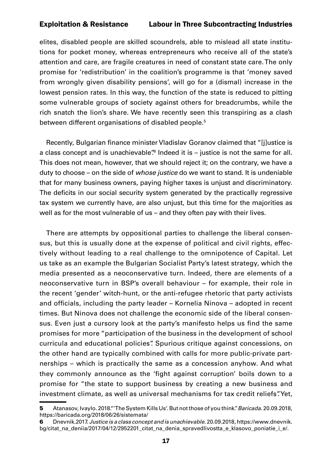elites, disabled people are skilled scoundrels, able to mislead all state institutions for pocket money, whereas entrepreneurs who receive all of the state's attention and care, are fragile creatures in need of constant state care. The only promise for 'redistribution' in the coalition's programme is that 'money saved from wrongly given disability pensions', will go for a (dismal) increase in the lowest pension rates. In this way, the function of the state is reduced to pitting some vulnerable groups of society against others for breadcrumbs, while the rich snatch the lion's share. We have recently seen this transpiring as a clash between different organisations of disabled people.<sup>5</sup>

Recently, Bulgarian finance minister Vladislav Goranov claimed that "[j]ustice is a class concept and is unachievable" Indeed it is  $-$  justice is not the same for all. This does not mean, however, that we should reject it; on the contrary, we have a duty to choose – on the side of *whose justice* do we want to stand. It is undeniable that for many business owners, paying higher taxes is unjust and discriminatory. The deficits in our social security system generated by the practically regressive tax system we currently have, are also unjust, but this time for the majorities as well as for the most vulnerable of us – and they often pay with their lives.

There are attempts by oppositional parties to challenge the liberal consensus, but this is usually done at the expense of political and civil rights, effectively without leading to a real challenge to the omnipotence of Capital. Let us take as an example the Bulgarian Socialist Party's latest strategy, which the media presented as a neoconservative turn. Indeed, there are elements of a neoconservative turn in BSP's overall behaviour – for example, their role in the recent 'gender' witch-hunt, or the anti-refugee rhetoric that party activists and officials, including the party leader – Kornelia Ninova – adopted in recent times. But Ninova does not challenge the economic side of the liberal consensus. Even just a cursory look at the party's manifesto helps us find the same promises for more "participation of the business in the development of school curricula and educational policies". Spurious critique against concessions, on the other hand are typically combined with calls for more public-private partnerships – which is practically the same as a concession anyhow. And what they commonly announce as the 'fight against corruption' boils down to a promise for "the state to support business by creating a new business and investment climate, as well as universal mechanisms for tax credit reliefs". Yet,

<sup>5</sup> Atanasov, Ivaylo. 2018."'The System Kills Us'. But not those of you think."*Baricada*. 20.09.2018, <https://baricada.org/2018/06/26/sistemata/>

<sup>6</sup> Dnevnik.2017. *Justice is a class concept and is unachievable*. 20.09.2018, [https://www.dnevnik.](https://www.dnevnik.bg/citat_na_deniia/2017/04/12/2952201_citat_na_denia_spravedlivostta_e_klasovo_poniatie_i_e/) [bg/citat\\_na\\_deniia/2017/04/12/2952201\\_citat\\_na\\_denia\\_spravedlivostta\\_e\\_klasovo\\_poniatie\\_i\\_e/](https://www.dnevnik.bg/citat_na_deniia/2017/04/12/2952201_citat_na_denia_spravedlivostta_e_klasovo_poniatie_i_e/).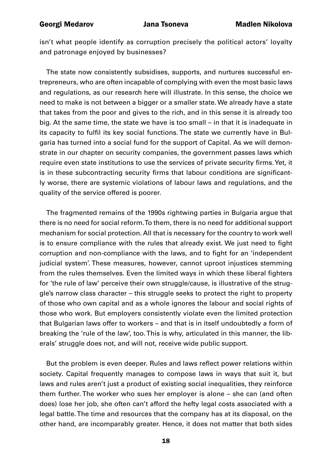isn't what people identify as corruption precisely the political actors' loyalty and patronage enjoyed by businesses?

The state now consistently subsidises, supports, and nurtures successful entrepreneurs, who are often incapable of complying with even the most basic laws and regulations, as our research here will illustrate. In this sense, the choice we need to make is not between a bigger or a smaller state. We already have a state that takes from the poor and gives to the rich, and in this sense it is already too big. At the same time, the state we have is too small – in that it is inadequate in its capacity to fulfil its key social functions. The state we currently have in Bulgaria has turned into a social fund for the support of Capital. As we will demonstrate in our chapter on security companies, the government passes laws which require even state institutions to use the services of private security firms. Yet, it is in these subcontracting security firms that labour conditions are significantly worse, there are systemic violations of labour laws and regulations, and the quality of the service offered is poorer.

The fragmented remains of the 1990s rightwing parties in Bulgaria argue that there is no need for social reform. To them, there is no need for additional support mechanism for social protection. All that is necessary for the country to work well is to ensure compliance with the rules that already exist. We just need to fight corruption and non-compliance with the laws, and to fight for an 'independent judicial system'. These measures, however, cannot uproot injustices stemming from the rules themselves. Even the limited ways in which these liberal fighters for 'the rule of law' perceive their own struggle/cause, is illustrative of the struggle's narrow class character – this struggle seeks to protect the right to property of those who own capital and as a whole ignores the labour and social rights of those who work. But employers consistently violate even the limited protection that Bulgarian laws offer to workers – and that is in itself undoubtedly a form of breaking the 'rule of the law', too. This is why, articulated in this manner, the liberals' struggle does not, and will not, receive wide public support.

But the problem is even deeper. Rules and laws reflect power relations within society. Capital frequently manages to compose laws in ways that suit it, but laws and rules aren't just a product of existing social inequalities, they reinforce them further. The worker who sues her employer is alone – she can (and often does) lose her job, she often can't afford the hefty legal costs associated with a legal battle. The time and resources that the company has at its disposal, on the other hand, are incomparably greater. Hence, it does not matter that both sides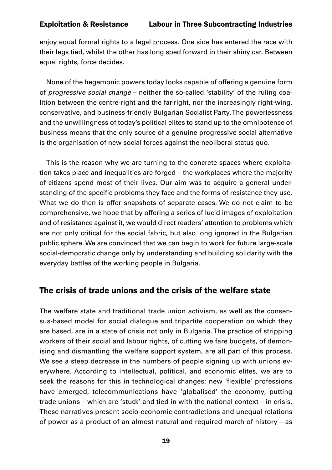<span id="page-18-0"></span>enjoy equal formal rights to a legal process. One side has entered the race with their legs tied, whilst the other has long sped forward in their shiny car. Between equal rights, force decides.

None of the hegemonic powers today looks capable of offering a genuine form of *progressive social change* – neither the so-called 'stability' of the ruling coalition between the centre-right and the far-right, nor the increasingly right-wing, conservative, and business-friendly Bulgarian Socialist Party. The powerlessness and the unwillingness of today's political elites to stand up to the omnipotence of business means that the only source of a genuine progressive social alternative is the organisation of new social forces against the neoliberal status quo.

This is the reason why we are turning to the concrete spaces where exploitation takes place and inequalities are forged – the workplaces where the majority of citizens spend most of their lives. Our aim was to acquire a general understanding of the specific problems they face and the forms of resistance they use. What we do then is offer snapshots of separate cases. We do not claim to be comprehensive, we hope that by offering a series of lucid images of exploitation and of resistance against it, we would direct readers' attention to problems which are not only critical for the social fabric, but also long ignored in the Bulgarian public sphere. We are convinced that we can begin to work for future large-scale social-democratic change only by understanding and building solidarity with the everyday battles of the working people in Bulgaria.

### The crisis of trade unions and the crisis of the welfare state

The welfare state and traditional trade union activism, as well as the consensus-based model for social dialogue and tripartite cooperation on which they are based, are in a state of crisis not only in Bulgaria. The practice of stripping workers of their social and labour rights, of cutting welfare budgets, of demonising and dismantling the welfare support system, are all part of this process. We see a steep decrease in the numbers of people signing up with unions everywhere. According to intellectual, political, and economic elites, we are to seek the reasons for this in technological changes: new 'flexible' professions have emerged, telecommunications have 'globalised' the economy, putting trade unions – which are 'stuck' and tied in with the national context – in crisis. These narratives present socio-economic contradictions and unequal relations of power as a product of an almost natural and required march of history – as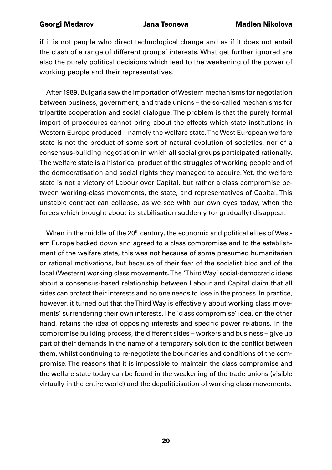if it is not people who direct technological change and as if it does not entail the clash of a range of different groups' interests. What get further ignored are also the purely political decisions which lead to the weakening of the power of working people and their representatives.

After 1989, Bulgaria saw the importation of Western mechanisms for negotiation between business, government, and trade unions – the so-called mechanisms for tripartite cooperation and social dialogue. The problem is that the purely formal import of procedures cannot bring about the effects which state institutions in Western Europe produced – namely the welfare state. The West European welfare state is not the product of some sort of natural evolution of societies, nor of a consensus-building negotiation in which all social groups participated rationally. The welfare state is a historical product of the struggles of working people and of the democratisation and social rights they managed to acquire. Yet, the welfare state is not a victory of Labour over Capital, but rather a class compromise between working-class movements, the state, and representatives of Capital. This unstable contract can collapse, as we see with our own eyes today, when the forces which brought about its stabilisation suddenly (or gradually) disappear.

When in the middle of the  $20<sup>th</sup>$  century, the economic and political elites of Western Europe backed down and agreed to a class compromise and to the establishment of the welfare state, this was not because of some presumed humanitarian or rational motivations, but because of their fear of the socialist bloc and of the local (Western) working class movements. The 'Third Way' social-democratic ideas about a consensus-based relationship between Labour and Capital claim that all sides can protect their interests and no one needs to lose in the process. In practice, however, it turned out that the Third Way is effectively about working class movements' surrendering their own interests. The 'class compromise' idea, on the other hand, retains the idea of opposing interests and specific power relations. In the compromise building process, the different sides – workers and business – give up part of their demands in the name of a temporary solution to the conflict between them, whilst continuing to re-negotiate the boundaries and conditions of the compromise. The reasons that it is impossible to maintain the class compromise and the welfare state today can be found in the weakening of the trade unions (visible virtually in the entire world) and the depoliticisation of working class movements.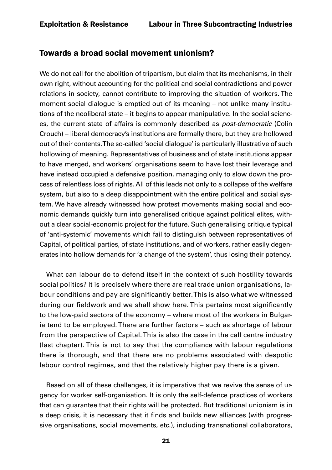### <span id="page-20-0"></span>Towards a broad social movement unionism?

We do not call for the abolition of tripartism, but claim that its mechanisms, in their own right, without accounting for the political and social contradictions and power relations in society, cannot contribute to improving the situation of workers. The moment social dialogue is emptied out of its meaning – not unlike many institutions of the neoliberal state – it begins to appear manipulative. In the social sciences, the current state of affairs is commonly described as *post-democratic* (Colin Crouch) – liberal democracy's institutions are formally there, but they are hollowed out of their contents. The so-called 'social dialogue' is particularly illustrative of such hollowing of meaning. Representatives of business and of state institutions appear to have merged, and workers' organisations seem to have lost their leverage and have instead occupied a defensive position, managing only to slow down the process of relentless loss of rights. All of this leads not only to a collapse of the welfare system, but also to a deep disappointment with the entire political and social system. We have already witnessed how protest movements making social and economic demands quickly turn into generalised critique against political elites, without a clear social-economic project for the future. Such generalising critique typical of 'anti-systemic' movements which fail to distinguish between representatives of Capital, of political parties, of state institutions, and of workers, rather easily degenerates into hollow demands for 'a change of the system', thus losing their potency.

What can labour do to defend itself in the context of such hostility towards social politics? It is precisely where there are real trade union organisations, labour conditions and pay are significantly better. This is also what we witnessed during our fieldwork and we shall show here. This pertains most significantly to the low-paid sectors of the economy – where most of the workers in Bulgaria tend to be employed. There are further factors – such as shortage of labour from the perspective of Capital. This is also the case in the call centre industry (last chapter). This is not to say that the compliance with labour regulations there is thorough, and that there are no problems associated with despotic labour control regimes, and that the relatively higher pay there is a given.

Based on all of these challenges, it is imperative that we revive the sense of urgency for worker self-organisation. It is only the self-defence practices of workers that can guarantee that their rights will be protected. But traditional unionism is in a deep crisis, it is necessary that it finds and builds new alliances (with progressive organisations, social movements, etc.), including transnational collaborators,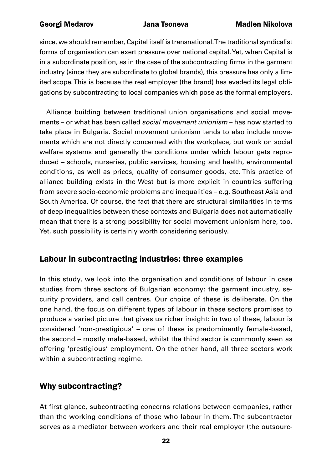<span id="page-21-0"></span>since, we should remember, Capital itself is transnational. The traditional syndicalist forms of organisation can exert pressure over national capital. Yet, when Capital is in a subordinate position, as in the case of the subcontracting firms in the garment industry (since they are subordinate to global brands), this pressure has only a limited scope. This is because the real employer (the brand) has evaded its legal obligations by subcontracting to local companies which pose as the formal employers.

Alliance building between traditional union organisations and social movements – or what has been called *social movement unionism* – has now started to take place in Bulgaria. Social movement unionism tends to also include movements which are not directly concerned with the workplace, but work on social welfare systems and generally the conditions under which labour gets reproduced – schools, nurseries, public services, housing and health, environmental conditions, as well as prices, quality of consumer goods, etc. This practice of alliance building exists in the West but is more explicit in countries suffering from severe socio-economic problems and inequalities – e.g. Southeast Asia and South America. Of course, the fact that there are structural similarities in terms of deep inequalities between these contexts and Bulgaria does not automatically mean that there is a strong possibility for social movement unionism here, too. Yet, such possibility is certainly worth considering seriously.

### Labour in subcontracting industries: three examples

In this study, we look into the organisation and conditions of labour in case studies from three sectors of Bulgarian economy: the garment industry, security providers, and call centres. Our choice of these is deliberate. On the one hand, the focus on different types of labour in these sectors promises to produce a varied picture that gives us richer insight: in two of these, labour is considered 'non-prestigious' – one of these is predominantly female-based, the second – mostly male-based, whilst the third sector is commonly seen as offering 'prestigious' employment. On the other hand, all three sectors work within a subcontracting regime.

### Why subcontracting?

At first glance, subcontracting concerns relations between companies, rather than the working conditions of those who labour in them. The subcontractor serves as a mediator between workers and their real employer (the outsourc-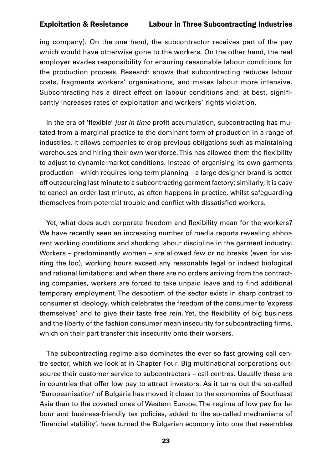ing company). On the one hand, the subcontractor receives part of the pay which would have otherwise gone to the workers. On the other hand, the real employer evades responsibility for ensuring reasonable labour conditions for the production process. Research shows that subcontracting reduces labour costs, fragments workers' organisations, and makes labour more intensive. Subcontracting has a direct effect on labour conditions and, at best, significantly increases rates of exploitation and workers' rights violation.

In the era of 'flexible' *just in time* profit accumulation, subcontracting has mutated from a marginal practice to the dominant form of production in a range of industries. It allows companies to drop previous obligations such as maintaining warehouses and hiring their own workforce. This has allowed them the flexibility to adjust to dynamic market conditions. Instead of organising its own garments production – which requires long-term planning – a large designer brand is better off outsourcing last minute to a subcontracting garment factory; similarly, it is easy to cancel an order last minute, as often happens in practice, whilst safeguarding themselves from potential trouble and conflict with dissatisfied workers.

Yet, what does such corporate freedom and flexibility mean for the workers? We have recently seen an increasing number of media reports revealing abhorrent working conditions and shocking labour discipline in the garment industry. Workers – predominantly women – are allowed few or no breaks (even for visiting the loo), working hours exceed any reasonable legal or indeed biological and rational limitations; and when there are no orders arriving from the contracting companies, workers are forced to take unpaid leave and to find additional temporary employment. The despotism of the sector exists in sharp contrast to consumerist ideology, which celebrates the freedom of the consumer to 'express themselves' and to give their taste free rein. Yet, the flexibility of big business and the liberty of the fashion consumer mean insecurity for subcontracting firms, which on their part transfer this insecurity onto their workers.

The subcontracting regime also dominates the ever so fast growing call centre sector, which we look at in Chapter Four. Big multinational corporations outsource their customer service to subcontractors – call centres. Usually these are in countries that offer low pay to attract investors. As it turns out the so-called 'Europeanisation' of Bulgaria has moved it closer to the economies of Southeast Asia than to the coveted ones of Western Europe. The regime of low pay for labour and business-friendly tax policies, added to the so-called mechanisms of 'financial stability', have turned the Bulgarian economy into one that resembles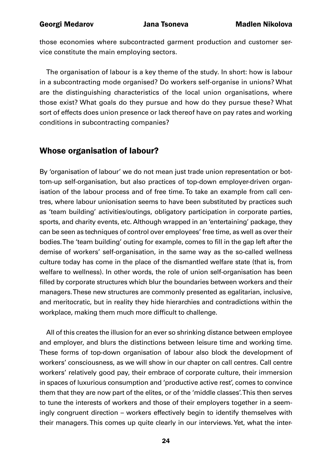<span id="page-23-0"></span>those economies where subcontracted garment production and customer service constitute the main employing sectors.

The organisation of labour is a key theme of the study. In short: how is labour in a subcontracting mode organised? Do workers self-organise in unions? What are the distinguishing characteristics of the local union organisations, where those exist? What goals do they pursue and how do they pursue these? What sort of effects does union presence or lack thereof have on pay rates and working conditions in subcontracting companies?

### Whose organisation of labour?

By 'organisation of labour' we do not mean just trade union representation or bottom-up self-organisation, but also practices of top-down employer-driven organisation of the labour process and of free time. To take an example from call centres, where labour unionisation seems to have been substituted by practices such as 'team building' activities/outings, obligatory participation in corporate parties, sports, and charity events, etc. Although wrapped in an 'entertaining' package, they can be seen as techniques of control over employees' free time, as well as over their bodies. The 'team building' outing for example, comes to fill in the gap left after the demise of workers' self-organisation, in the same way as the so-called wellness culture today has come in the place of the dismantled welfare state (that is, from welfare to wellness). In other words, the role of union self-organisation has been filled by corporate structures which blur the boundaries between workers and their managers. These new structures are commonly presented as egalitarian, inclusive, and meritocratic, but in reality they hide hierarchies and contradictions within the workplace, making them much more difficult to challenge.

All of this creates the illusion for an ever so shrinking distance between employee and employer, and blurs the distinctions between leisure time and working time. These forms of top-down organisation of labour also block the development of workers' consciousness, as we will show in our chapter on call centres. Call centre workers' relatively good pay, their embrace of corporate culture, their immersion in spaces of luxurious consumption and 'productive active rest', comes to convince them that they are now part of the elites, or of the 'middle classes'. This then serves to tune the interests of workers and those of their employers together in a seemingly congruent direction – workers effectively begin to identify themselves with their managers. This comes up quite clearly in our interviews. Yet, what the inter-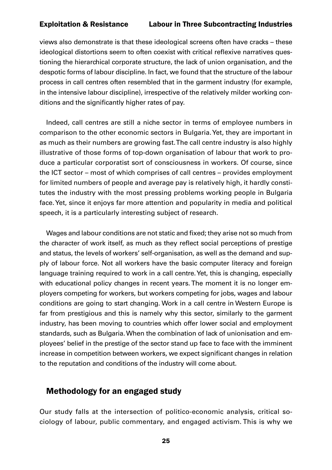<span id="page-24-0"></span>views also demonstrate is that these ideological screens often have cracks – these ideological distortions seem to often coexist with critical reflexive narratives questioning the hierarchical corporate structure, the lack of union organisation, and the despotic forms of labour discipline. In fact, we found that the structure of the labour process in call centres often resembled that in the garment industry (for example, in the intensive labour discipline), irrespective of the relatively milder working conditions and the significantly higher rates of pay.

Indeed, call centres are still a niche sector in terms of employee numbers in comparison to the other economic sectors in Bulgaria. Yet, they are important in as much as their numbers are growing fast. The call centre industry is also highly illustrative of those forms of top-down organisation of labour that work to produce a particular corporatist sort of consciousness in workers. Of course, since the ICT sector – most of which comprises of call centres – provides employment for limited numbers of people and average pay is relatively high, it hardly constitutes the industry with the most pressing problems working people in Bulgaria face. Yet, since it enjoys far more attention and popularity in media and political speech, it is a particularly interesting subject of research.

Wages and labour conditions are not static and fixed; they arise not so much from the character of work itself, as much as they reflect social perceptions of prestige and status, the levels of workers' self-organisation, as well as the demand and supply of labour force. Not all workers have the basic computer literacy and foreign language training required to work in a call centre. Yet, this is changing, especially with educational policy changes in recent years. The moment it is no longer employers competing for workers, but workers competing for jobs, wages and labour conditions are going to start changing. Work in a call centre in Western Europe is far from prestigious and this is namely why this sector, similarly to the garment industry, has been moving to countries which offer lower social and employment standards, such as Bulgaria. When the combination of lack of unionisation and employees' belief in the prestige of the sector stand up face to face with the imminent increase in competition between workers, we expect significant changes in relation to the reputation and conditions of the industry will come about.

### Methodology for an engaged study

Our study falls at the intersection of politico-economic analysis, critical sociology of labour, public commentary, and engaged activism. This is why we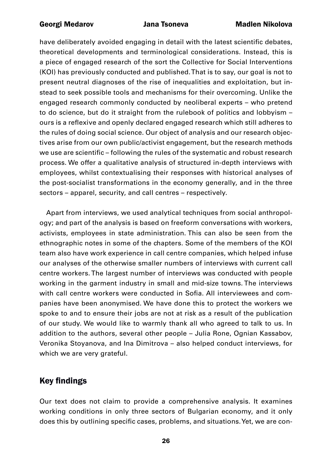<span id="page-25-0"></span>have deliberately avoided engaging in detail with the latest scientific debates, theoretical developments and terminological considerations. Instead, this is a piece of engaged research of the sort the Collective for Social Interventions (KOI) has previously conducted and published. That is to say, our goal is not to present neutral diagnoses of the rise of inequalities and exploitation, but instead to seek possible tools and mechanisms for their overcoming. Unlike the engaged research commonly conducted by neoliberal experts – who pretend to do science, but do it straight from the rulebook of politics and lobbyism – ours is a reflexive and openly declared engaged research which still adheres to the rules of doing social science. Our object of analysis and our research objectives arise from our own public/activist engagement, but the research methods we use are scientific – following the rules of the systematic and robust research process. We offer a qualitative analysis of structured in-depth interviews with employees, whilst contextualising their responses with historical analyses of the post-socialist transformations in the economy generally, and in the three sectors – apparel, security, and call centres – respectively.

Apart from interviews, we used analytical techniques from social anthropology; and part of the analysis is based on freeform conversations with workers, activists, employees in state administration. This can also be seen from the ethnographic notes in some of the chapters. Some of the members of the KOI team also have work experience in call centre companies, which helped infuse our analyses of the otherwise smaller numbers of interviews with current call centre workers. The largest number of interviews was conducted with people working in the garment industry in small and mid-size towns. The interviews with call centre workers were conducted in Sofia. All interviewees and companies have been anonymised. We have done this to protect the workers we spoke to and to ensure their jobs are not at risk as a result of the publication of our study. We would like to warmly thank all who agreed to talk to us. In addition to the authors, several other people – Julia Rone, Ognian Kassabov, Veronika Stoyanova, and Ina Dimitrova – also helped conduct interviews, for which we are very grateful.

### Key findings

Our text does not claim to provide a comprehensive analysis. It examines working conditions in only three sectors of Bulgarian economy, and it only does this by outlining specific cases, problems, and situations. Yet, we are con-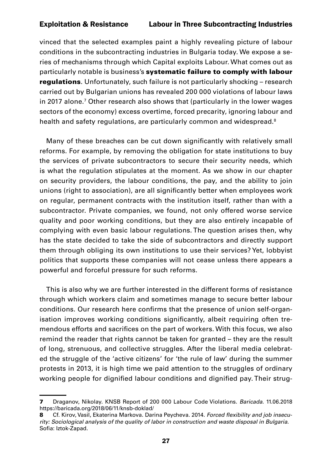vinced that the selected examples paint a highly revealing picture of labour conditions in the subcontracting industries in Bulgaria today. We expose a series of mechanisms through which Capital exploits Labour. What comes out as particularly notable is business's systematic failure to comply with labour regulations. Unfortunately, such failure is not particularly shocking - research carried out by Bulgarian unions has revealed 200 000 violations of labour laws in 2017 alone.<sup>7</sup> Other research also shows that (particularly in the lower wages sectors of the economy) excess overtime, forced precarity, ignoring labour and health and safety regulations, are particularly common and widespread.<sup>8</sup>

Many of these breaches can be cut down significantly with relatively small reforms. For example, by removing the obligation for state institutions to buy the services of private subcontractors to secure their security needs, which is what the regulation stipulates at the moment. As we show in our chapter on security providers, the labour conditions, the pay, and the ability to join unions (right to association), are all significantly better when employees work on regular, permanent contracts with the institution itself, rather than with a subcontractor. Private companies, we found, not only offered worse service quality and poor working conditions, but they are also entirely incapable of complying with even basic labour regulations. The question arises then, why has the state decided to take the side of subcontractors and directly support them through obliging its own institutions to use their services? Yet, lobbyist politics that supports these companies will not cease unless there appears a powerful and forceful pressure for such reforms.

This is also why we are further interested in the different forms of resistance through which workers claim and sometimes manage to secure better labour conditions. Our research here confirms that the presence of union self-organisation improves working conditions significantly, albeit requiring often tremendous efforts and sacrifices on the part of workers. With this focus, we also remind the reader that rights cannot be taken for granted – they are the result of long, strenuous, and collective struggles. After the liberal media celebrated the struggle of the 'active citizens' for 'the rule of law' during the summer protests in 2013, it is high time we paid attention to the struggles of ordinary working people for dignified labour conditions and dignified pay. Their strug-

<sup>7</sup> Draganov, Nikolay. KNSB Report of 200 000 Labour Code Violations. *Baricada*. 11.06.2018 <https://baricada.org/2018/06/11/knsb-doklad/>

<sup>8</sup> Cf. Kirov, Vasil, Ekaterina Markova. Darina Peycheva. 2014. Forced flexibility and job insecu*rity: Sociological analysis of the quality of labor in construction and waste disposal in Bulgaria.* Sofia: Iztok-Zapad.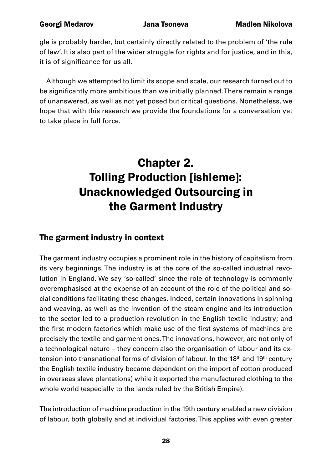<span id="page-27-0"></span>gle is probably harder, but certainly directly related to the problem of 'the rule of law'. It is also part of the wider struggle for rights and for justice, and in this, it is of significance for us all.

Although we attempted to limit its scope and scale, our research turned out to be significantly more ambitious than we initially planned. There remain a range of unanswered, as well as not yet posed but critical questions. Nonetheless, we hope that with this research we provide the foundations for a conversation yet to take place in full force.

### Chapter 2. Tolling Production [ishleme]: Unacknowledged Outsourcing in the Garment Industry

### The garment industry in context

The garment industry occupies a prominent role in the history of capitalism from its very beginnings. The industry is at the core of the so-called industrial revolution in England. We say 'so-called' since the role of technology is commonly overemphasised at the expense of an account of the role of the political and social conditions facilitating these changes. Indeed, certain innovations in spinning and weaving, as well as the invention of the steam engine and its introduction to the sector led to a production revolution in the English textile industry; and the first modern factories which make use of the first systems of machines are precisely the textile and garment ones. The innovations, however, are not only of a technological nature – they concern also the organisation of labour and its extension into transnational forms of division of labour. In the 18<sup>th</sup> and 19<sup>th</sup> century the English textile industry became dependent on the import of cotton produced in overseas slave plantations) while it exported the manufactured clothing to the whole world (especially to the lands ruled by the British Empire).

The introduction of machine production in the 19th century enabled a new division of labour, both globally and at individual factories. This applies with even greater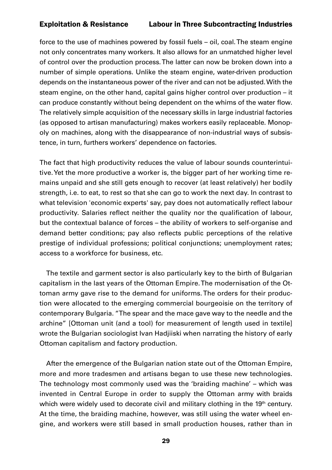force to the use of machines powered by fossil fuels – oil, coal. The steam engine not only concentrates many workers. It also allows for an unmatched higher level of control over the production process. The latter can now be broken down into a number of simple operations. Unlike the steam engine, water-driven production depends on the instantaneous power of the river and can not be adjusted. With the steam engine, on the other hand, capital gains higher control over production – it can produce constantly without being dependent on the whims of the water flow. The relatively simple acquisition of the necessary skills in large industrial factories (as opposed to artisan manufacturing) makes workers easily replaceable. Monopoly on machines, along with the disappearance of non-industrial ways of subsistence, in turn, furthers workers' dependence on factories.

The fact that high productivity reduces the value of labour sounds counterintuitive. Yet the more productive a worker is, the bigger part of her working time remains unpaid and she still gets enough to recover (at least relatively) her bodily strength, i.e. to eat, to rest so that she can go to work the next day. In contrast to what television 'economic experts' say, pay does not automatically reflect labour productivity. Salaries reflect neither the quality nor the qualification of labour, but the contextual balance of forces – the ability of workers to self-organise and demand better conditions; pay also reflects public perceptions of the relative prestige of individual professions; political conjunctions; unemployment rates; access to a workforce for business, etc.

The textile and garment sector is also particularly key to the birth of Bulgarian capitalism in the last years of the Ottoman Empire. The modernisation of the Ottoman army gave rise to the demand for uniforms. The orders for their production were allocated to the emerging commercial bourgeoisie on the territory of contemporary Bulgaria. "The spear and the mace gave way to the needle and the archine" [Ottoman unit (and a tool) for measurement of length used in textile] wrote the Bulgarian sociologist Ivan Hadjiiski when narrating the history of early Ottoman capitalism and factory production.

After the emergence of the Bulgarian nation state out of the Ottoman Empire, more and more tradesmen and artisans began to use these new technologies. The technology most commonly used was the 'braiding machine' – which was invented in Central Europe in order to supply the Ottoman army with braids which were widely used to decorate civil and military clothing in the 19<sup>th</sup> century. At the time, the braiding machine, however, was still using the water wheel engine, and workers were still based in small production houses, rather than in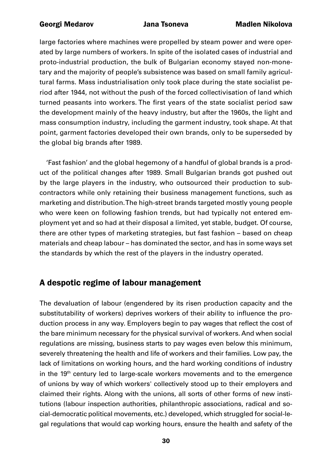<span id="page-29-0"></span>large factories where machines were propelled by steam power and were operated by large numbers of workers. In spite of the isolated cases of industrial and proto-industrial production, the bulk of Bulgarian economy stayed non-monetary and the majority of people's subsistence was based on small family agricultural farms. Mass industrialisation only took place during the state socialist period after 1944, not without the push of the forced collectivisation of land which turned peasants into workers. The first years of the state socialist period saw the development mainly of the heavy industry, but after the 1960s, the light and mass consumption industry, including the garment industry, took shape. At that point, garment factories developed their own brands, only to be superseded by the global big brands after 1989.

'Fast fashion' and the global hegemony of a handful of global brands is a product of the political changes after 1989. Small Bulgarian brands got pushed out by the large players in the industry, who outsourced their production to subcontractors while only retaining their business management functions, such as marketing and distribution. The high-street brands targeted mostly young people who were keen on following fashion trends, but had typically not entered employment yet and so had at their disposal a limited, yet stable, budget. Of course, there are other types of marketing strategies, but fast fashion – based on cheap materials and cheap labour – has dominated the sector, and has in some ways set the standards by which the rest of the players in the industry operated.

### A despotic regime of labour management

The devaluation of labour (engendered by its risen production capacity and the substitutability of workers) deprives workers of their ability to influence the production process in any way. Employers begin to pay wages that reflect the cost of the bare minimum necessary for the physical survival of workers. And when social regulations are missing, business starts to pay wages even below this minimum, severely threatening the health and life of workers and their families. Low pay, the lack of limitations on working hours, and the hard working conditions of industry in the 19<sup>th</sup> century led to large-scale workers movements and to the emergence of unions by way of which workers' collectively stood up to their employers and claimed their rights. Along with the unions, all sorts of other forms of new institutions (labour inspection authorities, philanthropic associations, radical and social-democratic political movements, etc.) developed, which struggled for social-legal regulations that would cap working hours, ensure the health and safety of the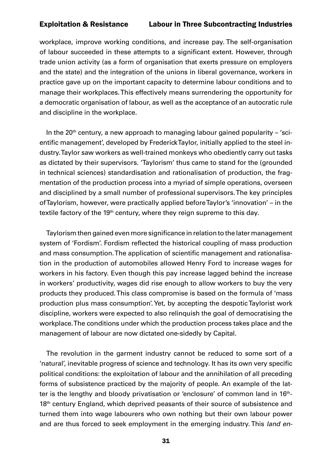workplace, improve working conditions, and increase pay. The self-organisation of labour succeeded in these attempts to a significant extent. However, through trade union activity (as a form of organisation that exerts pressure on employers and the state) and the integration of the unions in liberal governance, workers in practice gave up on the important capacity to determine labour conditions and to manage their workplaces. This effectively means surrendering the opportunity for a democratic organisation of labour, as well as the acceptance of an autocratic rule and discipline in the workplace.

In the  $20<sup>th</sup>$  century, a new approach to managing labour gained popularity – 'scientific management', developed by Frederick Taylor, initially applied to the steel industry. Taylor saw workers as well-trained monkeys who obediently carry out tasks as dictated by their supervisors. 'Taylorism' thus came to stand for the (grounded in technical sciences) standardisation and rationalisation of production, the fragmentation of the production process into a myriad of simple operations, overseen and disciplined by a small number of professional supervisors. The key principles of Taylorism, however, were practically applied before Taylor's 'innovation' – in the textile factory of the 19<sup>th</sup> century, where they reign supreme to this day.

Taylorism then gained even more significance in relation to the later management system of 'Fordism'. Fordism reflected the historical coupling of mass production and mass consumption. The application of scientific management and rationalisation in the production of automobiles allowed Henry Ford to increase wages for workers in his factory. Even though this pay increase lagged behind the increase in workers' productivity, wages did rise enough to allow workers to buy the very products they produced. This class compromise is based on the formula of 'mass production plus mass consumption'. Yet, by accepting the despotic Taylorist work discipline, workers were expected to also relinquish the goal of democratising the workplace. The conditions under which the production process takes place and the management of labour are now dictated one-sidedly by Capital.

The revolution in the garment industry cannot be reduced to some sort of a 'natural', inevitable progress of science and technology. It has its own very specific political conditions: the exploitation of labour and the annihilation of all preceding forms of subsistence practiced by the majority of people. An example of the latter is the lengthy and bloody privatisation or 'enclosure' of common land in 16<sup>th</sup>-18<sup>th</sup> century England, which deprived peasants of their source of subsistence and turned them into wage labourers who own nothing but their own labour power and are thus forced to seek employment in the emerging industry. This *land en-*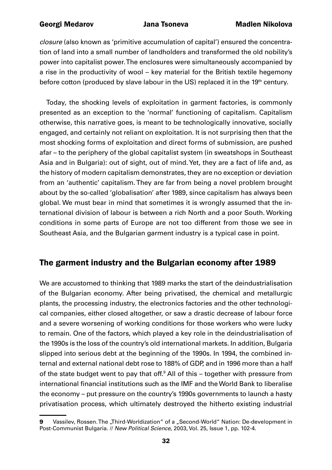<span id="page-31-0"></span>*closure* (also known as 'primitive accumulation of capital') ensured the concentration of land into a small number of landholders and transformed the old nobility's power into capitalist power. The enclosures were simultaneously accompanied by a rise in the productivity of wool – key material for the British textile hegemony before cotton (produced by slave labour in the US) replaced it in the 19<sup>th</sup> century.

Today, the shocking levels of exploitation in garment factories, is commonly presented as an exception to the 'normal' functioning of capitalism. Capitalism otherwise, this narrative goes, is meant to be technologically innovative, socially engaged, and certainly not reliant on exploitation. It is not surprising then that the most shocking forms of exploitation and direct forms of submission, are pushed afar – to the periphery of the global capitalist system (in sweatshops in Southeast Asia and in Bulgaria): out of sight, out of mind. Yet, they are a fact of life and, as the history of modern capitalism demonstrates, they are no exception or deviation from an 'authentic' capitalism. They are far from being a novel problem brought about by the so-called 'globalisation' after 1989, since capitalism has always been global. We must bear in mind that sometimes it is wrongly assumed that the international division of labour is between a rich North and a poor South. Working conditions in some parts of Europe are not too different from those we see in Southeast Asia, and the Bulgarian garment industry is a typical case in point.

### The garment industry and the Bulgarian economy after 1989

We are accustomed to thinking that 1989 marks the start of the deindustrialisation of the Bulgarian economy. After being privatised, the chemical and metallurgic plants, the processing industry, the electronics factories and the other technological companies, either closed altogether, or saw a drastic decrease of labour force and a severe worsening of working conditions for those workers who were lucky to remain. One of the factors, which played a key role in the deindustrialisation of the 1990s is the loss of the country's old international markets. In addition, Bulgaria slipped into serious debt at the beginning of the 1990s. In 1994, the combined internal and external national debt rose to 188% of GDP, and in 1996 more than a half of the state budget went to pay that off.<sup>9</sup> All of this – together with pressure from international financial institutions such as the IMF and the World Bank to liberalise the economy – put pressure on the country's 1990s governments to launch a hasty privatisation process, which ultimately destroyed the hitherto existing industrial

<sup>9</sup> Vassilev, Rossen. The "Third-Worldization" of a "Second-World" Nation: De-development in Post-Communist Bulgaria. // *New Political Science*, 2003, Vol. 25, Issue 1, pp. 102-4.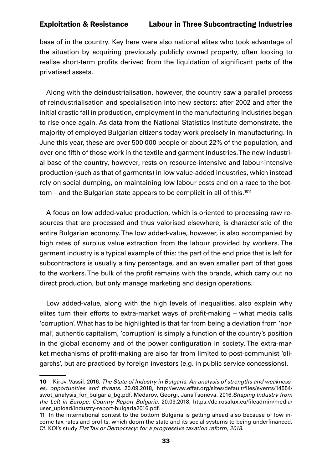base of in the country. Key here were also national elites who took advantage of the situation by acquiring previously publicly owned property, often looking to realise short-term profits derived from the liquidation of significant parts of the privatised assets.

Along with the deindustrialisation, however, the country saw a parallel process of reindustrialisation and specialisation into new sectors: after 2002 and after the initial drastic fall in production, employment in the manufacturing industries began to rise once again. As data from the National Statistics Institute demonstrate, the majority of employed Bulgarian citizens today work precisely in manufacturing. In June this year, these are over 500 000 people or about 22% of the population, and over one fifth of those work in the textile and garment industries. The new industrial base of the country, however, rests on resource-intensive and labour-intensive production (such as that of garments) in low value-added industries, which instead rely on social dumping, on maintaining low labour costs and on a race to the bot $tom - and the Bulgarian state appears to be complicit in all of this.<sup>1011</sup>$ 

A focus on low added-value production, which is oriented to processing raw resources that are processed and thus valorised elsewhere, is characteristic of the entire Bulgarian economy. The low added-value, however, is also accompanied by high rates of surplus value extraction from the labour provided by workers. The garment industry is a typical example of this: the part of the end price that is left for subcontractors is usually a tiny percentage, and an even smaller part of that goes to the workers. The bulk of the profit remains with the brands, which carry out no direct production, but only manage marketing and design operations.

Low added-value, along with the high levels of inequalities, also explain why elites turn their efforts to extra-market ways of profit-making – what media calls 'corruption'. What has to be highlighted is that far from being a deviation from 'normal', authentic capitalism, 'corruption' is simply a function of the country's position in the global economy and of the power configuration in society. The extra-market mechanisms of profit-making are also far from limited to post-communist 'oligarchs', but are practiced by foreign investors (e.g. in public service concessions).

<sup>10</sup> Kirov, Vassil. 2016. *The State of Industry in Bulgaria. An analysis of strengths and weaknesses, opportunities and threats*. 20.09.2018, [http://www.effat.org/sites/default/files/events/14554/](http://www.effat.org/sites/default/files/events/14554/swot_analysis_for_bulgaria_bg.pdf) [swot\\_analysis\\_for\\_bulgaria\\_bg.pdf](http://www.effat.org/sites/default/files/events/14554/swot_analysis_for_bulgaria_bg.pdf). Medarov, Georgi, Jana Tsoneva. 2016.*Shaping Industry from the Left in Europe: Country Report Bulgaria*. 20.09.2018, [https://de.rosalux.eu/fileadmin/media/](https://de.rosalux.eu/fileadmin/media/user_upload/industry-report-bulgaria2016.pdf) [user\\_upload/industry-report-bulgaria2016.pdf](https://de.rosalux.eu/fileadmin/media/user_upload/industry-report-bulgaria2016.pdf).

<sup>11</sup> In the international contest to the bottom Bulgaria is getting ahead also because of low income tax rates and profits, which doom the state and its social systems to being underfinanced. Cf. KOI's study *Flat Tax or Democracy: for a progressive taxation reform, 2018*.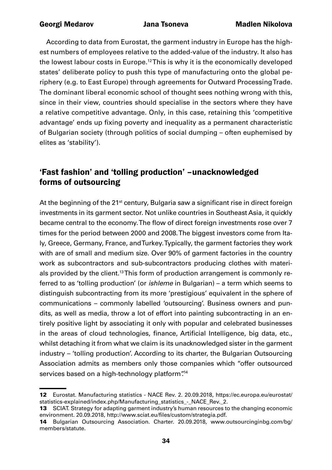<span id="page-33-0"></span>According to data from Eurostat, the garment industry in Europe has the highest numbers of employees relative to the added-value of the industry. It also has the lowest labour costs in Europe.12 This is why it is the economically developed states' deliberate policy to push this type of manufacturing onto the global periphery (e.g. to East Europe) through agreements for Outward Processing Trade. The dominant liberal economic school of thought sees nothing wrong with this, since in their view, countries should specialise in the sectors where they have a relative competitive advantage. Only, in this case, retaining this 'competitive advantage' ends up fixing poverty and inequality as a permanent characteristic of Bulgarian society (through politics of social dumping – often euphemised by elites as 'stability').

### 'Fast fashion' and 'tolling production' –unacknowledged forms of outsourcing

At the beginning of the 21<sup>st</sup> century, Bulgaria saw a significant rise in direct foreign investments in its garment sector. Not unlike countries in Southeast Asia, it quickly became central to the economy. The flow of direct foreign investments rose over 7 times for the period between 2000 and 2008. The biggest investors come from Italy, Greece, Germany, France, and Turkey. Typically, the garment factories they work with are of small and medium size. Over 90% of garment factories in the country work as subcontractors and sub-subcontractors producing clothes with materials provided by the client.<sup>13</sup> This form of production arrangement is commonly referred to as 'tolling production' (or *ishleme* in Bulgarian) – a term which seems to distinguish subcontracting from its more 'prestigious' equivalent in the sphere of communications – commonly labelled 'outsourcing'. Business owners and pundits, as well as media, throw a lot of effort into painting subcontracting in an entirely positive light by associating it only with popular and celebrated businesses in the areas of cloud technologies, finance, Artificial Intelligence, big data, etc., whilst detaching it from what we claim is its unacknowledged sister in the garment industry – 'tolling production'. According to its charter, the Bulgarian Outsourcing Association admits as members only those companies which "offer outsourced services based on a high-technology platform".<sup>14</sup>

<sup>12</sup> Eurostat. Manufacturing statistics - NACE Rev. 2. 20.09.2018, [https://ec.europa.eu/eurostat/](https://ec.europa.eu/eurostat/statistics-explained/index.php/Manufacturing_statistics_-_NACE_Rev._2) statistics-explained/index.php/Manufacturing\_statistics - NACE\_Rev. 2.

<sup>13</sup> SCIAT. Strategy for adapting garment industry's human resources to the changing economic environment. 20.09.2018, http://www.sciat.eu/files/custom/strategia.pdf.

<sup>14</sup> Bulgarian Outsourcing Association. Charter. 20.09.2018, [www.outsourcinginbg.com/bg/](https://www.outsourcinginbg.com/bg/members/statute) [members/statute](https://www.outsourcinginbg.com/bg/members/statute).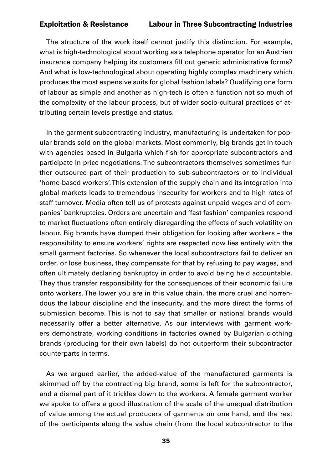The structure of the work itself cannot justify this distinction. For example, what is high-technological about working as a telephone operator for an Austrian insurance company helping its customers fill out generic administrative forms? And what is low-technological about operating highly complex machinery which produces the most expensive suits for global fashion labels? Qualifying one form of labour as simple and another as high-tech is often a function not so much of the complexity of the labour process, but of wider socio-cultural practices of attributing certain levels prestige and status.

In the garment subcontracting industry, manufacturing is undertaken for popular brands sold on the global markets. Most commonly, big brands get in touch with agencies based in Bulgaria which fish for appropriate subcontractors and participate in price negotiations. The subcontractors themselves sometimes further outsource part of their production to sub-subcontractors or to individual 'home-based workers'. This extension of the supply chain and its integration into global markets leads to tremendous insecurity for workers and to high rates of staff turnover. Media often tell us of protests against unpaid wages and of companies' bankruptcies. Orders are uncertain and 'fast fashion' companies respond to market fluctuations often entirely disregarding the effects of such volatility on labour. Big brands have dumped their obligation for looking after workers – the responsibility to ensure workers' rights are respected now lies entirely with the small garment factories. So whenever the local subcontractors fail to deliver an order, or lose business, they compensate for that by refusing to pay wages, and often ultimately declaring bankruptcy in order to avoid being held accountable. They thus transfer responsibility for the consequences of their economic failure onto workers. The lower you are in this value chain, the more cruel and horrendous the labour discipline and the insecurity, and the more direct the forms of submission become. This is not to say that smaller or national brands would necessarily offer a better alternative. As our interviews with garment workers demonstrate, working conditions in factories owned by Bulgarian clothing brands (producing for their own labels) do not outperform their subcontractor counterparts in terms.

As we argued earlier, the added-value of the manufactured garments is skimmed off by the contracting big brand, some is left for the subcontractor, and a dismal part of it trickles down to the workers. A female garment worker we spoke to offers a good illustration of the scale of the unequal distribution of value among the actual producers of garments on one hand, and the rest of the participants along the value chain (from the local subcontractor to the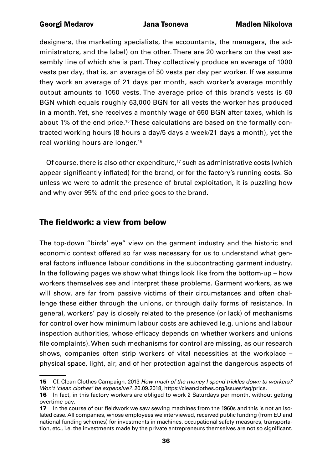<span id="page-35-0"></span>designers, the marketing specialists, the accountants, the managers, the administrators, and the label) on the other. There are 20 workers on the vest assembly line of which she is part. They collectively produce an average of 1000 vests per day, that is, an average of 50 vests per day per worker. If we assume they work an average of 21 days per month, each worker's average monthly output amounts to 1050 vests. The average price of this brand's vests is 60 BGN which equals roughly 63,000 BGN for all vests the worker has produced in a month. Yet, she receives a monthly wage of 650 BGN after taxes, which is about 1% of the end price.15 These calculations are based on the formally contracted working hours (8 hours a day/5 days a week/21 days a month), yet the real working hours are longer.<sup>16</sup>

Of course, there is also other expenditure,<sup>17</sup> such as administrative costs (which appear significantly inflated) for the brand, or for the factory's running costs. So unless we were to admit the presence of brutal exploitation, it is puzzling how and why over 95% of the end price goes to the brand.

### The fieldwork: a view from below

The top-down "birds' eye" view on the garment industry and the historic and economic context offered so far was necessary for us to understand what general factors influence labour conditions in the subcontracting garment industry. In the following pages we show what things look like from the bottom-up – how workers themselves see and interpret these problems. Garment workers, as we will show, are far from passive victims of their circumstances and often challenge these either through the unions, or through daily forms of resistance. In general, workers' pay is closely related to the presence (or lack) of mechanisms for control over how minimum labour costs are achieved (e.g. unions and labour inspection authorities, whose efficacy depends on whether workers and unions file complaints). When such mechanisms for control are missing, as our research shows, companies often strip workers of vital necessities at the workplace – physical space, light, air, and of her protection against the dangerous aspects of

<sup>15</sup> Cf. Clean Clothes Campaign. 2013 *How much of the money I spend trickles down to workers? Won't 'clean clothes' be expensive?*. 20.09.2018, <https://cleanclothes.org/issues/faq/price>.

<sup>16</sup> In fact, in this factory workers are obliged to work 2 Saturdays per month, without getting overtime pay.

<sup>17</sup> In the course of our fieldwork we saw sewing machines from the 1960s and this is not an isolated case. All companies, whose employees we interviewed, received public funding (from EU and national funding schemes) for investments in machines, occupational safety measures, transportation, etc., i.e. the investments made by the private entrepreneurs themselves are not so significant.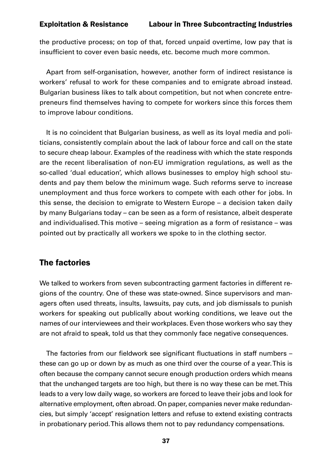the productive process; on top of that, forced unpaid overtime, low pay that is insufficient to cover even basic needs, etc. become much more common.

Apart from self-organisation, however, another form of indirect resistance is workers' refusal to work for these companies and to emigrate abroad instead. Bulgarian business likes to talk about competition, but not when concrete entrepreneurs find themselves having to compete for workers since this forces them to improve labour conditions.

It is no coincident that Bulgarian business, as well as its loyal media and politicians, consistently complain about the lack of labour force and call on the state to secure cheap labour. Examples of the readiness with which the state responds are the recent liberalisation of non-EU immigration regulations, as well as the so-called 'dual education', which allows businesses to employ high school students and pay them below the minimum wage. Such reforms serve to increase unemployment and thus force workers to compete with each other for jobs. In this sense, the decision to emigrate to Western Europe – a decision taken daily by many Bulgarians today – can be seen as a form of resistance, albeit desperate and individualised. This motive – seeing migration as a form of resistance – was pointed out by practically all workers we spoke to in the clothing sector.

# The factories

We talked to workers from seven subcontracting garment factories in different regions of the country. One of these was state-owned. Since supervisors and managers often used threats, insults, lawsuits, pay cuts, and job dismissals to punish workers for speaking out publically about working conditions, we leave out the names of our interviewees and their workplaces. Even those workers who say they are not afraid to speak, told us that they commonly face negative consequences.

The factories from our fieldwork see significant fluctuations in staff numbers – these can go up or down by as much as one third over the course of a year. This is often because the company cannot secure enough production orders which means that the unchanged targets are too high, but there is no way these can be met. This leads to a very low daily wage, so workers are forced to leave their jobs and look for alternative employment, often abroad. On paper, companies never make redundancies, but simply 'accept' resignation letters and refuse to extend existing contracts in probationary period. This allows them not to pay redundancy compensations.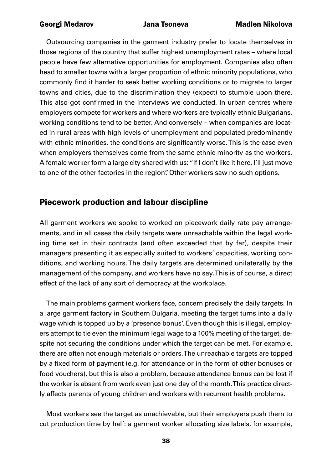Outsourcing companies in the garment industry prefer to locate themselves in those regions of the country that suffer highest unemployment rates – where local people have few alternative opportunities for employment. Companies also often head to smaller towns with a larger proportion of ethnic minority populations, who commonly find it harder to seek better working conditions or to migrate to larger towns and cities, due to the discrimination they (expect) to stumble upon there. This also got confirmed in the interviews we conducted. In urban centres where employers compete for workers and where workers are typically ethnic Bulgarians, working conditions tend to be better. And conversely – when companies are located in rural areas with high levels of unemployment and populated predominantly with ethnic minorities, the conditions are significantly worse. This is the case even when employers themselves come from the same ethnic minority as the workers. A female worker form a large city shared with us: "If I don't like it here, I'll just move to one of the other factories in the region". Other workers saw no such options.

### Piecework production and labour discipline

All garment workers we spoke to worked on piecework daily rate pay arrangements, and in all cases the daily targets were unreachable within the legal working time set in their contracts (and often exceeded that by far), despite their managers presenting it as especially suited to workers' capacities, working conditions, and working hours. The daily targets are determined unilaterally by the management of the company, and workers have no say. This is of course, a direct effect of the lack of any sort of democracy at the workplace.

The main problems garment workers face, concern precisely the daily targets. In a large garment factory in Southern Bulgaria, meeting the target turns into a daily wage which is topped up by a 'presence bonus'. Even though this is illegal, employers attempt to tie even the minimum legal wage to a 100% meeting of the target, despite not securing the conditions under which the target can be met. For example, there are often not enough materials or orders. The unreachable targets are topped by a fixed form of payment (e.g. for attendance or in the form of other bonuses or food vouchers), but this is also a problem, because attendance bonus can be lost if the worker is absent from work even just one day of the month. This practice directly affects parents of young children and workers with recurrent health problems.

Most workers see the target as unachievable, but their employers push them to cut production time by half: a garment worker allocating size labels, for example,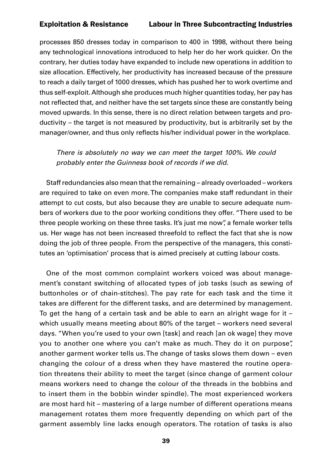processes 850 dresses today in comparison to 400 in 1998, without there being any technological innovations introduced to help her do her work quicker. On the contrary, her duties today have expanded to include new operations in addition to size allocation. Effectively, her productivity has increased because of the pressure to reach a daily target of 1000 dresses, which has pushed her to work overtime and thus self-exploit. Although she produces much higher quantities today, her pay has not reflected that, and neither have the set targets since these are constantly being moved upwards. In this sense, there is no direct relation between targets and productivity – the target is not measured by productivity, but is arbitrarily set by the manager/owner, and thus only reflects his/her individual power in the workplace.

*There is absolutely no way we can meet the target 100%. We could probably enter the Guinness book of records if we did.*

Staff redundancies also mean that the remaining – already overloaded – workers are required to take on even more. The companies make staff redundant in their attempt to cut costs, but also because they are unable to secure adequate numbers of workers due to the poor working conditions they offer. "There used to be three people working on these three tasks. It's just me now", a female worker tells us. Her wage has not been increased threefold to reflect the fact that she is now doing the job of three people. From the perspective of the managers, this constitutes an 'optimisation' process that is aimed precisely at cutting labour costs.

One of the most common complaint workers voiced was about management's constant switching of allocated types of job tasks (such as sewing of buttonholes or of chain-stitches). The pay rate for each task and the time it takes are different for the different tasks, and are determined by management. To get the hang of a certain task and be able to earn an alright wage for it – which usually means meeting about 80% of the target – workers need several days. "When you're used to your own [task] and reach [an ok wage] they move you to another one where you can't make as much. They do it on purpose", another garment worker tells us. The change of tasks slows them down – even changing the colour of a dress when they have mastered the routine operation threatens their ability to meet the target (since change of garment colour means workers need to change the colour of the threads in the bobbins and to insert them in the bobbin winder spindle). The most experienced workers are most hard hit – mastering of a large number of different operations means management rotates them more frequently depending on which part of the garment assembly line lacks enough operators. The rotation of tasks is also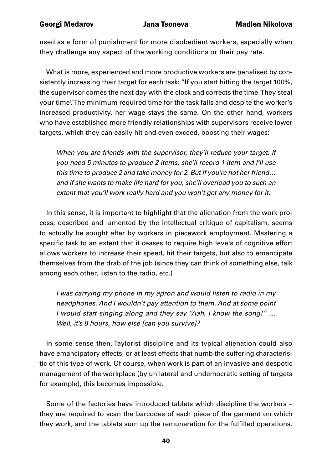used as a form of punishment for more disobedient workers, especially when they challenge any aspect of the working conditions or their pay rate.

What is more, experienced and more productive workers are penalised by consistently increasing their target for each task: "If you start hitting the target 100%, the supervisor comes the next day with the clock and corrects the time. They steal your time". The minimum required time for the task falls and despite the worker's increased productivity, her wage stays the same. On the other hand, workers who have established more friendly relationships with supervisors receive lower targets, which they can easily hit and even exceed, boosting their wages:

*When you are friends with the supervisor, they'll reduce your target. If you need 5 minutes to produce 2 items, she'll record 1 item and I'll use this time to produce 2 and take money for 2. But if you're not her friend… and if she wants to make life hard for you, she'll overload you to such an extent that you'll work really hard and you won't get any money for it.* 

In this sense, it is important to highlight that the alienation from the work process, described and lamented by the intellectual critique of capitalism, seems to actually be sought after by workers in piecework employment. Mastering a specific task to an extent that it ceases to require high levels of cognitive effort allows workers to increase their speed, hit their targets, but also to emancipate themselves from the drab of the job (since they can think of something else, talk among each other, listen to the radio, etc.)

*I was carrying my phone in my apron and would listen to radio in my headphones. And I wouldn't pay attention to them. And at some point I would start singing along and they say "Aah, I know the song!" … Well, it's 8 hours, how else [can you survive]?*

In some sense then, Taylorist discipline and its typical alienation could also have emancipatory effects, or at least effects that numb the suffering characteristic of this type of work. Of course, when work is part of an invasive and despotic management of the workplace (by unilateral and undemocratic setting of targets for example), this becomes impossible.

Some of the factories have introduced tablets which discipline the workers – they are required to scan the barcodes of each piece of the garment on which they work, and the tablets sum up the remuneration for the fulfilled operations.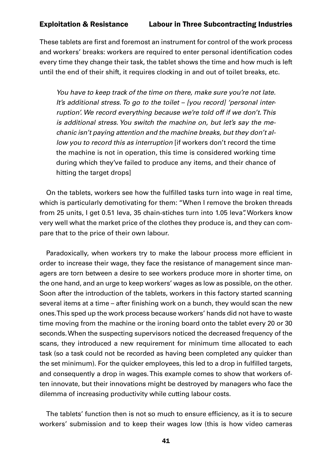These tablets are first and foremost an instrument for control of the work process and workers' breaks: workers are required to enter personal identification codes every time they change their task, the tablet shows the time and how much is left until the end of their shift, it requires clocking in and out of toilet breaks, etc.

*You have to keep track of the time on there, make sure you're not late. It's additional stress. To go to the toilet – [you record] 'personal interruption'. We record everything because we're told off if we don't. This is additional stress. You switch the machine on, but let's say the mechanic isn't paying attention and the machine breaks, but they don't allow you to record this as interruption* [if workers don't record the time the machine is not in operation, this time is considered working time during which they've failed to produce any items, and their chance of hitting the target drops]

On the tablets, workers see how the fulfilled tasks turn into wage in real time, which is particularly demotivating for them: "When I remove the broken threads from 25 units, I get 0.51 leva, 35 chain-stiches turn into 1.05 leva". Workers know very well what the market price of the clothes they produce is, and they can compare that to the price of their own labour.

Paradoxically, when workers try to make the labour process more efficient in order to increase their wage, they face the resistance of management since managers are torn between a desire to see workers produce more in shorter time, on the one hand, and an urge to keep workers' wages as low as possible, on the other. Soon after the introduction of the tablets, workers in this factory started scanning several items at a time – after finishing work on a bunch, they would scan the new ones. This sped up the work process because workers' hands did not have to waste time moving from the machine or the ironing board onto the tablet every 20 or 30 seconds. When the suspecting supervisors noticed the decreased frequency of the scans, they introduced a new requirement for minimum time allocated to each task (so a task could not be recorded as having been completed any quicker than the set minimum). For the quicker employees, this led to a drop in fulfilled targets, and consequently a drop in wages. This example comes to show that workers often innovate, but their innovations might be destroyed by managers who face the dilemma of increasing productivity while cutting labour costs.

The tablets' function then is not so much to ensure efficiency, as it is to secure workers' submission and to keep their wages low (this is how video cameras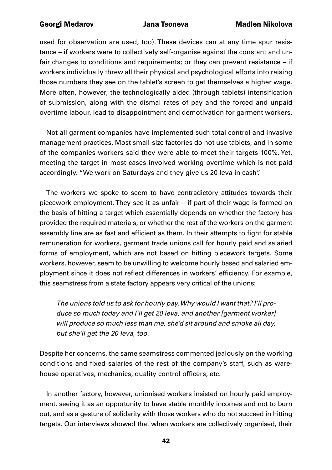used for observation are used, too). These devices can at any time spur resistance – if workers were to collectively self-organise against the constant and unfair changes to conditions and requirements; or they can prevent resistance – if workers individually threw all their physical and psychological efforts into raising those numbers they see on the tablet's screen to get themselves a higher wage. More often, however, the technologically aided (through tablets) intensification of submission, along with the dismal rates of pay and the forced and unpaid overtime labour, lead to disappointment and demotivation for garment workers.

Not all garment companies have implemented such total control and invasive management practices. Most small-size factories do not use tablets, and in some of the companies workers said they were able to meet their targets 100%. Yet, meeting the target in most cases involved working overtime which is not paid accordingly. "We work on Saturdays and they give us 20 leva in cash".

The workers we spoke to seem to have contradictory attitudes towards their piecework employment. They see it as unfair – if part of their wage is formed on the basis of hitting a target which essentially depends on whether the factory has provided the required materials, or whether the rest of the workers on the garment assembly line are as fast and efficient as them. In their attempts to fight for stable remuneration for workers, garment trade unions call for hourly paid and salaried forms of employment, which are not based on hitting piecework targets. Some workers, however, seem to be unwilling to welcome hourly based and salaried employment since it does not reflect differences in workers' efficiency. For example, this seamstress from a state factory appears very critical of the unions:

*The unions told us to ask for hourly pay. Why would I want that? I'll produce so much today and I'll get 20 leva, and another [garment worker] will produce so much less than me, she'd sit around and smoke all day, but she'll get the 20 leva, too.* 

Despite her concerns, the same seamstress commented jealously on the working conditions and fixed salaries of the rest of the company's staff, such as warehouse operatives, mechanics, quality control officers, etc.

In another factory, however, unionised workers insisted on hourly paid employment, seeing it as an opportunity to have stable monthly incomes and not to burn out, and as a gesture of solidarity with those workers who do not succeed in hitting targets. Our interviews showed that when workers are collectively organised, their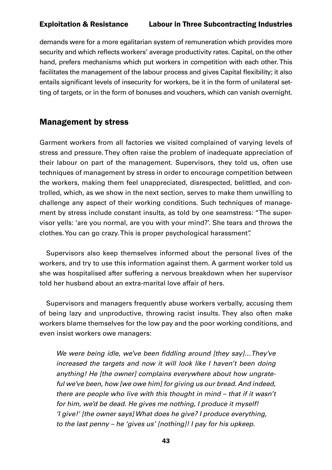demands were for a more egalitarian system of remuneration which provides more security and which reflects workers' average productivity rates. Capital, on the other hand, prefers mechanisms which put workers in competition with each other. This facilitates the management of the labour process and gives Capital flexibility; it also entails significant levels of insecurity for workers, be it in the form of unilateral setting of targets, or in the form of bonuses and vouchers, which can vanish overnight.

# Management by stress

Garment workers from all factories we visited complained of varying levels of stress and pressure. They often raise the problem of inadequate appreciation of their labour on part of the management. Supervisors, they told us, often use techniques of management by stress in order to encourage competition between the workers, making them feel unappreciated, disrespected, belittled, and controlled, which, as we show in the next section, serves to make them unwilling to challenge any aspect of their working conditions. Such techniques of management by stress include constant insults, as told by one seamstress: "The supervisor yells: 'are you normal, are you with your mind?'. She tears and throws the clothes. You can go crazy. This is proper psychological harassment".

Supervisors also keep themselves informed about the personal lives of the workers, and try to use this information against them. A garment worker told us she was hospitalised after suffering a nervous breakdown when her supervisor told her husband about an extra-marital love affair of hers.

Supervisors and managers frequently abuse workers verbally, accusing them of being lazy and unproductive, throwing racist insults. They also often make workers blame themselves for the low pay and the poor working conditions, and even insist workers owe managers:

We were being idle, we've been fiddling around [they say]...They've *increased the targets and now it will look like I haven't been doing anything! He [the owner] complains everywhere about how ungrateful we've been, how [we owe him] for giving us our bread. And indeed, there are people who live with this thought in mind – that if it wasn't for him, we'd be dead. He gives me nothing, I produce it myself! 'I give!' [the owner says] What does he give? I produce everything, to the last penny – he 'gives us' [nothing]! I pay for his upkeep.*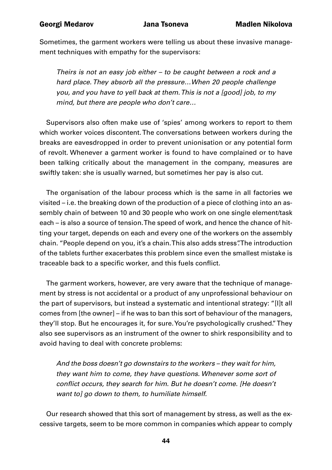Sometimes, the garment workers were telling us about these invasive management techniques with empathy for the supervisors:

*Theirs is not an easy job either – to be caught between a rock and a hard place. They absorb all the pressure…When 20 people challenge you, and you have to yell back at them. This is not a [good] job, to my mind, but there are people who don't care…*

Supervisors also often make use of 'spies' among workers to report to them which worker voices discontent. The conversations between workers during the breaks are eavesdropped in order to prevent unionisation or any potential form of revolt. Whenever a garment worker is found to have complained or to have been talking critically about the management in the company, measures are swiftly taken: she is usually warned, but sometimes her pay is also cut.

The organisation of the labour process which is the same in all factories we visited – i.e. the breaking down of the production of a piece of clothing into an assembly chain of between 10 and 30 people who work on one single element/task each – is also a source of tension. The speed of work, and hence the chance of hitting your target, depends on each and every one of the workers on the assembly chain. "People depend on you, it's a chain. This also adds stress". The introduction of the tablets further exacerbates this problem since even the smallest mistake is traceable back to a specific worker, and this fuels conflict.

The garment workers, however, are very aware that the technique of management by stress is not accidental or a product of any unprofessional behaviour on the part of supervisors, but instead a systematic and intentional strategy: "[I]t all comes from [the owner] – if he was to ban this sort of behaviour of the managers, they'll stop. But he encourages it, for sure. You're psychologically crushed." They also see supervisors as an instrument of the owner to shirk responsibility and to avoid having to deal with concrete problems:

*And the boss doesn't go downstairs to the workers – they wait for him, they want him to come, they have questions. Whenever some sort of*  conflict occurs, they search for him. But he doesn't come. [He doesn't *want to] go down to them, to humiliate himself.* 

Our research showed that this sort of management by stress, as well as the excessive targets, seem to be more common in companies which appear to comply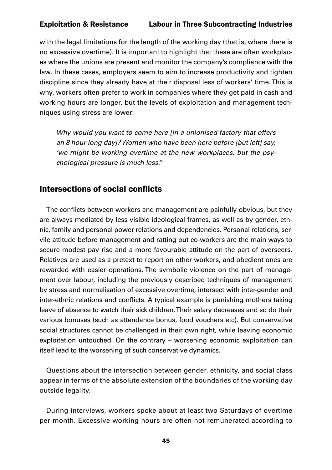with the legal limitations for the length of the working day (that is, where there is no excessive overtime). It is important to highlight that these are often workplaces where the unions are present and monitor the company's compliance with the law. In these cases, employers seem to aim to increase productivity and tighten discipline since they already have at their disposal less of workers' time. This is why, workers often prefer to work in companies where they get paid in cash and working hours are longer, but the levels of exploitation and management techniques using stress are lower:

*Why would you want to come here [in a unionised factory that offers an 8 hour long day]? Women who have been here before [but left] say, 'we might be working overtime at the new workplaces, but the psychological pressure is much less."* 

### Intersections of social conflicts

The conflicts between workers and management are painfully obvious, but they are always mediated by less visible ideological frames, as well as by gender, ethnic, family and personal power relations and dependencies. Personal relations, servile attitude before management and ratting out co-workers are the main ways to secure modest pay rise and a more favourable attitude on the part of overseers. Relatives are used as a pretext to report on other workers, and obedient ones are rewarded with easier operations. The symbolic violence on the part of management over labour, including the previously described techniques of management by stress and normalisation of excessive overtime, intersect with inter-gender and inter-ethnic relations and conflicts. A typical example is punishing mothers taking leave of absence to watch their sick children. Their salary decreases and so do their various bonuses (such as attendance bonus, food vouchers etc). But conservative social structures cannot be challenged in their own right, while leaving economic exploitation untouched. On the contrary – worsening economic exploitation can itself lead to the worsening of such conservative dynamics.

Questions about the intersection between gender, ethnicity, and social class appear in terms of the absolute extension of the boundaries of the working day outside legality.

During interviews, workers spoke about at least two Saturdays of overtime per month. Excessive working hours are often not remunerated according to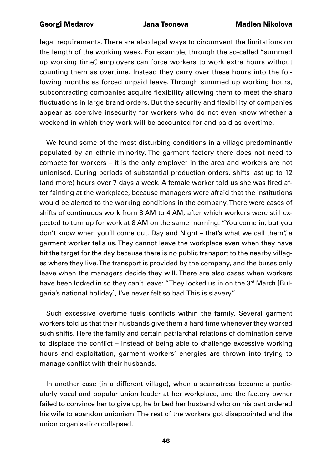legal requirements. There are also legal ways to circumvent the limitations on the length of the working week. For example, through the so-called "summed up working time", employers can force workers to work extra hours without counting them as overtime. Instead they carry over these hours into the following months as forced unpaid leave. Through summed up working hours, subcontracting companies acquire flexibility allowing them to meet the sharp fluctuations in large brand orders. But the security and flexibility of companies appear as coercive insecurity for workers who do not even know whether a weekend in which they work will be accounted for and paid as overtime.

We found some of the most disturbing conditions in a village predominantly populated by an ethnic minority. The garment factory there does not need to compete for workers – it is the only employer in the area and workers are not unionised. During periods of substantial production orders, shifts last up to 12 (and more) hours over 7 days a week. A female worker told us she was fired after fainting at the workplace, because managers were afraid that the institutions would be alerted to the working conditions in the company. There were cases of shifts of continuous work from 8 AM to 4 AM, after which workers were still expected to turn up for work at 8 AM on the same morning. "You come in, but you don't know when you'll come out. Day and Night – that's what we call them", a garment worker tells us. They cannot leave the workplace even when they have hit the target for the day because there is no public transport to the nearby villages where they live. The transport is provided by the company, and the buses only leave when the managers decide they will. There are also cases when workers have been locked in so they can't leave: "They locked us in on the 3<sup>rd</sup> March [Bulgaria's national holiday], I've never felt so bad. This is slavery".

Such excessive overtime fuels conflicts within the family. Several garment workers told us that their husbands give them a hard time whenever they worked such shifts. Here the family and certain patriarchal relations of domination serve to displace the conflict – instead of being able to challenge excessive working hours and exploitation, garment workers' energies are thrown into trying to manage conflict with their husbands.

In another case (in a different village), when a seamstress became a particularly vocal and popular union leader at her workplace, and the factory owner failed to convince her to give up, he bribed her husband who on his part ordered his wife to abandon unionism. The rest of the workers got disappointed and the union organisation collapsed.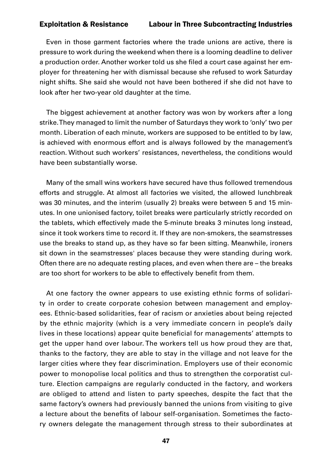Even in those garment factories where the trade unions are active, there is pressure to work during the weekend when there is a looming deadline to deliver a production order. Another worker told us she filed a court case against her employer for threatening her with dismissal because she refused to work Saturday night shifts. She said she would not have been bothered if she did not have to look after her two-year old daughter at the time.

The biggest achievement at another factory was won by workers after a long strike. They managed to limit the number of Saturdays they work to 'only' two per month. Liberation of each minute, workers are supposed to be entitled to by law, is achieved with enormous effort and is always followed by the management's reaction. Without such workers' resistances, nevertheless, the conditions would have been substantially worse.

Many of the small wins workers have secured have thus followed tremendous efforts and struggle. At almost all factories we visited, the allowed lunchbreak was 30 minutes, and the interim (usually 2) breaks were between 5 and 15 minutes. In one unionised factory, toilet breaks were particularly strictly recorded on the tablets, which effectively made the 5-minute breaks 3 minutes long instead, since it took workers time to record it. If they are non-smokers, the seamstresses use the breaks to stand up, as they have so far been sitting. Meanwhile, ironers sit down in the seamstresses' places because they were standing during work. Often there are no adequate resting places, and even when there are – the breaks are too short for workers to be able to effectively benefit from them.

At one factory the owner appears to use existing ethnic forms of solidarity in order to create corporate cohesion between management and employees. Ethnic-based solidarities, fear of racism or anxieties about being rejected by the ethnic majority (which is a very immediate concern in people's daily lives in these locations) appear quite beneficial for managements' attempts to get the upper hand over labour. The workers tell us how proud they are that, thanks to the factory, they are able to stay in the village and not leave for the larger cities where they fear discrimination. Employers use of their economic power to monopolise local politics and thus to strengthen the corporatist culture. Election campaigns are regularly conducted in the factory, and workers are obliged to attend and listen to party speeches, despite the fact that the same factory's owners had previously banned the unions from visiting to give a lecture about the benefits of labour self-organisation. Sometimes the factory owners delegate the management through stress to their subordinates at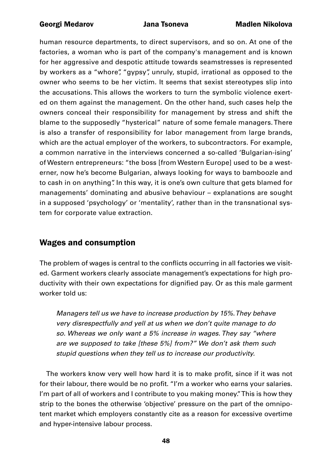human resource departments, to direct supervisors, and so on. At one of the factories, a woman who is part of the company's management and is known for her aggressive and despotic attitude towards seamstresses is represented by workers as a "whore", "gypsy", unruly, stupid, irrational as opposed to the owner who seems to be her victim. It seems that sexist stereotypes slip into the accusations. This allows the workers to turn the symbolic violence exerted on them against the management. On the other hand, such cases help the owners conceal their responsibility for management by stress and shift the blame to the supposedly "hysterical" nature of some female managers. There is also a transfer of responsibility for labor management from large brands, which are the actual employer of the workers, to subcontractors. For example, a common narrative in the interviews concerned a so-called 'Bulgarian-ising' of Western entrepreneurs: "the boss [from Western Europe] used to be a westerner, now he's become Bulgarian, always looking for ways to bamboozle and to cash in on anything". In this way, it is one's own culture that gets blamed for managements' dominating and abusive behaviour – explanations are sought in a supposed 'psychology' or 'mentality', rather than in the transnational system for corporate value extraction.

# Wages and consumption

The problem of wages is central to the conflicts occurring in all factories we visited. Garment workers clearly associate management's expectations for high productivity with their own expectations for dignified pay. Or as this male garment worker told us:

*Managers tell us we have to increase production by 15%. They behave very disrespectfully and yell at us when we don't quite manage to do so. Whereas we only want a 5% increase in wages. They say "where are we supposed to take [these 5%] from?" We don't ask them such stupid questions when they tell us to increase our productivity.* 

The workers know very well how hard it is to make profit, since if it was not for their labour, there would be no profit. "I'm a worker who earns your salaries. I'm part of all of workers and I contribute to you making money." This is how they strip to the bones the otherwise 'objective' pressure on the part of the omnipotent market which employers constantly cite as a reason for excessive overtime and hyper-intensive labour process.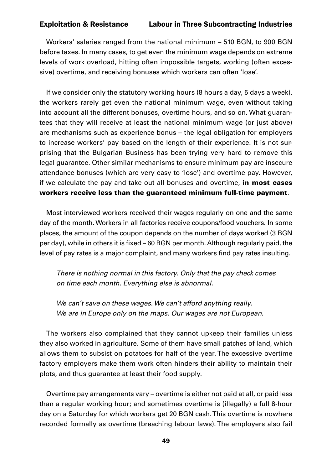Workers' salaries ranged from the national minimum – 510 BGN, to 900 BGN before taxes. In many cases, to get even the minimum wage depends on extreme levels of work overload, hitting often impossible targets, working (often excessive) overtime, and receiving bonuses which workers can often 'lose'.

If we consider only the statutory working hours (8 hours a day, 5 days a week), the workers rarely get even the national minimum wage, even without taking into account all the different bonuses, overtime hours, and so on. What guarantees that they will receive at least the national minimum wage (or just above) are mechanisms such as experience bonus – the legal obligation for employers to increase workers' pay based on the length of their experience. It is not surprising that the Bulgarian Business has been trying very hard to remove this legal guarantee. Other similar mechanisms to ensure minimum pay are insecure attendance bonuses (which are very easy to 'lose') and overtime pay. However, if we calculate the pay and take out all bonuses and overtime, in most cases workers receive less than the guaranteed minimum full-time payment.

Most interviewed workers received their wages regularly on one and the same day of the month. Workers in all factories receive coupons/food vouchers. In some places, the amount of the coupon depends on the number of days worked (3 BGN per day), while in others it is fixed – 60 BGN per month. Although regularly paid, the level of pay rates is a major complaint, and many workers find pay rates insulting.

*There is nothing normal in this factory. Only that the pay check comes on time each month. Everything else is abnormal.*

*We can't save on these wages. We can't afford anything really. We are in Europe only on the maps. Our wages are not European.* 

The workers also complained that they cannot upkeep their families unless they also worked in agriculture. Some of them have small patches of land, which allows them to subsist on potatoes for half of the year. The excessive overtime factory employers make them work often hinders their ability to maintain their plots, and thus guarantee at least their food supply.

Overtime pay arrangements vary – overtime is either not paid at all, or paid less than a regular working hour; and sometimes overtime is (illegally) a full 8-hour day on a Saturday for which workers get 20 BGN cash. This overtime is nowhere recorded formally as overtime (breaching labour laws). The employers also fail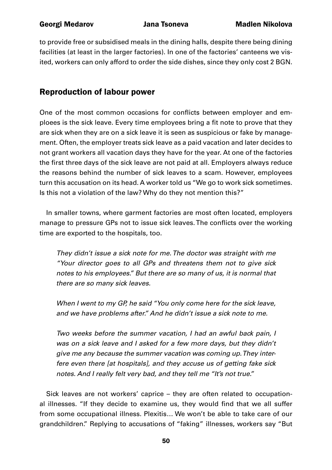to provide free or subsidised meals in the dining halls, despite there being dining facilities (at least in the larger factories). In one of the factories' canteens we visited, workers can only afford to order the side dishes, since they only cost 2 BGN.

# Reproduction of labour power

One of the most common occasions for conflicts between employer and emploees is the sick leave. Every time employees bring a fit note to prove that they are sick when they are on a sick leave it is seen as suspicious or fake by management. Often, the employer treats sick leave as a paid vacation and later decides to not grant workers all vacation days they have for the year. At one of the factories the first three days of the sick leave are not paid at all. Employers always reduce the reasons behind the number of sick leaves to a scam. However, employees turn this accusation on its head. A worker told us "We go to work sick sometimes. Is this not a violation of the law? Why do they not mention this?"

In smaller towns, where garment factories are most often located, employers manage to pressure GPs not to issue sick leaves. The conflicts over the working time are exported to the hospitals, too.

*They didn't issue a sick note for me. The doctor was straight with me "Your director goes to all GPs and threatens them not to give sick notes to his employees." But there are so many of us, it is normal that there are so many sick leaves.*

*When I went to my GP, he said "You only come here for the sick leave, and we have problems after." And he didn't issue a sick note to me.* 

*Two weeks before the summer vacation, I had an awful back pain, I was on a sick leave and I asked for a few more days, but they didn't give me any because the summer vacation was coming up. They interfere even there [at hospitals], and they accuse us of getting fake sick notes. And I really felt very bad, and they tell me "It's not true."*

Sick leaves are not workers' caprice – they are often related to occupational illnesses. "If they decide to examine us, they would find that we all suffer from some occupational illness. Plexitis… We won't be able to take care of our grandchildren." Replying to accusations of "faking" illnesses, workers say "But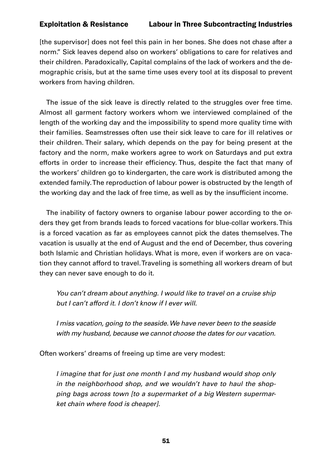[the supervisor] does not feel this pain in her bones. She does not chase after a norm." Sick leaves depend also on workers' obligations to care for relatives and their children. Paradoxically, Capital complains of the lack of workers and the demographic crisis, but at the same time uses every tool at its disposal to prevent workers from having children.

The issue of the sick leave is directly related to the struggles over free time. Almost all garment factory workers whom we interviewed complained of the length of the working day and the impossibility to spend more quality time with their families. Seamstresses often use their sick leave to care for ill relatives or their children. Their salary, which depends on the pay for being present at the factory and the norm, make workers agree to work on Saturdays and put extra efforts in order to increase their efficiency. Thus, despite the fact that many of the workers' children go to kindergarten, the care work is distributed among the extended family. The reproduction of labour power is obstructed by the length of the working day and the lack of free time, as well as by the insufficient income.

The inability of factory owners to organise labour power according to the orders they get from brands leads to forced vacations for blue-collar workers. This is a forced vacation as far as employees cannot pick the dates themselves. The vacation is usually at the end of August and the end of December, thus covering both Islamic and Christian holidays. What is more, even if workers are on vacation they cannot afford to travel. Traveling is something all workers dream of but they can never save enough to do it.

*You can't dream about anything. I would like to travel on a cruise ship but I can't afford it. I don't know if I ever will.*

*I miss vacation, going to the seaside. We have never been to the seaside with my husband, because we cannot choose the dates for our vacation.*

Often workers' dreams of freeing up time are very modest:

*I imagine that for just one month I and my husband would shop only in the neighborhood shop, and we wouldn't have to haul the shopping bags across town [to a supermarket of a big Western supermarket chain where food is cheaper].*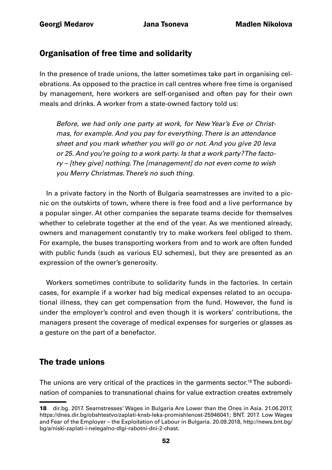# Organisation of free time and solidarity

In the presence of trade unions, the latter sometimes take part in organising celebrations. As opposed to the practice in call centres where free time is organised by management, here workers are self-organised and often pay for their own meals and drinks. A worker from a state-owned factory told us:

*Before, we had only one party at work, for New Year's Eve or Christmas, for example. And you pay for everything. There is an attendance sheet and you mark whether you will go or not. And you give 20 leva or 25. And you're going to a work party. Is that a work party? The factory – [they give] nothing. The [management] do not even come to wish you Merry Christmas. There's no such thing.*

In a private factory in the North of Bulgaria seamstresses are invited to a picnic on the outskirts of town, where there is free food and a live performance by a popular singer. At other companies the separate teams decide for themselves whether to celebrate together at the end of the year. As we mentioned already, owners and management constantly try to make workers feel obliged to them. For example, the buses transporting workers from and to work are often funded with public funds (such as various EU schemes), but they are presented as an expression of the owner's generosity.

Workers sometimes contribute to solidarity funds in the factories. In certain cases, for example if a worker had big medical expenses related to an occupational illness, they can get compensation from the fund. However, the fund is under the employer's control and even though it is workers' contributions, the managers present the coverage of medical expenses for surgeries or glasses as a gesture on the part of a benefactor.

# The trade unions

The unions are very critical of the practices in the garments sector.<sup>18</sup> The subordination of companies to transnational chains for value extraction creates extremely

<sup>18</sup> dir.bg. 2017. Seamstresses' Wages in Bulgaria Are Lower than the Ones in Asia. 21.06.2017, <https://dnes.dir.bg/obshtestvo/zaplati-knsb-leka-promishlenost-25946041>; BNT. 2017. Low Wages and Fear of the Employer – the Exploitation of Labour in Bulgaria. 20.09.2018, [http://news.bnt.bg/](http://news.bnt.bg/bg/a/niski-zaplati-i-nelegalno-dlgi-rabotni-dni-2-chast) [bg/a/niski-zaplati-i-nelegalno-dlgi-rabotni-dni-2-chast](http://news.bnt.bg/bg/a/niski-zaplati-i-nelegalno-dlgi-rabotni-dni-2-chast).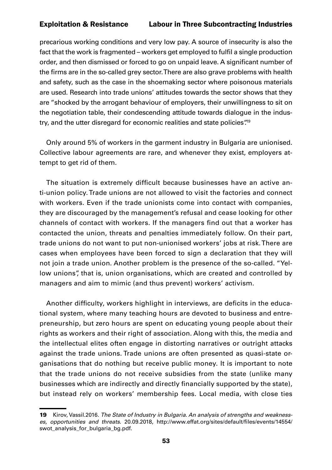precarious working conditions and very low pay. A source of insecurity is also the fact that the work is fragmented – workers get employed to fulfil a single production order, and then dismissed or forced to go on unpaid leave. A significant number of the firms are in the so-called grey sector. There are also grave problems with health and safety, such as the case in the shoemaking sector where poisonous materials are used. Research into trade unions' attitudes towards the sector shows that they are "shocked by the arrogant behaviour of employers, their unwillingness to sit on the negotiation table, their condescending attitude towards dialogue in the industry, and the utter disregard for economic realities and state policies.<sup>49</sup>

Only around 5% of workers in the garment industry in Bulgaria are unionised. Collective labour agreements are rare, and whenever they exist, employers attempt to get rid of them.

The situation is extremely difficult because businesses have an active anti-union policy. Trade unions are not allowed to visit the factories and connect with workers. Even if the trade unionists come into contact with companies, they are discouraged by the management's refusal and cease looking for other channels of contact with workers. If the managers find out that a worker has contacted the union, threats and penalties immediately follow. On their part, trade unions do not want to put non-unionised workers' jobs at risk. There are cases when employees have been forced to sign a declaration that they will not join a trade union. Another problem is the presence of the so-called. "Yellow unions", that is, union organisations, which are created and controlled by managers and aim to mimic (and thus prevent) workers' activism.

Another difficulty, workers highlight in interviews, are deficits in the educational system, where many teaching hours are devoted to business and entrepreneurship, but zero hours are spent on educating young people about their rights as workers and their right of association. Along with this, the media and the intellectual elites often engage in distorting narratives or outright attacks against the trade unions. Trade unions are often presented as quasi-state organisations that do nothing but receive public money. It is important to note that the trade unions do not receive subsidies from the state (unlike many businesses which are indirectly and directly financially supported by the state), but instead rely on workers' membership fees. Local media, with close ties

<sup>19</sup> Kirov, Vassil.2016. *The State of Industry in Bulgaria. An analysis of strengths and weaknesses, opportunities and threats*. 20.09.2018, [http://www.effat.org/sites/default/files/events/14554/](http://www.effat.org/sites/default/files/events/14554/swot_analysis_for_bulgaria_bg.pdf) [swot\\_analysis\\_for\\_bulgaria\\_bg.pdf](http://www.effat.org/sites/default/files/events/14554/swot_analysis_for_bulgaria_bg.pdf).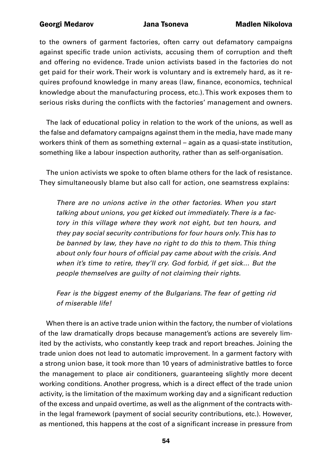to the owners of garment factories, often carry out defamatory campaigns against specific trade union activists, accusing them of corruption and theft and offering no evidence. Trade union activists based in the factories do not get paid for their work. Their work is voluntary and is extremely hard, as it requires profound knowledge in many areas (law, finance, economics, technical knowledge about the manufacturing process, etc.). This work exposes them to serious risks during the conflicts with the factories' management and owners.

The lack of educational policy in relation to the work of the unions, as well as the false and defamatory campaigns against them in the media, have made many workers think of them as something external – again as a quasi-state institution, something like a labour inspection authority, rather than as self-organisation.

The union activists we spoke to often blame others for the lack of resistance. They simultaneously blame but also call for action, one seamstress explains:

*There are no unions active in the other factories. When you start talking about unions, you get kicked out immediately. There is a factory in this village where they work not eight, but ten hours, and they pay social security contributions for four hours only. This has to be banned by law, they have no right to do this to them. This thing*  about only four hours of official pay came about with the crisis. And *when it's time to retire, they'll cry. God forbid, if get sick… But the people themselves are guilty of not claiming their rights.*

*Fear is the biggest enemy of the Bulgarians. The fear of getting rid of miserable life!*

When there is an active trade union within the factory, the number of violations of the law dramatically drops because management's actions are severely limited by the activists, who constantly keep track and report breaches. Joining the trade union does not lead to automatic improvement. In a garment factory with a strong union base, it took more than 10 years of administrative battles to force the management to place air conditioners, guaranteeing slightly more decent working conditions. Another progress, which is a direct effect of the trade union activity, is the limitation of the maximum working day and a significant reduction of the excess and unpaid overtime, as well as the alignment of the contracts within the legal framework (payment of social security contributions, etc.). However, as mentioned, this happens at the cost of a significant increase in pressure from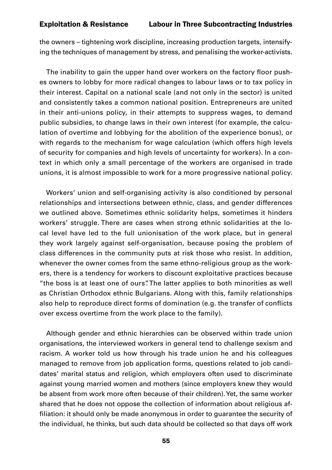the owners – tightening work discipline, increasing production targets, intensifying the techniques of management by stress, and penalising the worker-activists.

The inability to gain the upper hand over workers on the factory floor pushes owners to lobby for more radical changes to labour laws or to tax policy in their interest. Capital on a national scale (and not only in the sector) is united and consistently takes a common national position. Entrepreneurs are united in their anti-unions policy, in their attempts to suppress wages, to demand public subsidies, to change laws in their own interest (for example, the calculation of overtime and lobbying for the abolition of the experience bonus), or with regards to the mechanism for wage calculation (which offers high levels of security for companies and high levels of uncertainty for workers). In a context in which only a small percentage of the workers are organised in trade unions, it is almost impossible to work for a more progressive national policy.

Workers' union and self-organising activity is also conditioned by personal relationships and intersections between ethnic, class, and gender differences we outlined above. Sometimes ethnic solidarity helps, sometimes it hinders workers' struggle. There are cases when strong ethnic solidarities at the local level have led to the full unionisation of the work place, but in general they work largely against self-organisation, because posing the problem of class differences in the community puts at risk those who resist. In addition, whenever the owner comes from the same ethno-religious group as the workers, there is a tendency for workers to discount exploitative practices because "the boss is at least one of ours". The latter applies to both minorities as well as Christian Orthodox ethnic Bulgarians. Along with this, family relationships also help to reproduce direct forms of domination (e.g. the transfer of conflicts over excess overtime from the work place to the family).

Although gender and ethnic hierarchies can be observed within trade union organisations, the interviewed workers in general tend to challenge sexism and racism. A worker told us how through his trade union he and his colleagues managed to remove from job application forms, questions related to job candidates' marital status and religion, which employers often used to discriminate against young married women and mothers (since employers knew they would be absent from work more often because of their children). Yet, the same worker shared that he does not oppose the collection of information about religious affiliation: it should only be made anonymous in order to guarantee the security of the individual, he thinks, but such data should be collected so that days off work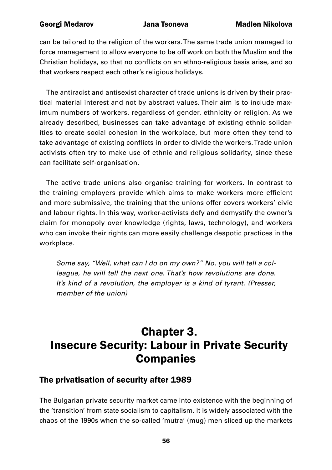can be tailored to the religion of the workers. The same trade union managed to force management to allow everyone to be off work on both the Muslim and the Christian holidays, so that no conflicts on an ethno-religious basis arise, and so that workers respect each other's religious holidays.

The antiracist and antisexist character of trade unions is driven by their practical material interest and not by abstract values. Their aim is to include maximum numbers of workers, regardless of gender, ethnicity or religion. As we already described, businesses can take advantage of existing ethnic solidarities to create social cohesion in the workplace, but more often they tend to take advantage of existing conflicts in order to divide the workers. Trade union activists often try to make use of ethnic and religious solidarity, since these can facilitate self-organisation.

The active trade unions also organise training for workers. In contrast to the training employers provide which aims to make workers more efficient and more submissive, the training that the unions offer covers workers' civic and labour rights. In this way, worker-activists defy and demystify the owner's claim for monopoly over knowledge (rights, laws, technology), and workers who can invoke their rights can more easily challenge despotic practices in the workplace.

*Some say, "Well, what can I do on my own?" No, you will tell a colleague, he will tell the next one. That's how revolutions are done. It's kind of a revolution, the employer is a kind of tyrant. (Presser, member of the union)*

# Chapter 3. Insecure Security: Labour in Private Security Companies

# The privatisation of security after 1989

The Bulgarian private security market came into existence with the beginning of the 'transition' from state socialism to capitalism. It is widely associated with the chaos of the 1990s when the so-called 'mutra' (mug) men sliced up the markets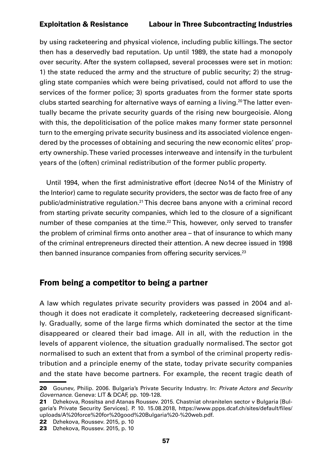by using racketeering and physical violence, including public killings. The sector then has a deservedly bad reputation. Up until 1989, the state had a monopoly over security. After the system collapsed, several processes were set in motion: 1) the state reduced the army and the structure of public security; 2) the struggling state companies which were being privatised, could not afford to use the services of the former police; 3) sports graduates from the former state sports clubs started searching for alternative ways of earning a living.20 The latter eventually became the private security guards of the rising new bourgeoisie. Along with this, the depoliticisation of the police makes many former state personnel turn to the emerging private security business and its associated violence engendered by the processes of obtaining and securing the new economic elites' property ownership. These varied processes interweave and intensify in the turbulent years of the (often) criminal redistribution of the former public property.

Until 1994, when the first administrative effort (decree No14 of the Ministry of the Interior) came to regulate security providers, the sector was de facto free of any public/administrative regulation.21 This decree bans anyone with a criminal record from starting private security companies, which led to the closure of a significant number of these companies at the time.<sup>22</sup> This, however, only served to transfer the problem of criminal firms onto another area – that of insurance to which many of the criminal entrepreneurs directed their attention. A new decree issued in 1998 then banned insurance companies from offering security services.<sup>23</sup>

# From being a competitor to being a partner

A law which regulates private security providers was passed in 2004 and although it does not eradicate it completely, racketeering decreased significantly. Gradually, some of the large firms which dominated the sector at the time disappeared or cleared their bad image. All in all, with the reduction in the levels of apparent violence, the situation gradually normalised. The sector got normalised to such an extent that from a symbol of the criminal property redistribution and a principle enemy of the state, today private security companies and the state have become partners. For example, the recent tragic death of

<sup>20</sup> Gounev, Philip. 2006. Bulgaria's Private Security Industry. In: *Private Actors and Security Governance.* Geneva: LIT & DCAF, pp. 109-128.

<sup>21</sup> Dzhekova, Rossitsa and Atanas Roussev. 2015. Chastniat ohranitelen sector v Bulgaria [Bulgaria's Private Security Services]. P. 10. 15.08.2018, [https://www.ppps.dcaf.ch/sites/default/files/](https://www.ppps.dcaf.ch/sites/default/files/uploads/A%20force%20for%20good%20Bulgaria%20-%20web.pdf) [uploads/A%20force%20for%20good%20Bulgaria%20-%20web.pdf](https://www.ppps.dcaf.ch/sites/default/files/uploads/A%20force%20for%20good%20Bulgaria%20-%20web.pdf).

<sup>22</sup> Dzhekova, Roussev. 2015, p. 10

<sup>23</sup> Dzhekova, Roussev. 2015, p. 10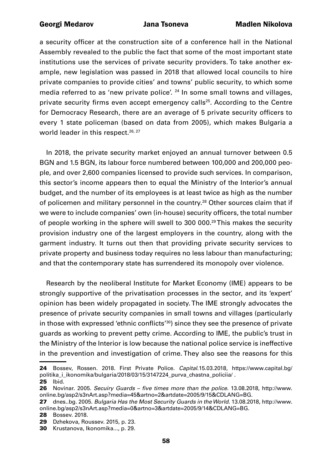a security officer at the construction site of a conference hall in the National Assembly revealed to the public the fact that some of the most important state institutions use the services of private security providers. To take another example, new legislation was passed in 2018 that allowed local councils to hire private companies to provide cities' and towns' public security, to which some media referred to as 'new private police'. <sup>24</sup> In some small towns and villages, private security firms even accept emergency calls<sup>25</sup>. According to the Centre for Democracy Research, there are an average of 5 private security officers to every 1 state policeman (based on data from 2005), which makes Bulgaria a world leader in this respect.<sup>26, 27</sup>

In 2018, the private security market enjoyed an annual turnover between 0.5 BGN and 1.5 BGN, its labour force numbered between 100,000 and 200,000 people, and over 2,600 companies licensed to provide such services. In comparison, this sector's income appears then to equal the Ministry of the Interior's annual budget, and the number of its employees is at least twice as high as the number of policemen and military personnel in the country.<sup>28</sup> Other sources claim that if we were to include companies' own (in-house) security officers, the total number of people working in the sphere will swell to 300 000.29 This makes the security provision industry one of the largest employers in the country, along with the garment industry. It turns out then that providing private security services to private property and business today requires no less labour than manufacturing; and that the contemporary state has surrendered its monopoly over violence.

Research by the neoliberal Institute for Market Economy (IME) appears to be strongly supportive of the privatisation processes in the sector, and its 'expert' opinion has been widely propagated in society. The IME strongly advocates the presence of private security companies in small towns and villages (particularly in those with expressed 'ethnic conflicts'<sup>30</sup>) since they see the presence of private guards as working to prevent petty crime. According to IME, the public's trust in the Ministry of the Interior is low because the national police service is ineffective in the prevention and investigation of crime. They also see the reasons for this

<sup>24</sup> Bossev, Rossen. 2018. First Private Police. *Capital*.15.03.2018, [https://www.capital.bg/](https://www.capital.bg/politika_i_ikonomika/bulgaria/2018/03/15/3147224_purva_chastna_policiia/) [politika\\_i\\_ikonomika/bulgaria/2018/03/15/3147224\\_purva\\_chastna\\_policiia/](https://www.capital.bg/politika_i_ikonomika/bulgaria/2018/03/15/3147224_purva_chastna_policiia/) . 25 Ibid.

<sup>26</sup> Novinar. 2005. Secuiry Guards – five times more than the police. 13.08.2018, [http://www.](http://www.online.bg/asp2/s3nArt.asp?media=45&artno=2&artdate=2005/9/15&CDLANG=BG) [online.bg/asp2/s3nArt.asp?media=45&artno=2&artdate=2005/9/15&CDLANG=BG](http://www.online.bg/asp2/s3nArt.asp?media=45&artno=2&artdate=2005/9/15&CDLANG=BG).

<sup>27</sup> dnes..bg. 2005. *Bulgaria Has the Most Security Guards in the World*. 13.08.2018, [http://www.](http://www.online.bg/asp2/s3nArt.asp?media=0&artno=3&artdate=2005/9/14&CDLANG=BG) [online.bg/asp2/s3nArt.asp?media=0&artno=3&artdate=2005/9/14&CDLANG=BG.](http://www.online.bg/asp2/s3nArt.asp?media=0&artno=3&artdate=2005/9/14&CDLANG=BG)

<sup>28</sup> Bossev. 2018.

<sup>29</sup> Dzhekova, Roussev. 2015, p. 23.

<sup>30</sup> Krustanova, Ikonomika..., p. 29.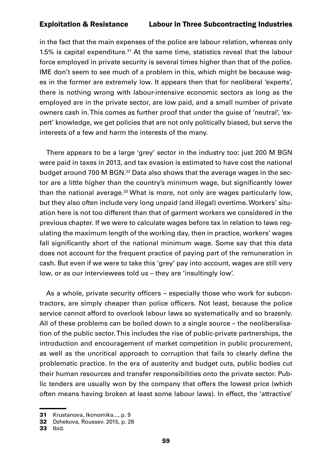in the fact that the main expenses of the police are labour relation, whereas only 1.5% is capital expenditure. $31$  At the same time, statistics reveal that the labour force employed in private security is several times higher than that of the police. IME don't seem to see much of a problem in this, which might be because wages in the former are extremely low. It appears then that for neoliberal 'experts', there is nothing wrong with labour-intensive economic sectors as long as the employed are in the private sector, are low paid, and a small number of private owners cash in. This comes as further proof that under the guise of 'neutral', 'expert' knowledge, we get policies that are not only politically biased, but serve the interests of a few and harm the interests of the many.

There appears to be a large 'grey' sector in the industry too: just 200 M BGN were paid in taxes in 2013, and tax evasion is estimated to have cost the national budget around 700 M BGN.32 Data also shows that the average wages in the sector are a little higher than the country's minimum wage, but significantly lower than the national average.<sup>33</sup> What is more, not only are wages particularly low, but they also often include very long unpaid (and illegal) overtime. Workers' situation here is not too different than that of garment workers we considered in the previous chapter. If we were to calculate wages before tax in relation to laws regulating the maximum length of the working day, then in practice, workers' wages fall significantly short of the national minimum wage. Some say that this data does not account for the frequent practice of paying part of the remuneration in cash. But even if we were to take this 'grey' pay into account, wages are still very low, or as our interviewees told us – they are 'insultingly low'.

As a whole, private security officers – especially those who work for subcontractors, are simply cheaper than police officers. Not least, because the police service cannot afford to overlook labour laws so systematically and so brazenly. All of these problems can be boiled down to a single source – the neoliberalisation of the public sector. This includes the rise of public-private partnerships, the introduction and encouragement of market competition in public procurement, as well as the uncritical approach to corruption that fails to clearly define the problematic practice. In the era of austerity and budget cuts, public bodies cut their human resources and transfer responsibilities onto the private sector. Public tenders are usually won by the company that offers the lowest price (which often means having broken at least some labour laws). In effect, the 'attractive'

<sup>31</sup> Krustanova, Ikonomika..., p. 9

<sup>32</sup> Dzhekova, Roussev. 2015, p. 28

<sup>33</sup> Ibid.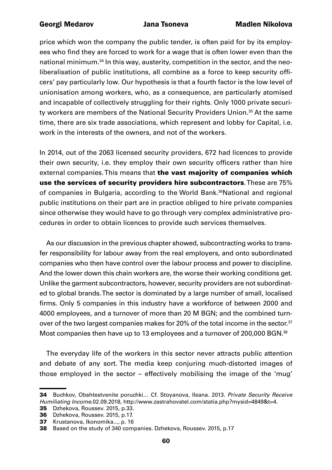price which won the company the public tender, is often paid for by its employees who find they are forced to work for a wage that is often lower even than the national minimum.34 In this way, austerity, competition in the sector, and the neoliberalisation of public institutions, all combine as a force to keep security officers' pay particularly low. Our hypothesis is that a fourth factor is the low level of unionisation among workers, who, as a consequence, are particularly atomised and incapable of collectively struggling for their rights. Only 1000 private security workers are members of the National Security Providers Union.<sup>35</sup> At the same time, there are six trade associations, which represent and lobby for Capital, i.e. work in the interests of the owners, and not of the workers.

In 2014, out of the 2063 licensed security providers, 672 had licences to provide their own security, i.e. they employ their own security officers rather than hire external companies. This means that the vast majority of companies which use the services of security providers hire subcontractors. These are 75% of companies in Bulgaria, according to the World Bank.<sup>36</sup>National and regional public institutions on their part are in practice obliged to hire private companies since otherwise they would have to go through very complex administrative procedures in order to obtain licences to provide such services themselves.

As our discussion in the previous chapter showed, subcontracting works to transfer responsibility for labour away from the real employers, and onto subordinated companies who then have control over the labour process and power to discipline. And the lower down this chain workers are, the worse their working conditions get. Unlike the garment subcontractors, however, security providers are not subordinated to global brands. The sector is dominated by a large number of small, localised firms. Only 5 companies in this industry have a workforce of between 2000 and 4000 employees, and a turnover of more than 20 M BGN; and the combined turnover of the two largest companies makes for 20% of the total income in the sector.<sup>37</sup> Most companies then have up to 13 employees and a turnover of 200,000 BGN.<sup>38</sup>

The everyday life of the workers in this sector never attracts public attention and debate of any sort. The media keep conjuring much-distorted images of those employed in the sector – effectively mobilising the image of the 'mug'

35 Dzhekova, Roussev. 2015, p.33.

<sup>34</sup> Buchkov, Obshtestvenite poruchki… Cf. Stoyanova, Ileana. 2013. *Private Security Receive Humiliating Income.*02.09.2018, [http://www.zastrahovatel.com/statia.php?mysid=4849&t=4.](http://www.zastrahovatel.com/statia.php?mysid=4849&t=4)

<sup>36</sup> Dzhekova, Roussev. 2015, p.17.

<sup>37</sup> Krustanova, Ikonomika..., p. 16

<sup>38</sup> Based on the study of 340 companies. Dzhekova, Roussev. 2015, p.17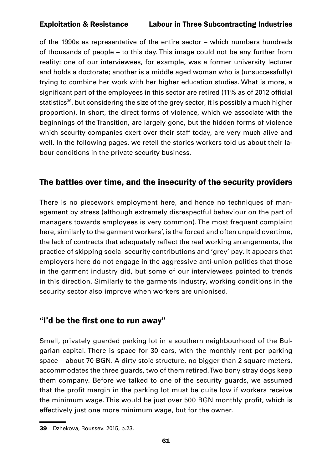of the 1990s as representative of the entire sector – which numbers hundreds of thousands of people – to this day. This image could not be any further from reality: one of our interviewees, for example, was a former university lecturer and holds a doctorate; another is a middle aged woman who is (unsuccessfully) trying to combine her work with her higher education studies. What is more, a significant part of the employees in this sector are retired (11% as of 2012 official statistics<sup>39</sup>, but considering the size of the grey sector, it is possibly a much higher proportion). In short, the direct forms of violence, which we associate with the beginnings of the Transition, are largely gone, but the hidden forms of violence which security companies exert over their staff today, are very much alive and well. In the following pages, we retell the stories workers told us about their labour conditions in the private security business.

# The battles over time, and the insecurity of the security providers

There is no piecework employment here, and hence no techniques of management by stress (although extremely disrespectful behaviour on the part of managers towards employees is very common). The most frequent complaint here, similarly to the garment workers', is the forced and often unpaid overtime, the lack of contracts that adequately reflect the real working arrangements, the practice of skipping social security contributions and 'grey' pay. It appears that employers here do not engage in the aggressive anti-union politics that those in the garment industry did, but some of our interviewees pointed to trends in this direction. Similarly to the garments industry, working conditions in the security sector also improve when workers are unionised.

# "I'd be the first one to run away"

Small, privately guarded parking lot in a southern neighbourhood of the Bulgarian capital. There is space for 30 cars, with the monthly rent per parking space – about 70 BGN. A dirty stoic structure, no bigger than 2 square meters, accommodates the three guards, two of them retired. Two bony stray dogs keep them company. Before we talked to one of the security guards, we assumed that the profit margin in the parking lot must be quite low if workers receive the minimum wage. This would be just over 500 BGN monthly profit, which is effectively just one more minimum wage, but for the owner.

<sup>39</sup> Dzhekova, Roussev. 2015, p.23.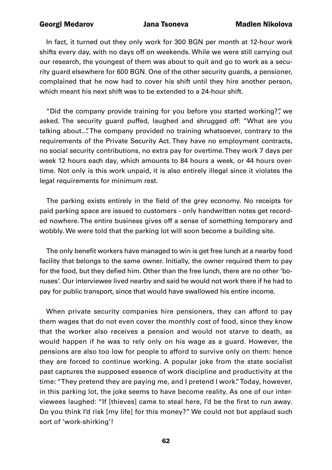In fact, it turned out they only work for 300 BGN per month at 12-hour work shifts every day, with no days off on weekends. While we were still carrying out our research, the youngest of them was about to quit and go to work as a security guard elsewhere for 600 BGN. One of the other security guards, a pensioner, complained that he now had to cover his shift until they hire another person, which meant his next shift was to be extended to a 24-hour shift.

"Did the company provide training for you before you started working?", we asked. The security guard puffed, laughed and shrugged off: "What are you talking about...". The company provided no training whatsoever, contrary to the requirements of the Private Security Act. They have no employment contracts, no social security contributions, no extra pay for overtime. They work 7 days per week 12 hours each day, which amounts to 84 hours a week, or 44 hours overtime. Not only is this work unpaid, it is also entirely illegal since it violates the legal requirements for minimum rest.

The parking exists entirely in the field of the grey economy. No receipts for paid parking space are issued to customers - only handwritten notes get recorded nowhere. The entire business gives off a sense of something temporary and wobbly. We were told that the parking lot will soon become a building site.

The only benefit workers have managed to win is get free lunch at a nearby food facility that belongs to the same owner. Initially, the owner required them to pay for the food, but they defied him. Other than the free lunch, there are no other 'bonuses'. Our interviewee lived nearby and said he would not work there if he had to pay for public transport, since that would have swallowed his entire income.

When private security companies hire pensioners, they can afford to pay them wages that do not even cover the monthly cost of food, since they know that the worker also receives a pension and would not starve to death, as would happen if he was to rely only on his wage as a guard. However, the pensions are also too low for people to afford to survive only on them: hence they are forced to continue working. A popular joke from the state socialist past captures the supposed essence of work discipline and productivity at the time: "They pretend they are paying me, and I pretend I work." Today, however, in this parking lot, the joke seems to have become reality. As one of our interviewees laughed: "If [thieves] came to steal here, I'd be the first to run away. Do you think I'd risk [my life] for this money?" We could not but applaud such sort of 'work-shirking'!

62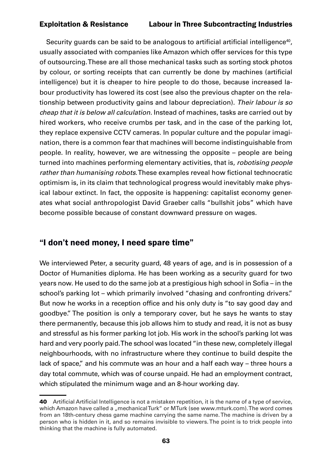Security guards can be said to be analogous to artificial artificial intelligence<sup>40</sup>, usually associated with companies like Amazon which offer services for this type of outsourcing. These are all those mechanical tasks such as sorting stock photos by colour, or sorting receipts that can currently be done by machines (artificial intelligence) but it is cheaper to hire people to do those, because increased labour productivity has lowered its cost (see also the previous chapter on the relationship between productivity gains and labour depreciation). *Their labour is so cheap that it is below all calculation.* Instead of machines, tasks are carried out by hired workers, who receive crumbs per task, and in the case of the parking lot, they replace expensive CCTV cameras. In popular culture and the popular imagination, there is a common fear that machines will become indistinguishable from people. In reality, however, we are witnessing the opposite – people are being turned into machines performing elementary activities, that is, *robotising people rather than humanising robots*. These examples reveal how fictional technocratic optimism is, in its claim that technological progress would inevitably make physical labour extinct. In fact, the opposite is happening: capitalist economy generates what social anthropologist David Graeber calls "bullshit jobs" which have become possible because of constant downward pressure on wages.

# "I don't need money, I need spare time"

We interviewed Peter, a security guard, 48 years of age, and is in possession of a Doctor of Humanities diploma. He has been working as a security guard for two years now. He used to do the same job at a prestigious high school in Sofia – in the school's parking lot – which primarily involved "chasing and confronting drivers." But now he works in a reception office and his only duty is "to say good day and goodbye." The position is only a temporary cover, but he says he wants to stay there permanently, because this job allows him to study and read, it is not as busy and stressful as his former parking lot job. His work in the school's parking lot was hard and very poorly paid. The school was located "in these new, completely illegal neighbourhoods, with no infrastructure where they continue to build despite the lack of space," and his commute was an hour and a half each way – three hours a day total commute, which was of course unpaid. He had an employment contract, which stipulated the minimum wage and an 8-hour working day.

<sup>40</sup> Artificial Artificial Intelligence is not a mistaken repetition, it is the name of a type of service, which Amazon have called a "mechanical Turk" or MTurk (see www.mturk.com). The word comes from an 18th-century chess game machine carrying the same name. The machine is driven by a person who is hidden in it, and so remains invisible to viewers. The point is to trick people into thinking that the machine is fully automated.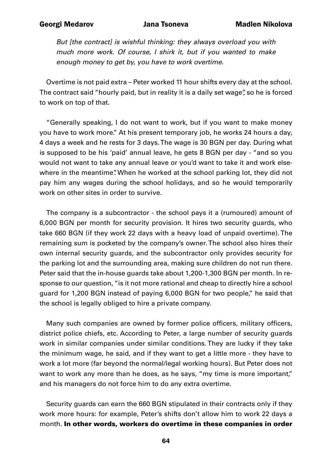*But [the contract] is wishful thinking: they always overload you with much more work. Of course, I shirk it, but if you wanted to make enough money to get by, you have to work overtime.* 

Overtime is not paid extra – Peter worked 11 hour shifts every day at the school. The contract said "hourly paid, but in reality it is a daily set wage", so he is forced to work on top of that.

"Generally speaking, I do not want to work, but if you want to make money you have to work more." At his present temporary job, he works 24 hours a day, 4 days a week and he rests for 3 days. The wage is 30 BGN per day. During what is supposed to be his 'paid' annual leave, he gets 8 BGN per day - "and so you would not want to take any annual leave or you'd want to take it and work elsewhere in the meantime". When he worked at the school parking lot, they did not pay him any wages during the school holidays, and so he would temporarily work on other sites in order to survive.

The company is a subcontractor - the school pays it a (rumoured) amount of 6,000 BGN per month for security provision. It hires two security guards, who take 660 BGN (if they work 22 days with a heavy load of unpaid overtime). The remaining sum is pocketed by the company's owner. The school also hires their own internal security guards, and the subcontractor only provides security for the parking lot and the surrounding area, making sure children do not run there. Peter said that the in-house guards take about 1,200-1,300 BGN per month. In response to our question, "is it not more rational and cheap to directly hire a school guard for 1,200 BGN instead of paying 6,000 BGN for two people," he said that the school is legally obliged to hire a private company.

Many such companies are owned by former police officers, military officers, district police chiefs, etc. According to Peter, a large number of security guards work in similar companies under similar conditions. They are lucky if they take the minimum wage, he said, and if they want to get a little more - they have to work a lot more (far beyond the normal/legal working hours). But Peter does not want to work any more than he does, as he says, "my time is more important," and his managers do not force him to do any extra overtime.

Security guards can earn the 660 BGN stipulated in their contracts only if they work more hours: for example, Peter's shifts don't allow him to work 22 days a month. In other words, workers do overtime in these companies in order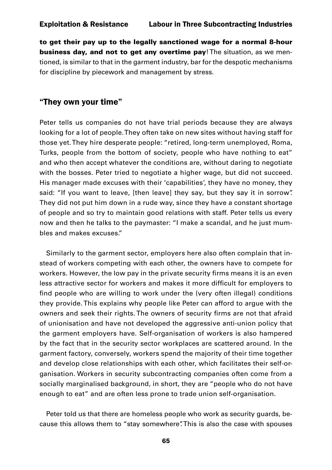to get their pay up to the legally sanctioned wage for a normal 8-hour business day, and not to get any overtime pay! The situation, as we mentioned, is similar to that in the garment industry, bar for the despotic mechanisms for discipline by piecework and management by stress.

### "They own your time"

Peter tells us companies do not have trial periods because they are always looking for a lot of people. They often take on new sites without having staff for those yet. They hire desperate people: "retired, long-term unemployed, Roma, Turks, people from the bottom of society, people who have nothing to eat" and who then accept whatever the conditions are, without daring to negotiate with the bosses. Peter tried to negotiate a higher wage, but did not succeed. His manager made excuses with their 'capabilities', they have no money, they said: "If you want to leave, [then leave] they say, but they say it in sorrow". They did not put him down in a rude way, since they have a constant shortage of people and so try to maintain good relations with staff. Peter tells us every now and then he talks to the paymaster: "I make a scandal, and he just mumbles and makes excuses."

Similarly to the garment sector, employers here also often complain that instead of workers competing with each other, the owners have to compete for workers. However, the low pay in the private security firms means it is an even less attractive sector for workers and makes it more difficult for employers to find people who are willing to work under the (very often illegal) conditions they provide. This explains why people like Peter can afford to argue with the owners and seek their rights. The owners of security firms are not that afraid of unionisation and have not developed the aggressive anti-union policy that the garment employers have. Self-organisation of workers is also hampered by the fact that in the security sector workplaces are scattered around. In the garment factory, conversely, workers spend the majority of their time together and develop close relationships with each other, which facilitates their self-organisation. Workers in security subcontracting companies often come from a socially marginalised background, in short, they are "people who do not have enough to eat" and are often less prone to trade union self-organisation.

Peter told us that there are homeless people who work as security guards, because this allows them to "stay somewhere". This is also the case with spouses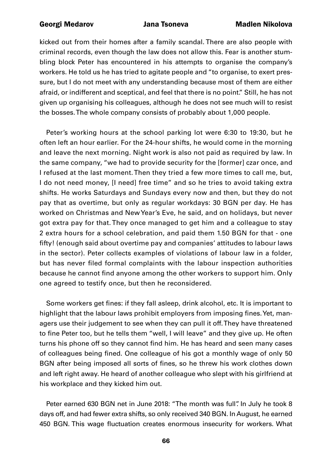kicked out from their homes after a family scandal. There are also people with criminal records, even though the law does not allow this. Fear is another stumbling block Peter has encountered in his attempts to organise the company's workers. He told us he has tried to agitate people and "to organise, to exert pressure, but I do not meet with any understanding because most of them are either afraid, or indifferent and sceptical, and feel that there is no point." Still, he has not given up organising his colleagues, although he does not see much will to resist the bosses. The whole company consists of probably about 1,000 people.

Peter's working hours at the school parking lot were 6:30 to 19:30, but he often left an hour earlier. For the 24-hour shifts, he would come in the morning and leave the next morning. Night work is also not paid as required by law. In the same company, "we had to provide security for the [former] czar once, and I refused at the last moment. Then they tried a few more times to call me, but, I do not need money, [I need] free time" and so he tries to avoid taking extra shifts. He works Saturdays and Sundays every now and then, but they do not pay that as overtime, but only as regular workdays: 30 BGN per day. He has worked on Christmas and New Year's Eve, he said, and on holidays, but never got extra pay for that. They once managed to get him and a colleague to stay 2 extra hours for a school celebration, and paid them 1.50 BGN for that - one fifty! (enough said about overtime pay and companies' attitudes to labour laws in the sector). Peter collects examples of violations of labour law in a folder, but has never filed formal complaints with the labour inspection authorities because he cannot find anyone among the other workers to support him. Only one agreed to testify once, but then he reconsidered.

Some workers get fines: if they fall asleep, drink alcohol, etc. It is important to highlight that the labour laws prohibit employers from imposing fines. Yet, managers use their judgement to see when they can pull it off. They have threatened to fine Peter too, but he tells them "well, I will leave" and they give up. He often turns his phone off so they cannot find him. He has heard and seen many cases of colleagues being fined. One colleague of his got a monthly wage of only 50 BGN after being imposed all sorts of fines, so he threw his work clothes down and left right away. He heard of another colleague who slept with his girlfriend at his workplace and they kicked him out.

Peter earned 630 BGN net in June 2018: "The month was full". In July he took 8 days off, and had fewer extra shifts, so only received 340 BGN. In August, he earned 450 BGN. This wage fluctuation creates enormous insecurity for workers. What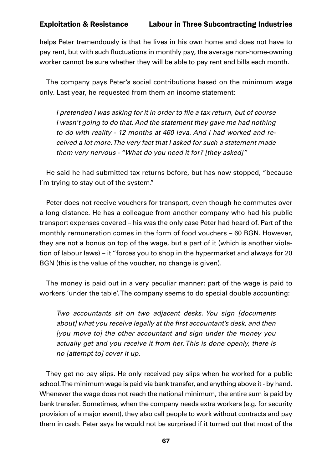helps Peter tremendously is that he lives in his own home and does not have to pay rent, but with such fluctuations in monthly pay, the average non-home-owning worker cannot be sure whether they will be able to pay rent and bills each month.

The company pays Peter's social contributions based on the minimum wage only. Last year, he requested from them an income statement:

I pretended I was asking for it in order to file a tax return, but of course *I* wasn't going to do that. And the statement they gave me had nothing *to do with reality - 12 months at 460 leva. And I had worked and received a lot more. The very fact that I asked for such a statement made them very nervous - "What do you need it for? [they asked]"*

He said he had submitted tax returns before, but has now stopped, "because I'm trying to stay out of the system."

Peter does not receive vouchers for transport, even though he commutes over a long distance. He has a colleague from another company who had his public transport expenses covered – his was the only case Peter had heard of. Part of the monthly remuneration comes in the form of food vouchers – 60 BGN. However, they are not a bonus on top of the wage, but a part of it (which is another violation of labour laws) – it "forces you to shop in the hypermarket and always for 20 BGN (this is the value of the voucher, no change is given).

The money is paid out in a very peculiar manner: part of the wage is paid to workers 'under the table'. The company seems to do special double accounting:

*Two accountants sit on two adjacent desks. You sign [documents*  about] what you receive legally at the first accountant's desk, and then *[you move to] the other accountant and sign under the money you actually get and you receive it from her. This is done openly, there is no [attempt to] cover it up.*

They get no pay slips. He only received pay slips when he worked for a public school. The minimum wage is paid via bank transfer, and anything above it - by hand. Whenever the wage does not reach the national minimum, the entire sum is paid by bank transfer. Sometimes, when the company needs extra workers (e.g. for security provision of a major event), they also call people to work without contracts and pay them in cash. Peter says he would not be surprised if it turned out that most of the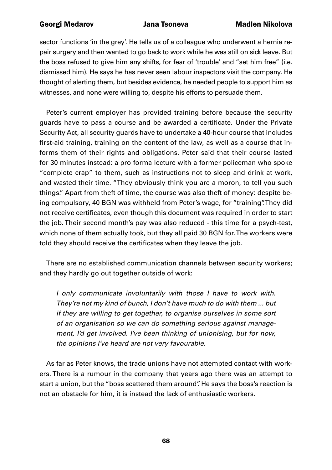sector functions 'in the grey'. He tells us of a colleague who underwent a hernia repair surgery and then wanted to go back to work while he was still on sick leave. But the boss refused to give him any shifts, for fear of 'trouble' and "set him free" (i.e. dismissed him). He says he has never seen labour inspectors visit the company. He thought of alerting them, but besides evidence, he needed people to support him as witnesses, and none were willing to, despite his efforts to persuade them.

Peter's current employer has provided training before because the security guards have to pass a course and be awarded a certificate. Under the Private Security Act, all security guards have to undertake a 40-hour course that includes first-aid training, training on the content of the law, as well as a course that informs them of their rights and obligations. Peter said that their course lasted for 30 minutes instead: a pro forma lecture with a former policeman who spoke "complete crap" to them, such as instructions not to sleep and drink at work, and wasted their time. "They obviously think you are a moron, to tell you such things." Apart from theft of time, the course was also theft of money: despite being compulsory, 40 BGN was withheld from Peter's wage, for "training". They did not receive certificates, even though this document was required in order to start the job. Their second month's pay was also reduced - this time for a psych-test, which none of them actually took, but they all paid 30 BGN for. The workers were told they should receive the certificates when they leave the job.

There are no established communication channels between security workers; and they hardly go out together outside of work:

*I only communicate involuntarily with those I have to work with. They're not my kind of bunch, I don't have much to do with them ... but if they are willing to get together, to organise ourselves in some sort of an organisation so we can do something serious against management, I'd get involved. I've been thinking of unionising, but for now, the opinions I've heard are not very favourable.*

As far as Peter knows, the trade unions have not attempted contact with workers. There is a rumour in the company that years ago there was an attempt to start a union, but the "boss scattered them around". He says the boss's reaction is not an obstacle for him, it is instead the lack of enthusiastic workers.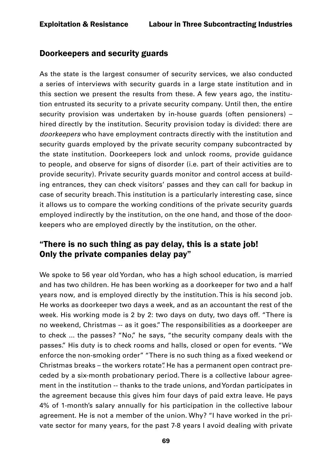# Doorkeepers and security guards

As the state is the largest consumer of security services, we also conducted a series of interviews with security guards in a large state institution and in this section we present the results from these. A few years ago, the institution entrusted its security to a private security company. Until then, the entire security provision was undertaken by in-house guards (often pensioners) – hired directly by the institution. Security provision today is divided: there are *doorkeepers* who have employment contracts directly with the institution and security guards employed by the private security company subcontracted by the state institution. Doorkeepers lock and unlock rooms, provide guidance to people, and observe for signs of disorder (i.e. part of their activities are to provide security). Private security guards monitor and control access at building entrances, they can check visitors' passes and they can call for backup in case of security breach. This institution is a particularly interesting case, since it allows us to compare the working conditions of the private security guards employed indirectly by the institution, on the one hand, and those of the doorkeepers who are employed directly by the institution, on the other.

# "There is no such thing as pay delay, this is a state job! Only the private companies delay pay"

We spoke to 56 year old Yordan, who has a high school education, is married and has two children. He has been working as a doorkeeper for two and a half years now, and is employed directly by the institution. This is his second job. He works as doorkeeper two days a week, and as an accountant the rest of the week. His working mode is 2 by 2: two days on duty, two days off. "There is no weekend, Christmas -- as it goes." The responsibilities as a doorkeeper are to check ... the passes? "No," he says, "the security company deals with the passes." His duty is to check rooms and halls, closed or open for events. "We enforce the non-smoking order" "There is no such thing as a fixed weekend or Christmas breaks – the workers rotate". He has a permanent open contract preceded by a six-month probationary period. There is a collective labour agreement in the institution -- thanks to the trade unions, and Yordan participates in the agreement because this gives him four days of paid extra leave. He pays 4% of 1-month's salary annually for his participation in the collective labour agreement. He is not a member of the union. Why? "I have worked in the private sector for many years, for the past 7-8 years I avoid dealing with private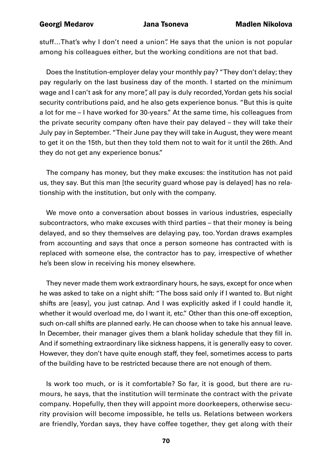stuff…That's why I don't need a union". He says that the union is not popular among his colleagues either, but the working conditions are not that bad.

Does the Institution-employer delay your monthly pay? "They don't delay; they pay regularly on the last business day of the month. I started on the minimum wage and I can't ask for any more", all pay is duly recorded, Yordan gets his social security contributions paid, and he also gets experience bonus. "But this is quite a lot for me – I have worked for 30-years." At the same time, his colleagues from the private security company often have their pay delayed – they will take their July pay in September. "Their June pay they will take in August, they were meant to get it on the 15th, but then they told them not to wait for it until the 26th. And they do not get any experience bonus."

The company has money, but they make excuses: the institution has not paid us, they say. But this man [the security guard whose pay is delayed] has no relationship with the institution, but only with the company.

We move onto a conversation about bosses in various industries, especially subcontractors, who make excuses with third parties – that their money is being delayed, and so they themselves are delaying pay, too. Yordan draws examples from accounting and says that once a person someone has contracted with is replaced with someone else, the contractor has to pay, irrespective of whether he's been slow in receiving his money elsewhere.

They never made them work extraordinary hours, he says, except for once when he was asked to take on a night shift: "The boss said only if I wanted to. But night shifts are [easy], you just catnap. And I was explicitly asked if I could handle it, whether it would overload me, do I want it, etc." Other than this one-off exception, such on-call shifts are planned early. He can choose when to take his annual leave. In December, their manager gives them a blank holiday schedule that they fill in. And if something extraordinary like sickness happens, it is generally easy to cover. However, they don't have quite enough staff, they feel, sometimes access to parts of the building have to be restricted because there are not enough of them.

Is work too much, or is it comfortable? So far, it is good, but there are rumours, he says, that the institution will terminate the contract with the private company. Hopefully, then they will appoint more doorkeepers, otherwise security provision will become impossible, he tells us. Relations between workers are friendly, Yordan says, they have coffee together, they get along with their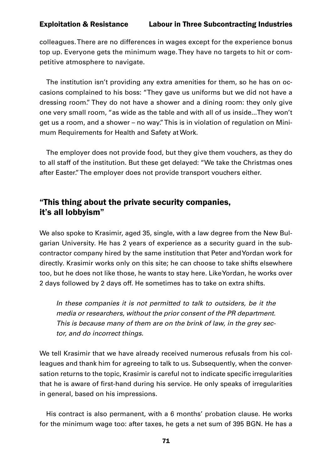colleagues. There are no differences in wages except for the experience bonus top up. Everyone gets the minimum wage. They have no targets to hit or competitive atmosphere to navigate.

The institution isn't providing any extra amenities for them, so he has on occasions complained to his boss: "They gave us uniforms but we did not have a dressing room." They do not have a shower and a dining room: they only give one very small room, "as wide as the table and with all of us inside...They won't get us a room, and a shower – no way." This is in violation of regulation on Minimum Requirements for Health and Safety at Work.

The employer does not provide food, but they give them vouchers, as they do to all staff of the institution. But these get delayed: "We take the Christmas ones after Easter." The employer does not provide transport vouchers either.

# "This thing about the private security companies, it's all lobbyism"

We also spoke to Krasimir, aged 35, single, with a law degree from the New Bulgarian University. He has 2 years of experience as a security guard in the subcontractor company hired by the same institution that Peter and Yordan work for directly. Krasimir works only on this site; he can choose to take shifts elsewhere too, but he does not like those, he wants to stay here. Like Yordan, he works over 2 days followed by 2 days off. He sometimes has to take on extra shifts.

*In these companies it is not permitted to talk to outsiders, be it the media or researchers, without the prior consent of the PR department. This is because many of them are on the brink of law, in the grey sector, and do incorrect things.*

We tell Krasimir that we have already received numerous refusals from his colleagues and thank him for agreeing to talk to us. Subsequently, when the conversation returns to the topic, Krasimir is careful not to indicate specific irregularities that he is aware of first-hand during his service. He only speaks of irregularities in general, based on his impressions.

His contract is also permanent, with a 6 months' probation clause. He works for the minimum wage too: after taxes, he gets a net sum of 395 BGN. He has a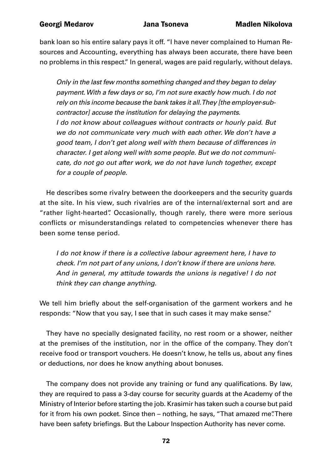bank loan so his entire salary pays it off. "I have never complained to Human Resources and Accounting, everything has always been accurate, there have been no problems in this respect." In general, wages are paid regularly, without delays.

*Only in the last few months something changed and they began to delay payment. With a few days or so, I'm not sure exactly how much. I do not rely on this income because the bank takes it all. They [the employer-subcontractor] accuse the institution for delaying the payments. I do not know about colleagues without contracts or hourly paid. But we do not communicate very much with each other. We don't have a good team, I don't get along well with them because of differences in character. I get along well with some people. But we do not communicate, do not go out after work, we do not have lunch together, except for a couple of people.*

He describes some rivalry between the doorkeepers and the security guards at the site. In his view, such rivalries are of the internal/external sort and are "rather light-hearted". Occasionally, though rarely, there were more serious conflicts or misunderstandings related to competencies whenever there has been some tense period.

*I do not know if there is a collective labour agreement here, I have to check. I'm not part of any unions, I don't know if there are unions here. And in general, my attitude towards the unions is negative! I do not think they can change anything.*

We tell him briefly about the self-organisation of the garment workers and he responds: "Now that you say, I see that in such cases it may make sense."

They have no specially designated facility, no rest room or a shower, neither at the premises of the institution, nor in the office of the company. They don't receive food or transport vouchers. He doesn't know, he tells us, about any fines or deductions, nor does he know anything about bonuses.

The company does not provide any training or fund any qualifications. By law, they are required to pass a 3-day course for security guards at the Academy of the Ministry of Interior before starting the job. Krasimir has taken such a course but paid for it from his own pocket. Since then – nothing, he says, "That amazed me". There have been safety briefings. But the Labour Inspection Authority has never come.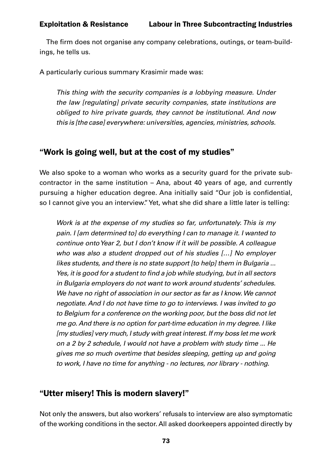The firm does not organise any company celebrations, outings, or team-buildings, he tells us.

A particularly curious summary Krasimir made was:

*This thing with the security companies is a lobbying measure. Under the law [regulating] private security companies, state institutions are obliged to hire private guards, they cannot be institutional. And now this is [the case] everywhere: universities, agencies, ministries, schools.*

# "Work is going well, but at the cost of my studies"

We also spoke to a woman who works as a security guard for the private subcontractor in the same institution – Ana, about 40 years of age, and currently pursuing a higher education degree. Ana initially said "Our job is confidential, so I cannot give you an interview." Yet, what she did share a little later is telling:

*Work is at the expense of my studies so far, unfortunately. This is my pain. I [am determined to] do everything I can to manage it. I wanted to continue onto Year 2, but I don't know if it will be possible. A colleague who was also a student dropped out of his studies […] No employer likes students, and there is no state support [to help] them in Bulgaria ...*  Yes, it is good for a student to find a job while studying, but in all sectors *in Bulgaria employers do not want to work around students' schedules. We have no right of association in our sector as far as I know. We cannot negotiate. And I do not have time to go to interviews. I was invited to go to Belgium for a conference on the working poor, but the boss did not let me go. And there is no option for part-time education in my degree. I like [my studies] very much, I study with great interest. If my boss let me work on a 2 by 2 schedule, I would not have a problem with study time ... He gives me so much overtime that besides sleeping, getting up and going to work, I have no time for anything - no lectures, nor library - nothing.*

# "Utter misery! This is modern slavery!"

Not only the answers, but also workers' refusals to interview are also symptomatic of the working conditions in the sector. All asked doorkeepers appointed directly by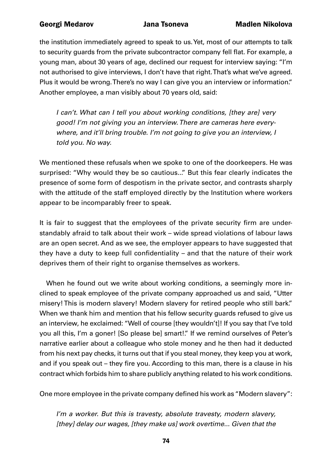the institution immediately agreed to speak to us. Yet, most of our attempts to talk to security guards from the private subcontractor company fell flat. For example, a young man, about 30 years of age, declined our request for interview saying: "I'm not authorised to give interviews, I don't have that right. That's what we've agreed. Plus it would be wrong. There's no way I can give you an interview or information." Another employee, a man visibly about 70 years old, said:

*I can't. What can I tell you about working conditions, [they are] very good! I'm not giving you an interview. There are cameras here everywhere, and it'll bring trouble. I'm not going to give you an interview, I told you. No way.*

We mentioned these refusals when we spoke to one of the doorkeepers. He was surprised: "Why would they be so cautious..." But this fear clearly indicates the presence of some form of despotism in the private sector, and contrasts sharply with the attitude of the staff employed directly by the Institution where workers appear to be incomparably freer to speak.

It is fair to suggest that the employees of the private security firm are understandably afraid to talk about their work – wide spread violations of labour laws are an open secret. And as we see, the employer appears to have suggested that they have a duty to keep full confidentiality – and that the nature of their work deprives them of their right to organise themselves as workers.

When he found out we write about working conditions, a seemingly more inclined to speak employee of the private company approached us and said, "Utter misery! This is modern slavery! Modern slavery for retired people who still bark." When we thank him and mention that his fellow security guards refused to give us an interview, he exclaimed: "Well of course [they wouldn't]! If you say that I've told you all this, I'm a goner! [So please be] smart!." If we remind ourselves of Peter's narrative earlier about a colleague who stole money and he then had it deducted from his next pay checks, it turns out that if you steal money, they keep you at work, and if you speak out – they fire you. According to this man, there is a clause in his contract which forbids him to share publicly anything related to his work conditions.

One more employee in the private company defined his work as "Modern slavery":

*I'm a worker. But this is travesty, absolute travesty, modern slavery, [they] delay our wages, [they make us] work overtime... Given that the*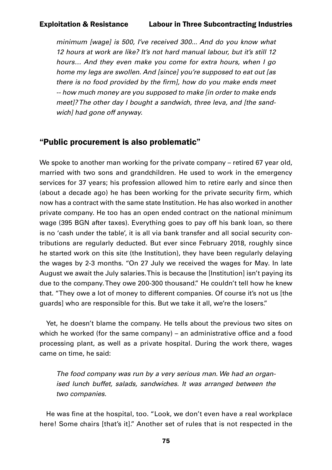*minimum [wage] is 500, I've received 300... And do you know what 12 hours at work are like? It's not hard manual labour, but it's still 12 hours… And they even make you come for extra hours, when I go home my legs are swollen. And [since] you're supposed to eat out [as*  there is no food provided by the firm], how do you make ends meet *-- how much money are you supposed to make [in order to make ends meet]? The other day I bought a sandwich, three leva, and [the sandwich] had gone off anyway.*

### "Public procurement is also problematic"

We spoke to another man working for the private company – retired 67 year old, married with two sons and grandchildren. He used to work in the emergency services for 37 years; his profession allowed him to retire early and since then (about a decade ago) he has been working for the private security firm, which now has a contract with the same state Institution. He has also worked in another private company. He too has an open ended contract on the national minimum wage (395 BGN after taxes). Everything goes to pay off his bank loan, so there is no 'cash under the table', it is all via bank transfer and all social security contributions are regularly deducted. But ever since February 2018, roughly since he started work on this site (the Institution), they have been regularly delaying the wages by 2-3 months. "On 27 July we received the wages for May. In late August we await the July salaries. This is because the [Institution] isn't paying its due to the company. They owe 200-300 thousand." He couldn't tell how he knew that. "They owe a lot of money to different companies. Of course it's not us [the guards] who are responsible for this. But we take it all, we're the losers."

Yet, he doesn't blame the company. He tells about the previous two sites on which he worked (for the same company) – an administrative office and a food processing plant, as well as a private hospital. During the work there, wages came on time, he said:

*The food company was run by a very serious man. We had an organised lunch buffet, salads, sandwiches. It was arranged between the two companies.*

He was fine at the hospital, too. "Look, we don't even have a real workplace here! Some chairs [that's it]." Another set of rules that is not respected in the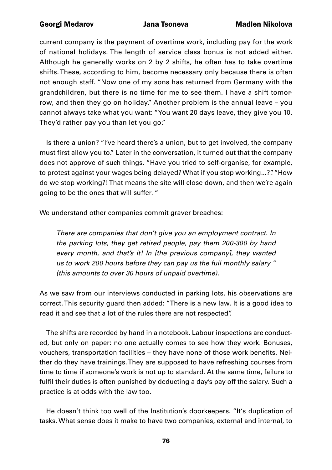current company is the payment of overtime work, including pay for the work of national holidays. The length of service class bonus is not added either. Although he generally works on 2 by 2 shifts, he often has to take overtime shifts. These, according to him, become necessary only because there is often not enough staff. "Now one of my sons has returned from Germany with the grandchildren, but there is no time for me to see them. I have a shift tomorrow, and then they go on holiday." Another problem is the annual leave – you cannot always take what you want: "You want 20 days leave, they give you 10. They'd rather pay you than let you go."

Is there a union? "I've heard there's a union, but to get involved, the company must first allow you to." Later in the conversation, it turned out that the company does not approve of such things. "Have you tried to self-organise, for example, to protest against your wages being delayed? What if you stop working...?". "How do we stop working?! That means the site will close down, and then we're again going to be the ones that will suffer. "

We understand other companies commit graver breaches:

*There are companies that don't give you an employment contract. In the parking lots, they get retired people, pay them 200-300 by hand every month, and that's it! In [the previous company], they wanted us to work 200 hours before they can pay us the full monthly salary " (this amounts to over 30 hours of unpaid overtime).*

As we saw from our interviews conducted in parking lots, his observations are correct. This security guard then added: "There is a new law. It is a good idea to read it and see that a lot of the rules there are not respected".

The shifts are recorded by hand in a notebook. Labour inspections are conducted, but only on paper: no one actually comes to see how they work. Bonuses, vouchers, transportation facilities – they have none of those work benefits. Neither do they have trainings. They are supposed to have refreshing courses from time to time if someone's work is not up to standard. At the same time, failure to fulfil their duties is often punished by deducting a day's pay off the salary. Such a practice is at odds with the law too.

He doesn't think too well of the Institution's doorkeepers. "It's duplication of tasks. What sense does it make to have two companies, external and internal, to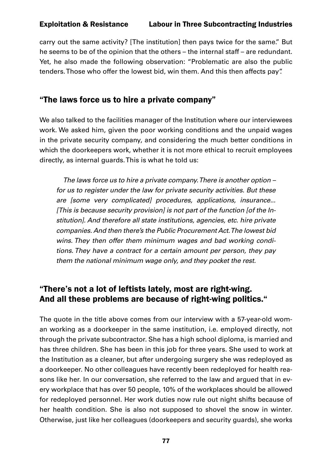carry out the same activity? [The institution] then pays twice for the same." But he seems to be of the opinion that the others – the internal staff – are redundant. Yet, he also made the following observation: "Problematic are also the public tenders. Those who offer the lowest bid, win them. And this then affects pay".

# "The laws force us to hire a private company"

We also talked to the facilities manager of the Institution where our interviewees work. We asked him, given the poor working conditions and the unpaid wages in the private security company, and considering the much better conditions in which the doorkeepers work, whether it is not more ethical to recruit employees directly, as internal guards. This is what he told us:

*The laws force us to hire a private company. There is another option – for us to register under the law for private security activities. But these are [some very complicated] procedures, applications, insurance... [This is because security provision] is not part of the function [of the Institution]. And therefore all state institutions, agencies, etc. hire private companies. And then there's the Public Procurement Act. The lowest bid wins. They then offer them minimum wages and bad working conditions. They have a contract for a certain amount per person, they pay them the national minimum wage only, and they pocket the rest.*

# "There's not a lot of leftists lately, most are right-wing. And all these problems are because of right-wing politics."

The quote in the title above comes from our interview with a 57-year-old woman working as a doorkeeper in the same institution, i.e. employed directly, not through the private subcontractor. She has a high school diploma, is married and has three children. She has been in this job for three years. She used to work at the Institution as a cleaner, but after undergoing surgery she was redeployed as a doorkeeper. No other colleagues have recently been redeployed for health reasons like her. In our conversation, she referred to the law and argued that in every workplace that has over 50 people, 10% of the workplaces should be allowed for redeployed personnel. Her work duties now rule out night shifts because of her health condition. She is also not supposed to shovel the snow in winter. Otherwise, just like her colleagues (doorkeepers and security guards), she works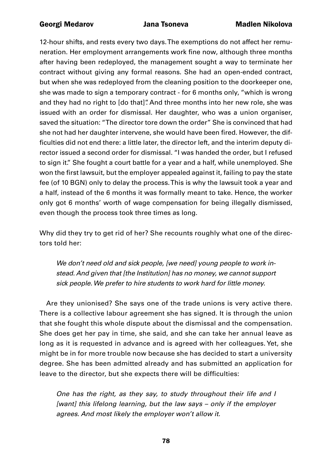12-hour shifts, and rests every two days. The exemptions do not affect her remuneration. Her employment arrangements work fine now, although three months after having been redeployed, the management sought a way to terminate her contract without giving any formal reasons. She had an open-ended contract, but when she was redeployed from the cleaning position to the doorkeeper one, she was made to sign a temporary contract - for 6 months only, "which is wrong and they had no right to [do that]". And three months into her new role, she was issued with an order for dismissal. Her daughter, who was a union organiser, saved the situation: "The director tore down the order" She is convinced that had she not had her daughter intervene, she would have been fired. However, the difficulties did not end there: a little later, the director left, and the interim deputy director issued a second order for dismissal. "I was handed the order, but I refused to sign it." She fought a court battle for a year and a half, while unemployed. She won the first lawsuit, but the employer appealed against it, failing to pay the state fee (of 10 BGN) only to delay the process. This is why the lawsuit took a year and a half, instead of the 6 months it was formally meant to take. Hence, the worker only got 6 months' worth of wage compensation for being illegally dismissed, even though the process took three times as long.

Why did they try to get rid of her? She recounts roughly what one of the directors told her:

*We don't need old and sick people, [we need] young people to work instead. And given that [the Institution] has no money, we cannot support sick people. We prefer to hire students to work hard for little money.*

Are they unionised? She says one of the trade unions is very active there. There is a collective labour agreement she has signed. It is through the union that she fought this whole dispute about the dismissal and the compensation. She does get her pay in time, she said, and she can take her annual leave as long as it is requested in advance and is agreed with her colleagues. Yet, she might be in for more trouble now because she has decided to start a university degree. She has been admitted already and has submitted an application for leave to the director, but she expects there will be difficulties:

*One has the right, as they say, to study throughout their life and I [want] this lifelong learning, but the law says – only if the employer agrees. And most likely the employer won't allow it.*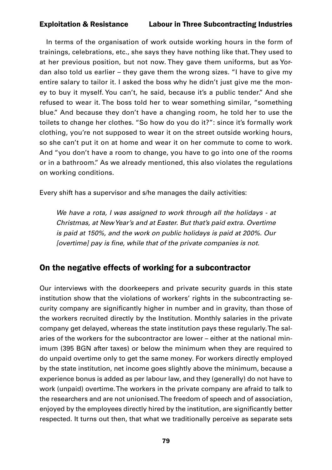In terms of the organisation of work outside working hours in the form of trainings, celebrations, etc., she says they have nothing like that. They used to at her previous position, but not now. They gave them uniforms, but as Yordan also told us earlier – they gave them the wrong sizes. "I have to give my entire salary to tailor it. I asked the boss why he didn't just give me the money to buy it myself. You can't, he said, because it's a public tender." And she refused to wear it. The boss told her to wear something similar, "something blue." And because they don't have a changing room, he told her to use the toilets to change her clothes. "So how do you do it?": since it's formally work clothing, you're not supposed to wear it on the street outside working hours, so she can't put it on at home and wear it on her commute to come to work. And "you don't have a room to change, you have to go into one of the rooms or in a bathroom." As we already mentioned, this also violates the regulations on working conditions.

Every shift has a supervisor and s/he manages the daily activities:

*We have a rota, I was assigned to work through all the holidays - at Christmas, at New Year's and at Easter. But that's paid extra. Overtime is paid at 150%, and the work on public holidays is paid at 200%. Our*  [overtime] pay is fine, while that of the private companies is not.

# On the negative effects of working for a subcontractor

Our interviews with the doorkeepers and private security guards in this state institution show that the violations of workers' rights in the subcontracting security company are significantly higher in number and in gravity, than those of the workers recruited directly by the Institution. Monthly salaries in the private company get delayed, whereas the state institution pays these regularly. The salaries of the workers for the subcontractor are lower – either at the national minimum (395 BGN after taxes) or below the minimum when they are required to do unpaid overtime only to get the same money. For workers directly employed by the state institution, net income goes slightly above the minimum, because a experience bonus is added as per labour law, and they (generally) do not have to work (unpaid) overtime. The workers in the private company are afraid to talk to the researchers and are not unionised. The freedom of speech and of association, enjoyed by the employees directly hired by the institution, are significantly better respected. It turns out then, that what we traditionally perceive as separate sets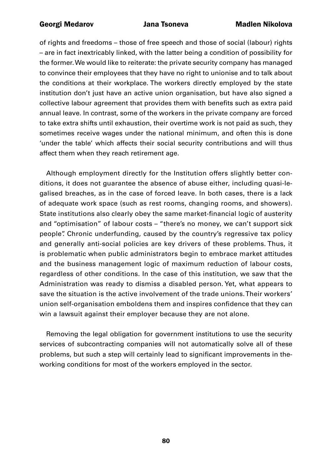of rights and freedoms – those of free speech and those of social (labour) rights – are in fact inextricably linked, with the latter being a condition of possibility for the former. We would like to reiterate: the private security company has managed to convince their employees that they have no right to unionise and to talk about the conditions at their workplace. The workers directly employed by the state institution don't just have an active union organisation, but have also signed a collective labour agreement that provides them with benefits such as extra paid annual leave. In contrast, some of the workers in the private company are forced to take extra shifts until exhaustion, their overtime work is not paid as such, they sometimes receive wages under the national minimum, and often this is done 'under the table' which affects their social security contributions and will thus affect them when they reach retirement age.

Although employment directly for the Institution offers slightly better conditions, it does not guarantee the absence of abuse either, including quasi-legalised breaches, as in the case of forced leave. In both cases, there is a lack of adequate work space (such as rest rooms, changing rooms, and showers). State institutions also clearly obey the same market-financial logic of austerity and "optimisation" of labour costs – "there's no money, we can't support sick people". Chronic underfunding, caused by the country's regressive tax policy and generally anti-social policies are key drivers of these problems. Thus, it is problematic when public administrators begin to embrace market attitudes and the business management logic of maximum reduction of labour costs, regardless of other conditions. In the case of this institution, we saw that the Administration was ready to dismiss a disabled person. Yet, what appears to save the situation is the active involvement of the trade unions. Their workers' union self-organisation emboldens them and inspires confidence that they can win a lawsuit against their employer because they are not alone.

Removing the legal obligation for government institutions to use the security services of subcontracting companies will not automatically solve all of these problems, but such a step will certainly lead to significant improvements in theworking conditions for most of the workers employed in the sector.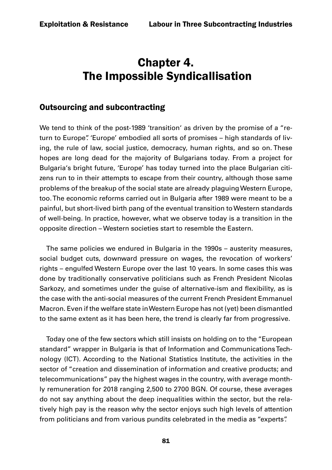# Chapter 4. The Impossible Syndicallisation

## Outsourcing and subcontracting

We tend to think of the post-1989 'transition' as driven by the promise of a "return to Europe". 'Europe' embodied all sorts of promises – high standards of living, the rule of law, social justice, democracy, human rights, and so on. These hopes are long dead for the majority of Bulgarians today. From a project for Bulgaria's bright future, 'Europe' has today turned into the place Bulgarian citizens run to in their attempts to escape from their country, although those same problems of the breakup of the social state are already plaguing Western Europe, too. The economic reforms carried out in Bulgaria after 1989 were meant to be a painful, but short-lived birth pang of the eventual transition to Western standards of well-being. In practice, however, what we observe today is a transition in the opposite direction – Western societies start to resemble the Eastern.

The same policies we endured in Bulgaria in the 1990s – austerity measures, social budget cuts, downward pressure on wages, the revocation of workers' rights – engulfed Western Europe over the last 10 years. In some cases this was done by traditionally conservative politicians such as French President Nicolas Sarkozy, and sometimes under the guise of alternative-ism and flexibility, as is the case with the anti-social measures of the current French President Emmanuel Macron. Even if the welfare state in Western Europe has not (yet) been dismantled to the same extent as it has been here, the trend is clearly far from progressive.

Today one of the few sectors which still insists on holding on to the "European standard" wrapper in Bulgaria is that of Information and Communications Technology (ICT). According to the National Statistics Institute, the activities in the sector of "creation and dissemination of information and creative products; and telecommunications" pay the highest wages in the country, with average monthly remuneration for 2018 ranging 2,500 to 2700 BGN. Of course, these averages do not say anything about the deep inequalities within the sector, but the relatively high pay is the reason why the sector enjoys such high levels of attention from politicians and from various pundits celebrated in the media as "experts".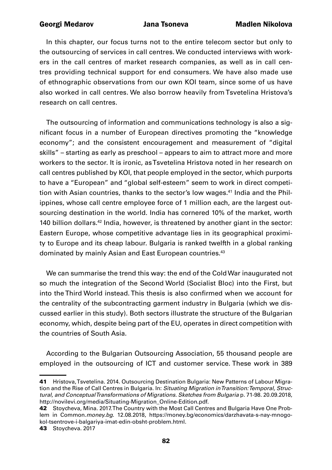In this chapter, our focus turns not to the entire telecom sector but only to the outsourcing of services in call centres. We conducted interviews with workers in the call centres of market research companies, as well as in call centres providing technical support for end consumers. We have also made use of ethnographic observations from our own KOI team, since some of us have also worked in call centres. We also borrow heavily from Tsvetelina Hristova's research on call centres.

The outsourcing of information and communications technology is also a significant focus in a number of European directives promoting the "knowledge economy"; and the consistent encouragement and measurement of "digital skills" – starting as early as preschool – appears to aim to attract more and more workers to the sector. It is ironic, as Tsvetelina Hristova noted in her research on call centres published by KOI, that people employed in the sector, which purports to have a "European" and "global self-esteem" seem to work in direct competition with Asian countries, thanks to the sector's low wages.<sup>41</sup> India and the Philippines, whose call centre employee force of 1 million each, are the largest outsourcing destination in the world. India has cornered 10% of the market, worth 140 billion dollars.<sup>42</sup> India, however, is threatened by another giant in the sector: Eastern Europe, whose competitive advantage lies in its geographical proximity to Europe and its cheap labour. Bulgaria is ranked twelfth in a global ranking dominated by mainly Asian and East European countries.<sup>43</sup>

We can summarise the trend this way: the end of the Cold War inaugurated not so much the integration of the Second World (Socialist Bloc) into the First, but into the Third World instead. This thesis is also confirmed when we account for the centrality of the subcontracting garment industry in Bulgaria (which we discussed earlier in this study). Both sectors illustrate the structure of the Bulgarian economy, which, despite being part of the EU, operates in direct competition with the countries of South Asia.

According to the Bulgarian Outsourcing Association, 55 thousand people are employed in the outsourcing of ICT and customer service. These work in 389

<sup>41</sup> Hristova, Tsvetelina. 2014. Outsourcing Destination Bulgaria: New Patterns of Labour Migration and the Rise of Call Centres in Bulgaria. In: *Situating Migration in Transition: Temporal, Structural, and Conceptual Transformations of Migrations. Sketches from Bulgaria* p. 71-98. 20.09.2018, [http://novilevi.org/media/Situating-Migration\\_Online-Edition.pdf.](http://novilevi.org/media/Situating-Migration_Online-Edition.pdf)

<sup>42</sup> Stoycheva, Mina. 2017. The Country with the Most Call Centres and Bulgaria Have One Problem in Common.*money.bg*. 12.08.2018, [https://money.bg/economics/darzhavata-s-nay-mnogo](https://money.bg/economics/darzhavata-s-nay-mnogo-kol-tsentrove-i-balgariya-imat-edin-obsht-problem.html)[kol-tsentrove-i-balgariya-imat-edin-obsht-problem.html.](https://money.bg/economics/darzhavata-s-nay-mnogo-kol-tsentrove-i-balgariya-imat-edin-obsht-problem.html)

<sup>43</sup> Stoycheva. 2017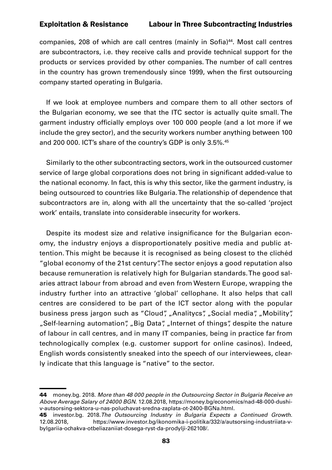companies, 208 of which are call centres (mainly in Sofia)<sup>44</sup>. Most call centres are subcontractors, i.e. they receive calls and provide technical support for the products or services provided by other companies. The number of call centres in the country has grown tremendously since 1999, when the first outsourcing company started operating in Bulgaria.

If we look at employee numbers and compare them to all other sectors of the Bulgarian economy, we see that the ITC sector is actually quite small. The garment industry officially employs over 100 000 people (and a lot more if we include the grey sector), and the security workers number anything between 100 and 200 000. ICT's share of the country's GDP is only 3.5%.<sup>45</sup>

Similarly to the other subcontracting sectors, work in the outsourced customer service of large global corporations does not bring in significant added-value to the national economy. In fact, this is why this sector, like the garment industry, is being outsourced to countries like Bulgaria. The relationship of dependence that subcontractors are in, along with all the uncertainty that the so-called 'project work' entails, translate into considerable insecurity for workers.

Despite its modest size and relative insignificance for the Bulgarian economy, the industry enjoys a disproportionately positive media and public attention. This might be because it is recognised as being closest to the clichéd "global economy of the 21st century". The sector enjoys a good reputation also because remuneration is relatively high for Bulgarian standards. The good salaries attract labour from abroad and even from Western Europe, wrapping the industry further into an attractive 'global' cellophane. It also helps that call centres are considered to be part of the ICT sector along with the popular business press jargon such as "Cloud", "Analitycs", "Social media", "Mobility", "Self-learning automation", "Big Data", "Internet of things", despite the nature of labour in call centres, and in many IT companies, being in practice far from technologically complex (e.g. customer support for online casinos). Indeed, English words consistently sneaked into the speech of our interviewees, clearly indicate that this language is "native" to the sector.

<sup>44</sup> money.bg. 2018. *More than 48 000 people in the Outsourcing Sector in Bulgaria Receive an Above Average Salary of 24000 BGN*. 12.08.2018, [https://money.bg/economics/nad-48-000-dushi](https://money.bg/economics/nad-48-000-dushi-v-autsorsing-sektora-u-nas-poluchavat-sredna-zaplata-ot-2400-leva.html)[v-autsorsing-sektora-u-nas-poluchavat-sredna-zaplata-ot-2400-BGNa.html.](https://money.bg/economics/nad-48-000-dushi-v-autsorsing-sektora-u-nas-poluchavat-sredna-zaplata-ot-2400-leva.html)

<sup>45</sup> investor.bg. 2018.*The Outsourcing Industry in Bulgaria Expects a Continued Growth*. 12.08.2018, [https://www.investor.bg/ikonomika-i-politika/332/a/autsorsing-industriiata-v](https://www.investor.bg/ikonomika-i-politika/332/a/autsorsing-industriiata-v-bylgariia-ochakva-otbeliazaniiat-dosega-ryst-da-prodylji-262108/)[bylgariia-ochakva-otbeliazaniiat-dosega-ryst-da-prodylji-262108/](https://www.investor.bg/ikonomika-i-politika/332/a/autsorsing-industriiata-v-bylgariia-ochakva-otbeliazaniiat-dosega-ryst-da-prodylji-262108/).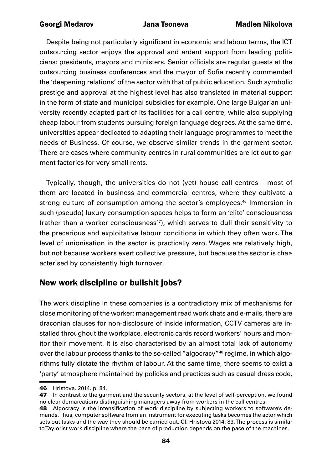Despite being not particularly significant in economic and labour terms, the ICT outsourcing sector enjoys the approval and ardent support from leading politicians: presidents, mayors and ministers. Senior officials are regular guests at the outsourcing business conferences and the mayor of Sofia recently commended the 'deepening relations' of the sector with that of public education. Such symbolic prestige and approval at the highest level has also translated in material support in the form of state and municipal subsidies for example. One large Bulgarian university recently adapted part of its facilities for a call centre, while also supplying cheap labour from students pursuing foreign language degrees. At the same time, universities appear dedicated to adapting their language programmes to meet the needs of Business. Of course, we observe similar trends in the garment sector. There are cases where community centres in rural communities are let out to garment factories for very small rents.

Typically, though, the universities do not (yet) house call centres – most of them are located in business and commercial centres, where they cultivate a strong culture of consumption among the sector's employees.<sup>46</sup> Immersion in such (pseudo) luxury consumption spaces helps to form an 'elite' consciousness (rather than a worker consciousness<sup>47</sup>), which serves to dull their sensitivity to the precarious and exploitative labour conditions in which they often work. The level of unionisation in the sector is practically zero. Wages are relatively high, but not because workers exert collective pressure, but because the sector is characterised by consistently high turnover.

### New work discipline or bullshit jobs?

The work discipline in these companies is a contradictory mix of mechanisms for close monitoring of the worker: management read work chats and e-mails, there are draconian clauses for non-disclosure of inside information, CCTV cameras are installed throughout the workplace, electronic cards record workers' hours and monitor their movement. It is also characterised by an almost total lack of autonomy over the labour process thanks to the so-called "algocracy"48 regime, in which algorithms fully dictate the rhythm of labour. At the same time, there seems to exist a 'party' atmosphere maintained by policies and practices such as casual dress code,

<sup>46</sup> Hristova. 2014. p. 84.

<sup>47</sup> In contrast to the garment and the security sectors, at the level of self-perception, we found no clear demarcations distinguishing managers away from workers in the call centres.

<sup>48</sup> Algocracy is the intensification of work discipline by subjecting workers to software's demands. Thus, computer software from an instrument for executing tasks becomes the actor which sets out tasks and the way they should be carried out. Cf. Hristova 2014: 83. The process is similar to Taylorist work discipline where the pace of production depends on the pace of the machines.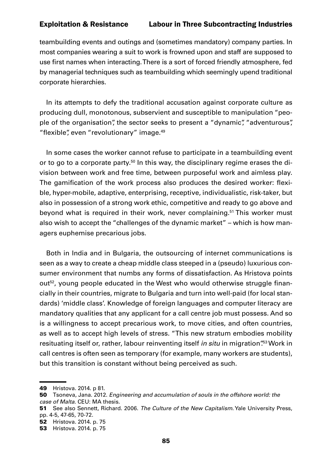teambuilding events and outings and (sometimes mandatory) company parties. In most companies wearing a suit to work is frowned upon and staff are supposed to use first names when interacting. There is a sort of forced friendly atmosphere, fed by managerial techniques such as teambuilding which seemingly upend traditional corporate hierarchies.

In its attempts to defy the traditional accusation against corporate culture as producing dull, monotonous, subservient and susceptible to manipulation "people of the organisation", the sector seeks to present a "dynamic", "adventurous", "flexible", even "revolutionary" image.<sup>49</sup>

In some cases the worker cannot refuse to participate in a teambuilding event or to go to a corporate party.<sup>50</sup> In this way, the disciplinary regime erases the division between work and free time, between purposeful work and aimless play. The gamification of the work process also produces the desired worker: flexible, hyper-mobile, adaptive, enterprising, receptive, individualistic, risk-taker, but also in possession of a strong work ethic, competitive and ready to go above and beyond what is required in their work, never complaining.<sup>51</sup> This worker must also wish to accept the "challenges of the dynamic market" – which is how managers euphemise precarious jobs.

Both in India and in Bulgaria, the outsourcing of internet communications is seen as a way to create a cheap middle class steeped in a (pseudo) luxurious consumer environment that numbs any forms of dissatisfaction. As Hristova points out<sup>52</sup>, young people educated in the West who would otherwise struggle financially in their countries, migrate to Bulgaria and turn into well-paid (for local standards) 'middle class'. Knowledge of foreign languages and computer literacy are mandatory qualities that any applicant for a call centre job must possess. And so is a willingness to accept precarious work, to move cities, and often countries, as well as to accept high levels of stress. "This new stratum embodies mobility resituating itself or, rather, labour reinventing itself *in situ* in migration<sup>"53</sup> Work in call centres is often seen as temporary (for example, many workers are students), but this transition is constant without being perceived as such.

<sup>49</sup> Hristova. 2014. p 81.

<sup>50</sup> Tsoneva, Jana. 2012. *Engineering and accumulation of souls in the offshore world: the case of Malta*. CEU: MA thesis.

<sup>51</sup> See also Sennett, Richard. 2006. *The Culture of the New Capitalism*. Yale University Press, pp. 4-5, 47-65, 70-72.

<sup>52</sup> Hristova. 2014. p. 75

<sup>53</sup> Hristova. 2014. p. 75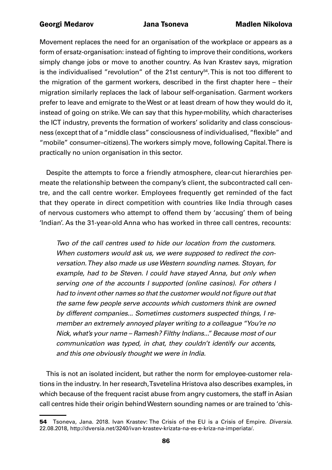Movement replaces the need for an organisation of the workplace or appears as a form of ersatz-organisation: instead of fighting to improve their conditions, workers simply change jobs or move to another country. As Ivan Krastev says, migration is the individualised "revolution" of the 21st century<sup>54</sup>. This is not too different to the migration of the garment workers, described in the first chapter here – their migration similarly replaces the lack of labour self-organisation. Garment workers prefer to leave and emigrate to the West or at least dream of how they would do it, instead of going on strike. We can say that this hyper-mobility, which characterises the ICT industry, prevents the formation of workers' solidarity and class consciousness (except that of a "middle class" consciousness of individualised, "flexible" and "mobile" consumer–citizens). The workers simply move, following Capital. There is practically no union organisation in this sector.

Despite the attempts to force a friendly atmosphere, clear-cut hierarchies permeate the relationship between the company's client, the subcontracted call centre, and the call centre worker. Employees frequently get reminded of the fact that they operate in direct competition with countries like India through cases of nervous customers who attempt to offend them by 'accusing' them of being 'Indian'. As the 31-year-old Anna who has worked in three call centres, recounts:

*Two of the call centres used to hide our location from the customers. When customers would ask us, we were supposed to redirect the conversation. They also made us use Western sounding names. Stoyan, for example, had to be Steven. I could have stayed Anna, but only when serving one of the accounts I supported (online casinos). For others I*  had to invent other names so that the customer would not figure out that *the same few people serve accounts which customers think are owned by different companies... Sometimes customers suspected things, I remember an extremely annoyed player writing to a colleague "You're no Nick, what's your name – Ramesh? Filthy Indians..." Because most of our communication was typed, in chat, they couldn't identify our accents, and this one obviously thought we were in India.*

This is not an isolated incident, but rather the norm for employee-customer relations in the industry. In her research, Tsvetelina Hristova also describes examples, in which because of the frequent racist abuse from angry customers, the staff in Asian call centres hide their origin behind Western sounding names or are trained to 'chis-

<sup>54</sup> Tsoneva, Jana. 2018. Ivan Krastev: The Crisis of the EU is a Crisis of Empire. *Diversia*. 22.08.2018, [http://dversia.net/3240/ivan-krastev-krizata-na-es-e-kriza-na-imperiata/.](http://dversia.net/3240/ivan-krastev-krizata-na-es-e-kriza-na-imperiata/)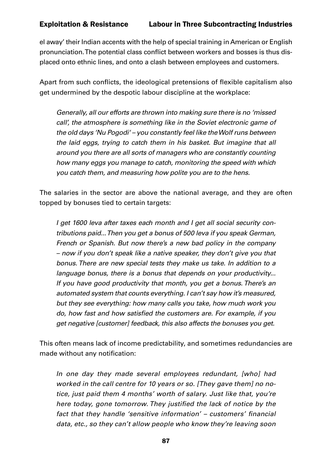el away' their Indian accents with the help of special training in American or English pronunciation. The potential class conflict between workers and bosses is thus displaced onto ethnic lines, and onto a clash between employees and customers.

Apart from such conflicts, the ideological pretensions of flexible capitalism also get undermined by the despotic labour discipline at the workplace:

*Generally, all our efforts are thrown into making sure there is no 'missed call', the atmosphere is something like in the Soviet electronic game of the old days 'Nu Pogodi' – you constantly feel like the Wolf runs between the laid eggs, trying to catch them in his basket. But imagine that all around you there are all sorts of managers who are constantly counting how many eggs you manage to catch, monitoring the speed with which you catch them, and measuring how polite you are to the hens.* 

The salaries in the sector are above the national average, and they are often topped by bonuses tied to certain targets:

*I get 1600 leva after taxes each month and I get all social security contributions paid... Then you get a bonus of 500 leva if you speak German, French or Spanish. But now there's a new bad policy in the company – now if you don't speak like a native speaker, they don't give you that bonus. There are new special tests they make us take. In addition to a language bonus, there is a bonus that depends on your productivity... If you have good productivity that month, you get a bonus. There's an automated system that counts everything. I can't say how it's measured, but they see everything: how many calls you take, how much work you*  do, how fast and how satisfied the customers are. For example, if you *get negative [customer] feedback, this also affects the bonuses you get.*

This often means lack of income predictability, and sometimes redundancies are made without any notification:

*In one day they made several employees redundant, [who] had worked in the call centre for 10 years or so. [They gave them] no notice, just paid them 4 months' worth of salary. Just like that, you're*  here today, gone tomorrow. They justified the lack of notice by the fact that they handle 'sensitive information' – customers' financial *data, etc., so they can't allow people who know they're leaving soon*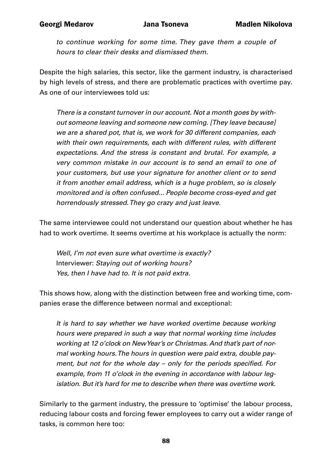*to continue working for some time. They gave them a couple of hours to clear their desks and dismissed them.*

Despite the high salaries, this sector, like the garment industry, is characterised by high levels of stress, and there are problematic practices with overtime pay. As one of our interviewees told us:

*There is a constant turnover in our account. Not a month goes by without someone leaving and someone new coming. [They leave because] we are a shared pot, that is, we work for 30 different companies, each with their own requirements, each with different rules, with different expectations. And the stress is constant and brutal. For example, a very common mistake in our account is to send an email to one of your customers, but use your signature for another client or to send it from another email address, which is a huge problem, so is closely monitored and is often confused... People become cross-eyed and get horrendously stressed. They go crazy and just leave.*

The same interviewee could not understand our question about whether he has had to work overtime. It seems overtime at his workplace is actually the norm:

*Well, I'm not even sure what overtime is exactly?*  Interviewer: *Staying out of working hours? Yes, then I have had to. It is not paid extra.*

This shows how, along with the distinction between free and working time, companies erase the difference between normal and exceptional:

*It is hard to say whether we have worked overtime because working hours were prepared in such a way that normal working time includes working at 12 o'clock on New Year's or Christmas. And that's part of normal working hours. The hours in question were paid extra, double pay*ment, but not for the whole day – only for the periods specified. For *example, from 11 o'clock in the evening in accordance with labour legislation. But it's hard for me to describe when there was overtime work.*

Similarly to the garment industry, the pressure to 'optimise' the labour process, reducing labour costs and forcing fewer employees to carry out a wider range of tasks, is common here too: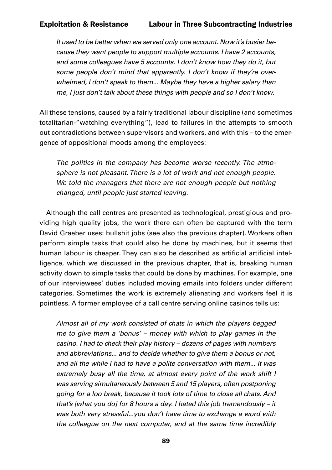*It used to be better when we served only one account. Now it's busier because they want people to support multiple accounts. I have 2 accounts, and some colleagues have 5 accounts. I don't know how they do it, but some people don't mind that apparently. I don't know if they're overwhelmed, I don't speak to them... Maybe they have a higher salary than me, I just don't talk about these things with people and so I don't know.*

All these tensions, caused by a fairly traditional labour discipline (and sometimes totalitarian-"watching everything"), lead to failures in the attempts to smooth out contradictions between supervisors and workers, and with this – to the emergence of oppositional moods among the employees:

*The politics in the company has become worse recently. The atmosphere is not pleasant. There is a lot of work and not enough people. We told the managers that there are not enough people but nothing changed, until people just started leaving.*

Although the call centres are presented as technological, prestigious and providing high quality jobs, the work there can often be captured with the term David Graeber uses: bullshit jobs (see also the previous chapter). Workers often perform simple tasks that could also be done by machines, but it seems that human labour is cheaper. They can also be described as artificial artificial intelligence, which we discussed in the previous chapter, that is, breaking human activity down to simple tasks that could be done by machines. For example, one of our interviewees' duties included moving emails into folders under different categories. Sometimes the work is extremely alienating and workers feel it is pointless. A former employee of a call centre serving online casinos tells us:

*Almost all of my work consisted of chats in which the players begged me to give them a 'bonus' – money with which to play games in the casino. I had to check their play history – dozens of pages with numbers and abbreviations... and to decide whether to give them a bonus or not, and all the while I had to have a polite conversation with them... It was extremely busy all the time, at almost every point of the work shift I was serving simultaneously between 5 and 15 players, often postponing going for a loo break, because it took lots of time to close all chats. And that's [what you do] for 8 hours a day. I hated this job tremendously – it was both very stressful...you don't have time to exchange a word with the colleague on the next computer, and at the same time incredibly*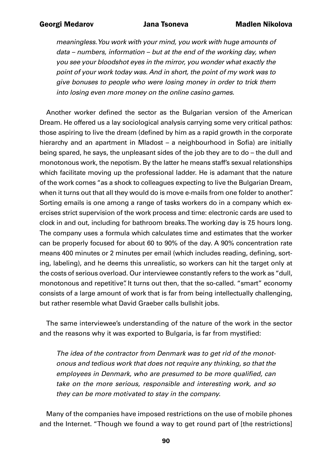*meaningless. You work with your mind, you work with huge amounts of data – numbers, information – but at the end of the working day, when you see your bloodshot eyes in the mirror, you wonder what exactly the point of your work today was. And in short, the point of my work was to give bonuses to people who were losing money in order to trick them into losing even more money on the online casino games.*

Another worker defined the sector as the Bulgarian version of the American Dream. He offered us a lay sociological analysis carrying some very critical pathos: those aspiring to live the dream (defined by him as a rapid growth in the corporate hierarchy and an apartment in Mladost – a neighbourhood in Sofia) are initially being spared, he says, the unpleasant sides of the job they are to do – the dull and monotonous work, the nepotism. By the latter he means staff's sexual relationships which facilitate moving up the professional ladder. He is adamant that the nature of the work comes "as a shock to colleagues expecting to live the Bulgarian Dream, when it turns out that all they would do is move e-mails from one folder to another". Sorting emails is one among a range of tasks workers do in a company which exercises strict supervision of the work process and time: electronic cards are used to clock in and out, including for bathroom breaks. The working day is 7.5 hours long. The company uses a formula which calculates time and estimates that the worker can be properly focused for about 60 to 90% of the day. A 90% concentration rate means 400 minutes or 2 minutes per email (which includes reading, defining, sorting, labeling), and he deems this unrealistic, so workers can hit the target only at the costs of serious overload. Our interviewee constantly refers to the work as "dull, monotonous and repetitive". It turns out then, that the so-called. "smart" economy consists of a large amount of work that is far from being intellectually challenging, but rather resemble what David Graeber calls bullshit jobs.

The same interviewee's understanding of the nature of the work in the sector and the reasons why it was exported to Bulgaria, is far from mystified:

*The idea of the contractor from Denmark was to get rid of the monotonous and tedious work that does not require any thinking, so that the*  employees in Denmark, who are presumed to be more qualified, can *take on the more serious, responsible and interesting work, and so they can be more motivated to stay in the company.*

Many of the companies have imposed restrictions on the use of mobile phones and the Internet. "Though we found a way to get round part of [the restrictions]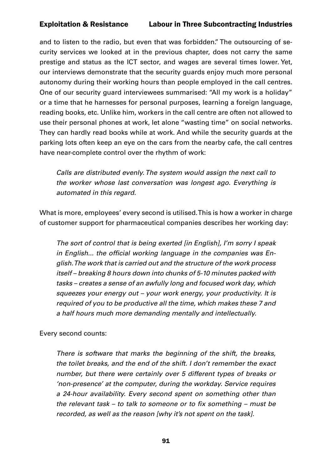and to listen to the radio, but even that was forbidden." The outsourcing of security services we looked at in the previous chapter, does not carry the same prestige and status as the ICT sector, and wages are several times lower. Yet, our interviews demonstrate that the security guards enjoy much more personal autonomy during their working hours than people employed in the call centres. One of our security guard interviewees summarised: "All my work is a holiday" or a time that he harnesses for personal purposes, learning a foreign language, reading books, etc. Unlike him, workers in the call centre are often not allowed to use their personal phones at work, let alone "wasting time" on social networks. They can hardly read books while at work. And while the security guards at the parking lots often keep an eye on the cars from the nearby cafe, the call centres have near-complete control over the rhythm of work:

*Calls are distributed evenly. The system would assign the next call to the worker whose last conversation was longest ago. Everything is automated in this regard.*

What is more, employees' every second is utilised. This is how a worker in charge of customer support for pharmaceutical companies describes her working day:

*The sort of control that is being exerted [in English], I'm sorry I speak*  in English... the official working language in the companies was En*glish. The work that is carried out and the structure of the work process itself – breaking 8 hours down into chunks of 5-10 minutes packed with tasks – creates a sense of an awfully long and focused work day, which squeezes your energy out – your work energy, your productivity. It is required of you to be productive all the time, which makes these 7 and a half hours much more demanding mentally and intellectually.*

Every second counts:

*There is software that marks the beginning of the shift, the breaks, the toilet breaks, and the end of the shift. I don't remember the exact number, but there were certainly over 5 different types of breaks or 'non-presence' at the computer, during the workday. Service requires a 24-hour availability. Every second spent on something other than*  the relevant task – to talk to someone or to fix something – must be *recorded, as well as the reason [why it's not spent on the task].*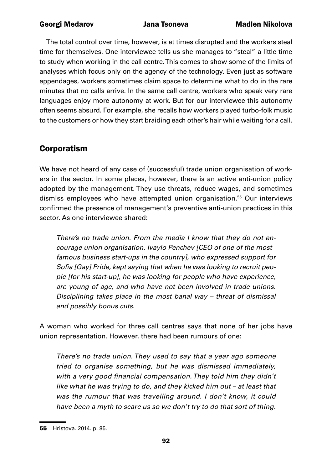The total control over time, however, is at times disrupted and the workers steal time for themselves. One interviewee tells us she manages to "steal" a little time to study when working in the call centre. This comes to show some of the limits of analyses which focus only on the agency of the technology. Even just as software appendages, workers sometimes claim space to determine what to do in the rare minutes that no calls arrive. In the same call centre, workers who speak very rare languages enjoy more autonomy at work. But for our interviewee this autonomy often seems absurd. For example, she recalls how workers played turbo-folk music to the customers or how they start braiding each other's hair while waiting for a call.

# Corporatism

We have not heard of any case of (successful) trade union organisation of workers in the sector. In some places, however, there is an active anti-union policy adopted by the management. They use threats, reduce wages, and sometimes dismiss employees who have attempted union organisation.<sup>55</sup> Our interviews confirmed the presence of management's preventive anti-union practices in this sector. As one interviewee shared:

*There's no trade union. From the media I know that they do not encourage union organisation. Ivaylo Penchev [CEO of one of the most famous business start-ups in the country], who expressed support for*  Sofia [Gay] Pride, kept saying that when he was looking to recruit peo*ple [for his start-up], he was looking for people who have experience, are young of age, and who have not been involved in trade unions. Disciplining takes place in the most banal way – threat of dismissal and possibly bonus cuts.*

A woman who worked for three call centres says that none of her jobs have union representation. However, there had been rumours of one:

*There's no trade union. They used to say that a year ago someone tried to organise something, but he was dismissed immediately,*  with a very good financial compensation. They told him they didn't *like what he was trying to do, and they kicked him out – at least that was the rumour that was travelling around. I don't know, it could have been a myth to scare us so we don't try to do that sort of thing.*

<sup>55</sup> Hristova. 2014. p. 85.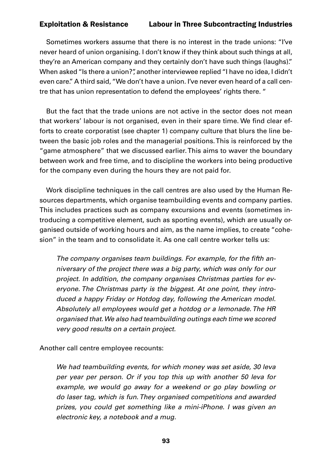Sometimes workers assume that there is no interest in the trade unions: "I've never heard of union organising. I don't know if they think about such things at all, they're an American company and they certainly don't have such things (laughs)." When asked "Is there a union?", another interviewee replied "I have no idea, I didn't even care." A third said, "We don't have a union. I've never even heard of a call centre that has union representation to defend the employees' rights there. "

But the fact that the trade unions are not active in the sector does not mean that workers' labour is not organised, even in their spare time. We find clear efforts to create corporatist (see chapter 1) company culture that blurs the line between the basic job roles and the managerial positions. This is reinforced by the "game atmosphere" that we discussed earlier. This aims to waver the boundary between work and free time, and to discipline the workers into being productive for the company even during the hours they are not paid for.

Work discipline techniques in the call centres are also used by the Human Resources departments, which organise teambuilding events and company parties. This includes practices such as company excursions and events (sometimes introducing a competitive element, such as sporting events), which are usually organised outside of working hours and aim, as the name implies, to create "cohesion" in the team and to consolidate it. As one call centre worker tells us:

The company organises team buildings. For example, for the fifth an*niversary of the project there was a big party, which was only for our project. In addition, the company organises Christmas parties for everyone. The Christmas party is the biggest. At one point, they introduced a happy Friday or Hotdog day, following the American model. Absolutely all employees would get a hotdog or a lemonade. The HR organised that. We also had teambuilding outings each time we scored very good results on a certain project.* 

Another call centre employee recounts:

*We had teambuilding events, for which money was set aside, 30 leva per year per person. Or if you top this up with another 50 leva for example, we would go away for a weekend or go play bowling or do laser tag, which is fun. They organised competitions and awarded prizes, you could get something like a mini-iPhone. I was given an electronic key, a notebook and a mug.*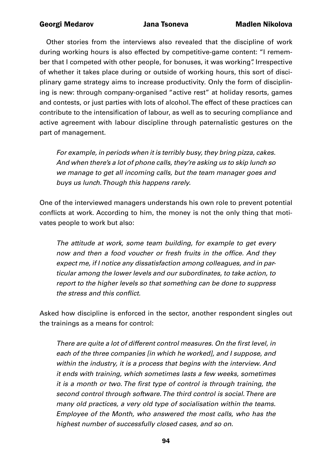Other stories from the interviews also revealed that the discipline of work during working hours is also effected by competitive-game content: "I remember that I competed with other people, for bonuses, it was working". Irrespective of whether it takes place during or outside of working hours, this sort of disciplinary game strategy aims to increase productivity. Only the form of disciplining is new: through company-organised "active rest" at holiday resorts, games and contests, or just parties with lots of alcohol. The effect of these practices can contribute to the intensification of labour, as well as to securing compliance and active agreement with labour discipline through paternalistic gestures on the part of management.

*For example, in periods when it is terribly busy, they bring pizza, cakes. And when there's a lot of phone calls, they're asking us to skip lunch so we manage to get all incoming calls, but the team manager goes and buys us lunch. Though this happens rarely.* 

One of the interviewed managers understands his own role to prevent potential conflicts at work. According to him, the money is not the only thing that motivates people to work but also:

*The attitude at work, some team building, for example to get every*  now and then a food voucher or fresh fruits in the office. And they *expect me, if I notice any dissatisfaction among colleagues, and in particular among the lower levels and our subordinates, to take action, to report to the higher levels so that something can be done to suppress*  the stress and this conflict.

Asked how discipline is enforced in the sector, another respondent singles out the trainings as a means for control:

There are quite a lot of different control measures. On the first level, in *each of the three companies [in which he worked], and I suppose, and within the industry, it is a process that begins with the interview. And it ends with training, which sometimes lasts a few weeks, sometimes*  it is a month or two. The first type of control is through training, the *second control through software. The third control is social. There are many old practices, a very old type of socialisation within the teams. Employee of the Month, who answered the most calls, who has the highest number of successfully closed cases, and so on.*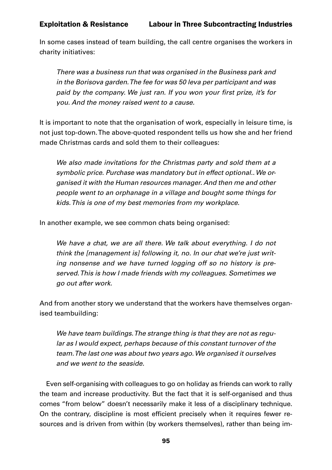In some cases instead of team building, the call centre organises the workers in charity initiatives:

*There was a business run that was organised in the Business park and in the Borisova garden. The fee for was 50 leva per participant and was*  paid by the company. We just ran. If you won your first prize, it's for *you. And the money raised went to a cause.* 

It is important to note that the organisation of work, especially in leisure time, is not just top-down. The above-quoted respondent tells us how she and her friend made Christmas cards and sold them to their colleagues:

*We also made invitations for the Christmas party and sold them at a symbolic price. Purchase was mandatory but in effect optional.. We organised it with the Human resources manager. And then me and other people went to an orphanage in a village and bought some things for kids. This is one of my best memories from my workplace.* 

In another example, we see common chats being organised:

*We have a chat, we are all there. We talk about everything. I do not think the [management is] following it, no. In our chat we're just writing nonsense and we have turned logging off so no history is preserved. This is how I made friends with my colleagues. Sometimes we go out after work.* 

And from another story we understand that the workers have themselves organised teambuilding:

*We have team buildings. The strange thing is that they are not as regular as I would expect, perhaps because of this constant turnover of the team. The last one was about two years ago. We organised it ourselves and we went to the seaside.*

Even self-organising with colleagues to go on holiday as friends can work to rally the team and increase productivity. But the fact that it is self-organised and thus comes "from below" doesn't necessarily make it less of a disciplinary technique. On the contrary, discipline is most efficient precisely when it requires fewer resources and is driven from within (by workers themselves), rather than being im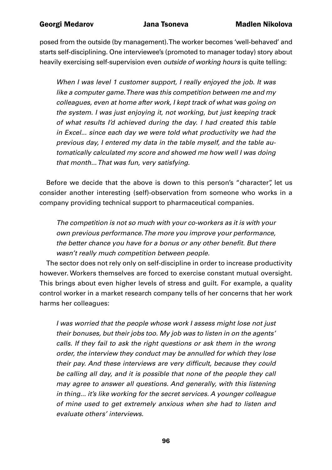posed from the outside (by management). The worker becomes 'well-behaved' and starts self-disciplining. One interviewee's (promoted to manager today) story about heavily exercising self-supervision even *outside of working hours* is quite telling:

*When I was level 1 customer support, I really enjoyed the job. It was like a computer game. There was this competition between me and my colleagues, even at home after work, I kept track of what was going on the system. I was just enjoying it, not working, but just keeping track of what results I'd achieved during the day. I had created this table in Excel... since each day we were told what productivity we had the previous day, I entered my data in the table myself, and the table automatically calculated my score and showed me how well I was doing that month... That was fun, very satisfying.*

Before we decide that the above is down to this person's "character", let us consider another interesting (self)-observation from someone who works in a company providing technical support to pharmaceutical companies.

*The competition is not so much with your co-workers as it is with your own previous performance. The more you improve your performance,*  the better chance you have for a bonus or any other benefit. But there *wasn't really much competition between people.*

The sector does not rely only on self-discipline in order to increase productivity however. Workers themselves are forced to exercise constant mutual oversight. This brings about even higher levels of stress and guilt. For example, a quality control worker in a market research company tells of her concerns that her work harms her colleagues:

*I was worried that the people whose work I assess might lose not just their bonuses, but their jobs too. My job was to listen in on the agents' calls. If they fail to ask the right questions or ask them in the wrong order, the interview they conduct may be annulled for which they lose*  their pay. And these interviews are very difficult, because they could *be calling all day, and it is possible that none of the people they call may agree to answer all questions. And generally, with this listening in thing... it's like working for the secret services. A younger colleague of mine used to get extremely anxious when she had to listen and evaluate others' interviews.*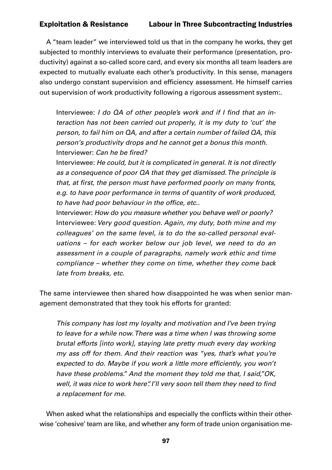A "team leader" we interviewed told us that in the company he works, they get subjected to monthly interviews to evaluate their performance (presentation, productivity) against a so-called score card, and every six months all team leaders are expected to mutually evaluate each other's productivity. In this sense, managers also undergo constant supervision and efficiency assessment. He himself carries out supervision of work productivity following a rigorous assessment system:.

Interviewee: I do QA of other people's work and if I find that an in*teraction has not been carried out properly, it is my duty to 'cut' the person, to fail him on QA, and after a certain number of failed QA, this person's productivity drops and he cannot get a bonus this month.* Interviewer: Can he be fired?

Interviewee: *He could, but it is complicated in general. It is not directly as a consequence of poor QA that they get dismissed. The principle is*  that, at first, the person must have performed poorly on many fronts, *e.g. to have poor performance in terms of quantity of work produced,*  to have had poor behaviour in the office, etc..

Interviewer: *How do you measure whether you behave well or poorly?* Interviewee: *Very good question. Again, my duty, both mine and my colleagues' on the same level, is to do the so-called personal evaluations – for each worker below our job level, we need to do an assessment in a couple of paragraphs, namely work ethic and time compliance – whether they come on time, whether they come back late from breaks, etc.* 

The same interviewee then shared how disappointed he was when senior management demonstrated that they took his efforts for granted:

*This company has lost my loyalty and motivation and I've been trying to leave for a while now. There was a time when I was throwing some brutal efforts [into work], staying late pretty much every day working my ass off for them. And their reaction was "yes, that's what you're*  expected to do. Maybe if you work a little more efficiently, you won't *have these problems." And the moment they told me that, I said,"OK,*  well, it was nice to work here". I'll very soon tell them they need to find *a replacement for me.*

When asked what the relationships and especially the conflicts within their otherwise 'cohesive' team are like, and whether any form of trade union organisation me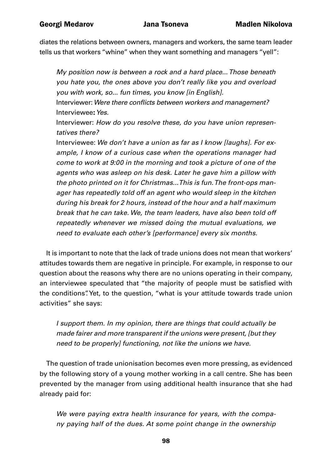diates the relations between owners, managers and workers, the same team leader tells us that workers "whine" when they want something and managers "yell":

*My position now is between a rock and a hard place... Those beneath you hate you, the ones above you don't really like you and overload you with work, so... fun times, you know [in English].* Interviewer: Were there conflicts between workers and management? Interviewee: *Yes.* Interviewer: *How do you resolve these, do you have union representatives there?*  Interviewee: *We don't have a union as far as I know [laughs]. For example, I know of a curious case when the operations manager had come to work at 9:00 in the morning and took a picture of one of the agents who was asleep on his desk. Later he gave him a pillow with the photo printed on it for Christmas...This is fun. The front-ops manager has repeatedly told off an agent who would sleep in the kitchen during his break for 2 hours, instead of the hour and a half maximum break that he can take. We, the team leaders, have also been told off* 

*repeatedly whenever we missed doing the mutual evaluations, we need to evaluate each other's [performance] every six months.*

It is important to note that the lack of trade unions does not mean that workers' attitudes towards them are negative in principle. For example, in response to our question about the reasons why there are no unions operating in their company, an interviewee speculated that "the majority of people must be satisfied with the conditions". Yet, to the question, "what is your attitude towards trade union activities" she says:

*I support them. In my opinion, there are things that could actually be made fairer and more transparent if the unions were present, [but they need to be properly] functioning, not like the unions we have.*

The question of trade unionisation becomes even more pressing, as evidenced by the following story of a young mother working in a call centre. She has been prevented by the manager from using additional health insurance that she had already paid for:

*We were paying extra health insurance for years, with the company paying half of the dues. At some point change in the ownership*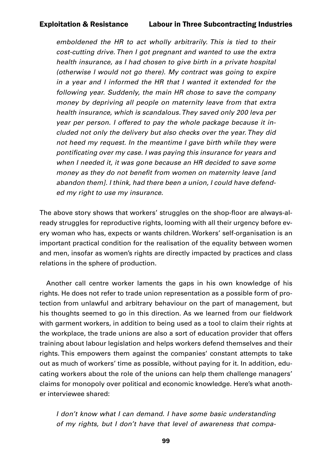*emboldened the HR to act wholly arbitrarily. This is tied to their cost-cutting drive. Then I got pregnant and wanted to use the extra health insurance, as I had chosen to give birth in a private hospital (otherwise I would not go there). My contract was going to expire in a year and I informed the HR that I wanted it extended for the following year. Suddenly, the main HR chose to save the company money by depriving all people on maternity leave from that extra health insurance, which is scandalous. They saved only 200 leva per year per person. I offered to pay the whole package because it included not only the delivery but also checks over the year. They did not heed my request. In the meantime I gave birth while they were*  pontificating over my case. I was paying this insurance for years and *when I needed it, it was gone because an HR decided to save some*  money as they do not benefit from women on maternity leave [and *abandon them]. I think, had there been a union, I could have defended my right to use my insurance.*

The above story shows that workers' struggles on the shop-floor are always-already struggles for reproductive rights, looming with all their urgency before every woman who has, expects or wants children. Workers' self-organisation is an important practical condition for the realisation of the equality between women and men, insofar as women's rights are directly impacted by practices and class relations in the sphere of production.

Another call centre worker laments the gaps in his own knowledge of his rights. He does not refer to trade union representation as a possible form of protection from unlawful and arbitrary behaviour on the part of management, but his thoughts seemed to go in this direction. As we learned from our fieldwork with garment workers, in addition to being used as a tool to claim their rights at the workplace, the trade unions are also a sort of education provider that offers training about labour legislation and helps workers defend themselves and their rights. This empowers them against the companies' constant attempts to take out as much of workers' time as possible, without paying for it. In addition, educating workers about the role of the unions can help them challenge managers' claims for monopoly over political and economic knowledge. Here's what another interviewee shared:

*I don't know what I can demand. I have some basic understanding of my rights, but I don't have that level of awareness that compa-*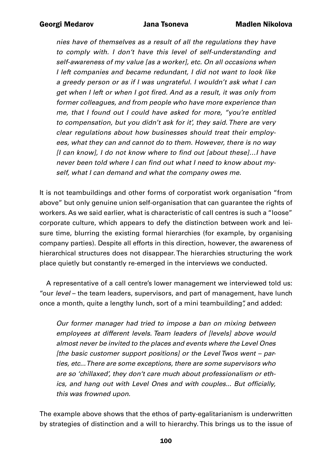*nies have of themselves as a result of all the regulations they have to comply with. I don't have this level of self-understanding and self-awareness of my value [as a worker], etc. On all occasions when I left companies and became redundant, I did not want to look like a greedy person or as if I was ungrateful. I wouldn't ask what I can*  get when I left or when I got fired. And as a result, it was only from *former colleagues, and from people who have more experience than me, that I found out I could have asked for more, "you're entitled to compensation, but you didn't ask for it', they said. There are very clear regulations about how businesses should treat their employees, what they can and cannot do to them. However, there is no way*  [I can know], I do not know where to find out [about these]…I have never been told where I can find out what I need to know about my*self, what I can demand and what the company owes me.* 

It is not teambuildings and other forms of corporatist work organisation "from above" but only genuine union self-organisation that can guarantee the rights of workers. As we said earlier, what is characteristic of call centres is such a "loose" corporate culture, which appears to defy the distinction between work and leisure time, blurring the existing formal hierarchies (for example, by organising company parties). Despite all efforts in this direction, however, the awareness of hierarchical structures does not disappear. The hierarchies structuring the work place quietly but constantly re-emerged in the interviews we conducted.

A representative of a call centre's lower management we interviewed told us: "our *level* – the team leaders, supervisors, and part of management, have lunch once a month, quite a lengthy lunch, sort of a mini teambuilding", and added:

*Our former manager had tried to impose a ban on mixing between employees at different levels. Team leaders of [levels] above would almost never be invited to the places and events where the Level Ones [the basic customer support positions] or the Level Twos went – parties, etc... There are some exceptions, there are some supervisors who are so 'chillaxed', they don't care much about professionalism or eth*ics, and hang out with Level Ones and with couples... But officially, *this was frowned upon.*

The example above shows that the ethos of party-egalitarianism is underwritten by strategies of distinction and a will to hierarchy. This brings us to the issue of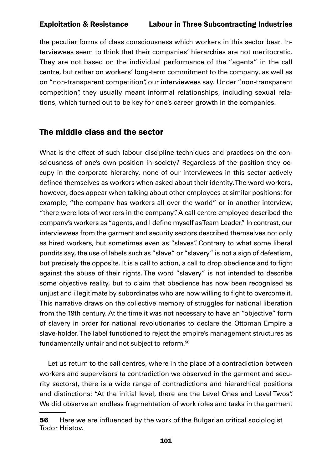the peculiar forms of class consciousness which workers in this sector bear. Interviewees seem to think that their companies' hierarchies are not meritocratic. They are not based on the individual performance of the "agents" in the call centre, but rather on workers' long-term commitment to the company, as well as on "non-transparent competition", our interviewees say. Under "non-transparent competition", they usually meant informal relationships, including sexual relations, which turned out to be key for one's career growth in the companies.

### The middle class and the sector

What is the effect of such labour discipline techniques and practices on the consciousness of one's own position in society? Regardless of the position they occupy in the corporate hierarchy, none of our interviewees in this sector actively defined themselves as workers when asked about their identity. The word workers, however, does appear when talking about other employees at similar positions: for example, "the company has workers all over the world" or in another interview, "there were lots of workers in the company". A call centre employee described the company's workers as "agents, and I define myself as Team Leader." In contrast, our interviewees from the garment and security sectors described themselves not only as hired workers, but sometimes even as "slaves". Contrary to what some liberal pundits say, the use of labels such as "slave" or "slavery" is not a sign of defeatism, but precisely the opposite. It is a call to action, a call to drop obedience and to fight against the abuse of their rights. The word "slavery" is not intended to describe some objective reality, but to claim that obedience has now been recognised as unjust and illegitimate by subordinates who are now willing to fight to overcome it. This narrative draws on the collective memory of struggles for national liberation from the 19th century. At the time it was not necessary to have an "objective" form of slavery in order for national revolutionaries to declare the Ottoman Empire a slave-holder. The label functioned to reject the empire's management structures as fundamentally unfair and not subject to reform.<sup>56</sup>

 Let us return to the call centres, where in the place of a contradiction between workers and supervisors (a contradiction we observed in the garment and security sectors), there is a wide range of contradictions and hierarchical positions and distinctions: "At the initial level, there are the Level Ones and Level Twos". We did observe an endless fragmentation of work roles and tasks in the garment

**<sup>56</sup>** Here we are influenced by the work of the Bulgarian critical sociologist Todor Hristov.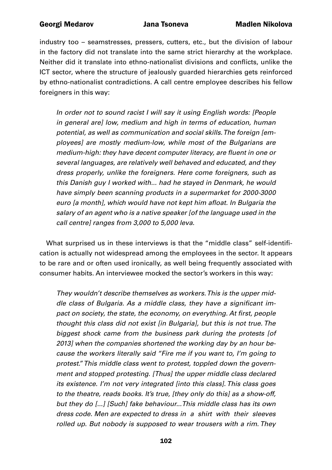industry too – seamstresses, pressers, cutters, etc., but the division of labour in the factory did not translate into the same strict hierarchy at the workplace. Neither did it translate into ethno-nationalist divisions and conflicts, unlike the ICT sector, where the structure of jealously guarded hierarchies gets reinforced by ethno-nationalist contradictions. A call centre employee describes his fellow foreigners in this way:

*In order not to sound racist I will say it using English words: [People in general are] low, medium and high in terms of education, human potential, as well as communication and social skills. The foreign [employees] are mostly medium-low, while most of the Bulgarians are*  medium-high: they have decent computer literacy, are fluent in one or *several languages, are relatively well behaved and educated, and they dress properly, unlike the foreigners. Here come foreigners, such as this Danish guy I worked with... had he stayed in Denmark, he would have simply been scanning products in a supermarket for 2000-3000*  euro [a month], which would have not kept him afloat. In Bulgaria the *salary of an agent who is a native speaker [of the language used in the call centre] ranges from 3,000 to 5,000 leva.*

What surprised us in these interviews is that the "middle class" self-identification is actually not widespread among the employees in the sector. It appears to be rare and or often used ironically, as well being frequently associated with consumer habits. An interviewee mocked the sector's workers in this way:

*They wouldn't describe themselves as workers. This is the upper mid*dle class of Bulgaria. As a middle class, they have a significant impact on society, the state, the economy, on everything. At first, people *thought this class did not exist [in Bulgaria], but this is not true. The biggest shock came from the business park during the protests [of 2013] when the companies shortened the working day by an hour because the workers literally said "Fire me if you want to, I'm going to protest." This middle class went to protest, toppled down the government and stopped protesting. [Thus] the upper middle class declared its existence. I'm not very integrated [into this class]. This class goes to the theatre, reads books. It's true, [they only do this] as a show-off, but they do [...] [Such] fake behaviour...This middle class has its own dress code. Men are expected to dress in a shirt with their sleeves rolled up. But nobody is supposed to wear trousers with a rim. They*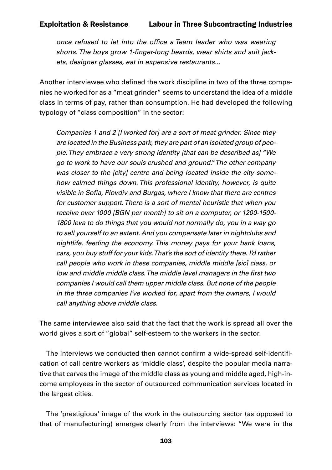once refused to let into the office a Team leader who was wearing shorts. The boys grow 1-finger-long beards, wear shirts and suit jack*ets, designer glasses, eat in expensive restaurants...*

Another interviewee who defined the work discipline in two of the three companies he worked for as a "meat grinder" seems to understand the idea of a middle class in terms of pay, rather than consumption. He had developed the following typology of "class composition" in the sector:

*Companies 1 and 2 [I worked for] are a sort of meat grinder. Since they are located in the Business park, they are part of an isolated group of people. They embrace a very strong identity [that can be described as] "We go to work to have our souls crushed and ground." The other company was closer to the [city] centre and being located inside the city somehow calmed things down. This professional identity, however, is quite*  visible in Sofia, Plovdiv and Burgas, where I know that there are centres *for customer support. There is a sort of mental heuristic that when you receive over 1000 [BGN per month] to sit on a computer, or 1200-1500- 1800 leva to do things that you would not normally do, you in a way go to sell yourself to an extent. And you compensate later in nightclubs and nightlife, feeding the economy. This money pays for your bank loans, cars, you buy stuff for your kids. That's the sort of identity there. I'd rather call people who work in these companies, middle middle [sic] class, or*  low and middle middle class. The middle level managers in the first two *companies I would call them upper middle class. But none of the people in the three companies I've worked for, apart from the owners, I would call anything above middle class.*

The same interviewee also said that the fact that the work is spread all over the world gives a sort of "global" self-esteem to the workers in the sector.

The interviews we conducted then cannot confirm a wide-spread self-identification of call centre workers as 'middle class', despite the popular media narrative that carves the image of the middle class as young and middle aged, high-income employees in the sector of outsourced communication services located in the largest cities.

The 'prestigious' image of the work in the outsourcing sector (as opposed to that of manufacturing) emerges clearly from the interviews: "We were in the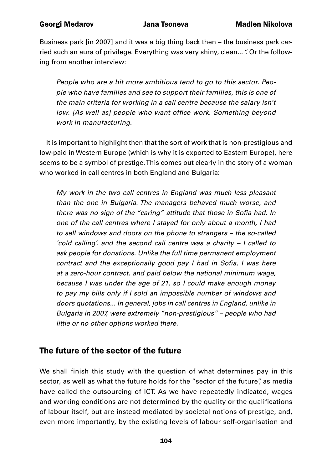Business park [in 2007] and it was a big thing back then – the business park carried such an aura of privilege. Everything was very shiny, clean... " Or the following from another interview:

*People who are a bit more ambitious tend to go to this sector. People who have families and see to support their families, this is one of the main criteria for working in a call centre because the salary isn't*  low. [As well as] people who want office work. Something beyond *work in manufacturing.*

It is important to highlight then that the sort of work that is non-prestigious and low-paid in Western Europe (which is why it is exported to Eastern Europe), here seems to be a symbol of prestige. This comes out clearly in the story of a woman who worked in call centres in both England and Bulgaria:

*My work in the two call centres in England was much less pleasant than the one in Bulgaria. The managers behaved much worse, and*  there was no sign of the "caring" attitude that those in Sofia had. In *one of the call centres where I stayed for only about a month, I had to sell windows and doors on the phone to strangers – the so-called 'cold calling', and the second call centre was a charity – I called to ask people for donations. Unlike the full time permanent employment*  contract and the exceptionally good pay I had in Sofia, I was here *at a zero-hour contract, and paid below the national minimum wage, because I was under the age of 21, so I could make enough money to pay my bills only if I sold an impossible number of windows and doors quotations... In general, jobs in call centres in England, unlike in Bulgaria in 2007, were extremely "non-prestigious" – people who had little or no other options worked there.*

# The future of the sector of the future

We shall finish this study with the question of what determines pay in this sector, as well as what the future holds for the "sector of the future", as media have called the outsourcing of ICT. As we have repeatedly indicated, wages and working conditions are not determined by the quality or the qualifications of labour itself, but are instead mediated by societal notions of prestige, and, even more importantly, by the existing levels of labour self-organisation and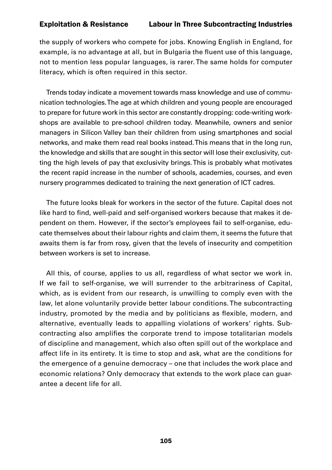the supply of workers who compete for jobs. Knowing English in England, for example, is no advantage at all, but in Bulgaria the fluent use of this language, not to mention less popular languages, is rarer. The same holds for computer literacy, which is often required in this sector.

Trends today indicate a movement towards mass knowledge and use of communication technologies. The age at which children and young people are encouraged to prepare for future work in this sector are constantly dropping: code-writing workshops are available to pre-school children today. Meanwhile, owners and senior managers in Silicon Valley ban their children from using smartphones and social networks, and make them read real books instead. This means that in the long run, the knowledge and skills that are sought in this sector will lose their exclusivity, cutting the high levels of pay that exclusivity brings. This is probably what motivates the recent rapid increase in the number of schools, academies, courses, and even nursery programmes dedicated to training the next generation of ICT cadres.

The future looks bleak for workers in the sector of the future. Capital does not like hard to find, well-paid and self-organised workers because that makes it dependent on them. However, if the sector's employees fail to self-organise, educate themselves about their labour rights and claim them, it seems the future that awaits them is far from rosy, given that the levels of insecurity and competition between workers is set to increase.

All this, of course, applies to us all, regardless of what sector we work in. If we fail to self-organise, we will surrender to the arbitrariness of Capital, which, as is evident from our research, is unwilling to comply even with the law, let alone voluntarily provide better labour conditions. The subcontracting industry, promoted by the media and by politicians as flexible, modern, and alternative, eventually leads to appalling violations of workers' rights. Subcontracting also amplifies the corporate trend to impose totalitarian models of discipline and management, which also often spill out of the workplace and affect life in its entirety. It is time to stop and ask, what are the conditions for the emergence of a genuine democracy – one that includes the work place and economic relations? Only democracy that extends to the work place can guarantee a decent life for all.